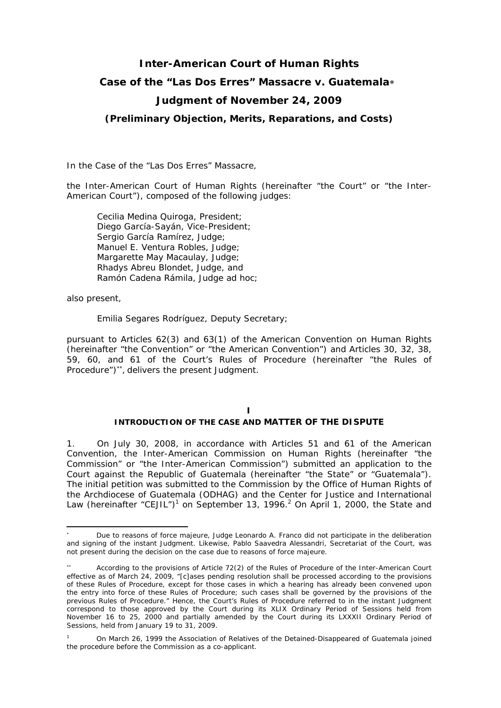# **Inter-American Court of Human Rights Case of the "Las Dos Erres" Massacre** *v.* **Guatemala**∗ **Judgment of November 24, 2009**

*(Preliminary Objection, Merits, Reparations, and Costs)* 

In the *Case of the "Las Dos Erres" Massacre*,

the Inter-American Court of Human Rights (hereinafter "the Court" or "the Inter-American Court"), composed of the following judges:

Cecilia Medina Quiroga, President; Diego García-Sayán, Vice-President; Sergio García Ramírez, Judge; Manuel E. Ventura Robles, Judge; Margarette May Macaulay, Judge; Rhadys Abreu Blondet, Judge, and Ramón Cadena Rámila, *Judge ad hoc*;

also present,

1

Emilia Segares Rodríguez, Deputy Secretary;

pursuant to Articles 62(3) and 63(1) of the American Convention on Human Rights (hereinafter "the Convention" or "the American Convention") and Articles 30, 32, 38, 59, 60, and 61 of the Court's Rules of Procedure (hereinafter "the Rules of Procedure")∗∗, delivers the present Judgment.

# **I**

## **INTRODUCTION OF THE CASE AND MATTER OF THE DISPUTE**

1. On July 30, 2008, in accordance with Articles 51 and 61 of the American Convention, the Inter-American Commission on Human Rights (hereinafter "the Commission" or "the Inter-American Commission") submitted an application to the Court against the Republic of Guatemala (hereinafter "the State" or "Guatemala"). The initial petition was submitted to the Commission by the Office of Human Rights of the Archdiocese of Guatemala (ODHAG) and the Center for Justice and International Law (hereinafter "CEJIL")<sup>1</sup> on September 13, 1996.<sup>2</sup> On April 1, 2000, the State and

<sup>∗</sup> Due to reasons of force majeure, Judge Leonardo A. Franco did not participate in the deliberation and signing of the instant Judgment. Likewise, Pablo Saavedra Alessandri, Secretariat of the Court, was not present during the decision on the case due to reasons of force majeure.

<sup>∗∗</sup> According to the provisions of Article 72(2) of the Rules of Procedure of the Inter-American Court effective as of March 24, 2009, "[c]ases pending resolution shall be processed according to the provisions of these Rules of Procedure, except for those cases in which a hearing has already been convened upon the entry into force of these Rules of Procedure; such cases shall be governed by the provisions of the previous Rules of Procedure." Hence, the Court's Rules of Procedure referred to in the instant Judgment correspond to those approved by the Court during its XLIX Ordinary Period of Sessions held from November 16 to 25, 2000 and partially amended by the Court during its LXXXII Ordinary Period of Sessions, held from January 19 to 31, 2009.

<sup>1</sup> On March 26, 1999 the Association of Relatives of the Detained-Disappeared of Guatemala joined the procedure before the Commission as a co-applicant.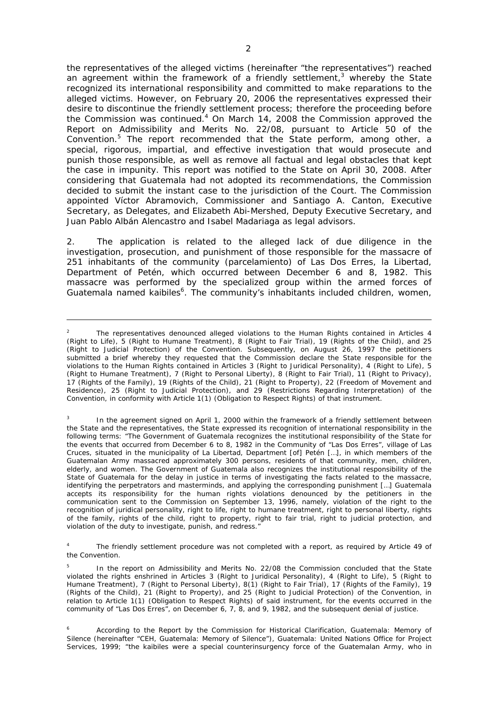the representatives of the alleged victims (hereinafter "the representatives") reached an agreement within the framework of a friendly settlement,<sup>3</sup> whereby the State recognized its international responsibility and committed to make reparations to the alleged victims. However, on February 20, 2006 the representatives expressed their desire to discontinue the friendly settlement process; therefore the proceeding before the Commission was continued.<sup>4</sup> On March 14, 2008 the Commission approved the Report on Admissibility and Merits No. 22/08, pursuant to Article 50 of the Convention.<sup>5</sup> The report recommended that the State perform, among other, a special, rigorous, impartial, and effective investigation that would prosecute and punish those responsible, as well as remove all factual and legal obstacles that kept the case in impunity. This report was notified to the State on April 30, 2008. After considering that Guatemala had not adopted its recommendations, the Commission decided to submit the instant case to the jurisdiction of the Court. The Commission appointed Víctor Abramovich, Commissioner and Santiago A. Canton, Executive Secretary, as Delegates, and Elizabeth Abi-Mershed, Deputy Executive Secretary, and Juan Pablo Albán Alencastro and Isabel Madariaga as legal advisors.

2. The application is related to the alleged lack of due diligence in the investigation, prosecution, and punishment of those responsible for the massacre of 251 inhabitants of the community (*parcelamiento*) of Las Dos Erres, la Libertad, Department of Petén, which occurred between December 6 and 8, 1982. This massacre was performed by the specialized group within the armed forces of Guatemala named kaibiles<sup>6</sup>. The community's inhabitants included children, women,

<sup>2</sup> The representatives denounced alleged violations to the Human Rights contained in Articles 4 (Right to Life), 5 (Right to Humane Treatment), 8 (Right to Fair Trial), 19 (Rights of the Child), and 25 (Right to Judicial Protection) of the Convention. Subsequently, on August 26, 1997 the petitioners submitted a brief whereby they requested that the Commission declare the State responsible for the violations to the Human Rights contained in Articles 3 (Right to Juridical Personality), 4 (Right to Life), 5 (Right to Humane Treatment), 7 (Right to Personal Liberty), 8 (Right to Fair Trial), 11 (Right to Privacy), 17 (Rights of the Family), 19 (Rights of the Child), 21 (Right to Property), 22 (Freedom of Movement and Residence), 25 (Right to Judicial Protection), and 29 (Restrictions Regarding Interpretation) of the Convention, in conformity with Article 1(1) (Obligation to Respect Rights) of that instrument.

<sup>3</sup> In the agreement signed on April 1, 2000 within the framework of a friendly settlement between the State and the representatives, the State expressed its recognition of international responsibility in the following terms: "The Government of Guatemala recognizes the institutional responsibility of the State for the events that occurred from December 6 to 8, 1982 in the Community of "Las Dos Erres", village of Las Cruces, situated in the municipality of La Libertad, Department [of] Petén […], in which members of the Guatemalan Army massacred approximately 300 persons, residents of that community, men, children, elderly, and women. The Government of Guatemala also recognizes the institutional responsibility of the State of Guatemala for the delay in justice in terms of investigating the facts related to the massacre, identifying the perpetrators and masterminds, and applying the corresponding punishment […] Guatemala accepts its responsibility for the human rights violations denounced by the petitioners in the communication sent to the Commission on September 13, 1996, namely, violation of the right to the recognition of juridical personality, right to life, right to humane treatment, right to personal liberty, rights of the family, rights of the child, right to property, right to fair trial, right to judicial protection, and violation of the duty to investigate, punish, and redress."

<sup>4</sup> The friendly settlement procedure was not completed with a report, as required by Article 49 of the Convention.

<sup>5</sup> In the report on Admissibility and Merits No. 22/08 the Commission concluded that the State violated the rights enshrined in Articles 3 (Right to Juridical Personality), 4 (Right to Life), 5 (Right to Humane Treatment), 7 (Right to Personal Liberty), 8(1) (Right to Fair Trial), 17 (Rights of the Family), 19 (Rights of the Child), 21 (Right to Property), and 25 (Right to Judicial Protection) of the Convention, in relation to Article 1(1) (Obligation to Respect Rights) of said instrument, for the events occurred in the community of "Las Dos Erres", on December 6, 7, 8, and 9, 1982, and the subsequent denial of justice.

 6 According to the Report by the Commission for Historical Clarification, Guatemala: Memory of Silence (hereinafter "CEH, *Guatemala: Memory of Silence"*), Guatemala: United Nations Office for Project Services, 1999; "the kaibiles were a special counterinsurgency force of the Guatemalan Army, who in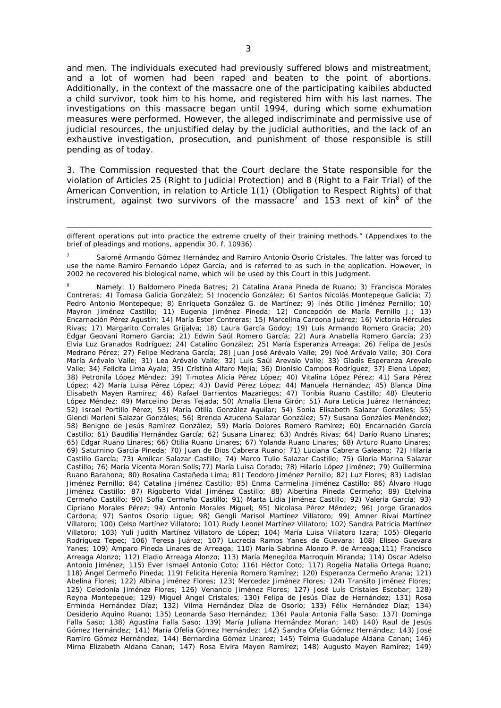and men. The individuals executed had previously suffered blows and mistreatment, and a lot of women had been raped and beaten to the point of abortions. Additionally, in the context of the massacre one of the participating kaibiles abducted a child survivor, took him to his home, and registered him with his last names. The investigations on this massacre began until 1994, during which some exhumation measures were performed. However, the alleged indiscriminate and permissive use of judicial resources, the unjustified delay by the judicial authorities, and the lack of an exhaustive investigation, prosecution, and punishment of those responsible is still pending as of today.

3. The Commission requested that the Court declare the State responsible for the violation of Articles 25 (Right to Judicial Protection) and 8 (Right to a Fair Trial) of the American Convention, in relation to Article 1(1) (Obligation to Respect Rights) of that instrument, against two survivors of the massacre<sup>7</sup> and 153 next of kin<sup>8</sup> of the

1

7 Salomé Armando Gómez Hernández and Ramiro Antonio Osorio Cristales. The latter was forced to use the name Ramiro Fernando López García, and is referred to as such in the application. However, in 2002 he recovered his biological name, which will be used by this Court in this Judgment.

8 Namely: 1) Baldomero Pineda Batres; 2) Catalina Arana Pineda de Ruano; 3) Francisca Morales Contreras; 4) Tomasa Galicia González; 5) Inocencio González; 6) Santos Nicolás Montepeque Galicia; 7) Pedro Antonio Montepeque; 8) Enriqueta González G. de Martínez; 9) Inés Otilio Jiménez Pernillo; 10) Mayron Jiménez Castillo; 11) Eugenia Jiménez Pineda; 12) Concepción de María Pernillo J.; 13) Encarnación Pérez Agustín; 14) María Ester Contreras; 15) Marcelina Cardona Juárez; 16) Victoria Hércules Rivas; 17) Margarito Corrales Grijalva; 18) Laura García Godoy; 19) Luis Armando Romero Gracia; 20) Edgar Geovani Romero García; 21) Edwin Saúl Romero García; 22) Aura Anabella Romero García; 23) Elvia Luz Granados Rodríguez; 24) Catalino González; 25) María Esperanza Arreaga; 26) Felipa de Jesús Medrano Pérez; 27) Felipe Medrana García; 28) Juan José Arévalo Valle; 29) Noé Arévalo Valle; 30) Cora María Arévalo Valle; 31) Lea Arévalo Valle; 32) Luis Saúl Arevalo Valle; 33) Gladis Esperanza Arevalo Valle; 34) Felicita Lima Ayala; 35) Cristina Alfaro Mejia; 36) Dionisio Campos Rodríguez; 37) Elena López; 38) Petronila López Méndez; 39) Timotea Alicia Pérez López; 40) Vitalina López Pérez; 41) Sara Pérez López; 42) María Luisa Pérez López; 43) David Pérez López; 44) Manuela Hernández; 45) Blanca Dina Elisabeth Mayen Ramírez; 46) Rafael Barrientos Mazariegos; 47) Toribia Ruano Castillo; 48) Eleuterio López Méndez; 49) Marcelino Deras Tejada; 50) Amalia Elena Girón; 51) Aura Leticia Juárez Hernández; 52) Israel Portillo Pérez; 53) María Otilia González Aguilar; 54) Sonia Elisabeth Salazar Gonzáles; 55) Glendi Marleni Salazar Gonzáles; 56) Brenda Azucena Salazar González; 57) Susana Gonzáles Menéndez; 58) Benigno de Jesús Ramírez González; 59) María Dolores Romero Ramírez; 60) Encarnación García Castillo; 61) Baudilia Hernández García; 62) Susana Linarez; 63) Andrés Rivas; 64) Darío Ruano Linares; 65) Edgar Ruano Linares; 66) Otilia Ruano Linares; 67) Yolanda Ruano Linares; 68) Arturo Ruano Linares; 69) Saturnino García Pineda; 70) Juan de Dios Cabrera Ruano; 71) Luciana Cabrera Galeano; 72) Hilaria Castillo García; 73) Amílcar Salazar Castillo; 74) Marco Tulio Salazar Castillo; 75) Gloria Marina Salazar Castillo; 76) María Vicenta Moran Solís;77) María Luisa Corado; 78) Hilario López Jiménez; 79) Guillermina Ruano Barahona; 80) Rosalina Castañeda Lima; 81) Teodoro Jiménez Pernillo; 82) Luz Flores; 83) Ladislao Jiménez Pernillo; 84) Catalina Jiménez Castillo; 85) Enma Carmelina Jiménez Castillo; 86) Álvaro Hugo Jiménez Castillo; 87) Rigoberto Vidal Jiménez Castillo; 88) Albertina Pineda Cermeño; 89) Etelvina Cermeño Castillo; 90) Sofía Cermeño Castillo; 91) Marta Lidia Jiménez Castillo; 92) Valeria García; 93) Cipriano Morales Pérez; 94) Antonio Morales Miguel; 95) Nicolasa Pérez Méndez; 96) Jorge Granados Cardona; 97) Santos Osorio Ligue; 98) Gengli Marisol Martínez Villatoro; 99) Amner Rivai Martínez Villatoro; 100) Celso Martínez Villatoro; 101) Rudy Leonel Martínez Villatoro; 102) Sandra Patricia Martínez Villatoro; 103) Yuli Judith Martínez Villatoro de López; 104) María Luisa Villatoro Izara; 105) Olegario Rodriguez Tepec; 106) Teresa Juárez; 107) Lucrecia Ramos Yanes de Guevara; 108) Eliseo Guevara Yanes; 109) Amparo Pineda Linares de Arreaga; 110) María Sabrina Alonzo P. de Arreaga;111) Francisco Arreaga Alonzo; 112) Eladio Arreaga Alonzo; 113) María Menegilda Marroquín Miranda; 114) Oscar Adelso Antonio Jiménez; 115) Ever Ismael Antonio Coto; 116) Héctor Coto; 117) Rogelia Natalia Ortega Ruano; 118) Ángel Cermeño Pineda; 119) Felicita Herenia Romero Ramírez; 120) Esperanza Cermeño Arana; 121) Abelina Flores; 122) Albina Jiménez Flores; 123) Mercedez Jiménez Flores; 124) Transito Jiménez Flores; 125) Celedonia Jiménez Flores; 126) Venancio Jiménez Flores; 127) José Luís Cristales Escobar; 128) Reyna Montepeque; 129) Miguel Angel Cristales; 130) Felipa de Jesús Díaz de Hernández; 131) Rosa Erminda Hernández Díaz; 132) Vilma Hernández Díaz de Osorio; 133) Félix Hernández Díaz; 134) Desiderio Aquino Ruano; 135) Leonarda Saso Hernández; 136) Paula Antonia Falla Saso; 137) Dominga Falla Saso; 138) Agustina Falla Saso; 139) María Juliana Hernández Moran; 140) 140) Raul de Jesús Gómez Hernández; 141) María Ofelia Gómez Hernández; 142) Sandra Ofelia Gómez Hernández; 143) José Ramiro Gómez Hernández; 144) Bernardina Gómez Linarez; 145) Telma Guadalupe Aldana Canan; 146) Mirna Elizabeth Aldana Canan; 147) Rosa Elvira Mayen Ramírez; 148) Augusto Mayen Ramírez; 149)

different operations put into practice the extreme cruelty of their training methods." (Appendixes to the brief of pleadings and motions, appendix 30, f. 10936)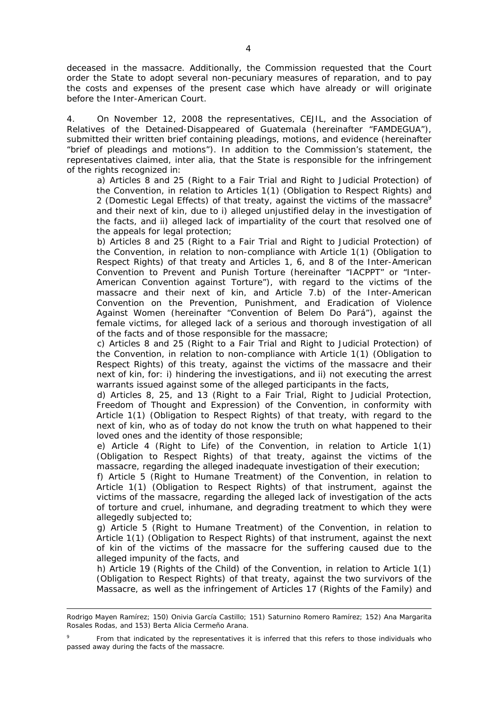deceased in the massacre. Additionally, the Commission requested that the Court order the State to adopt several non-pecuniary measures of reparation, and to pay the costs and expenses of the present case which have already or will originate before the Inter-American Court.

4. On November 12, 2008 the representatives, CEJIL, and the Association of Relatives of the Detained-Disappeared of Guatemala (hereinafter "FAMDEGUA"), submitted their written brief containing pleadings, motions, and evidence (hereinafter "brief of pleadings and motions"). In addition to the Commission's statement, the representatives claimed, *inter alia*, that the State is responsible for the infringement of the rights recognized in:

a) Articles 8 and 25 (Right to a Fair Trial and Right to Judicial Protection) of the Convention, in relation to Articles 1(1) (Obligation to Respect Rights) and 2 (Domestic Legal Effects) of that treaty, against the victims of the massacre<sup>9</sup> and their next of kin, due to i) alleged unjustified delay in the investigation of the facts, and ii) alleged lack of impartiality of the court that resolved one of the appeals for legal protection;

b) Articles 8 and 25 (Right to a Fair Trial and Right to Judicial Protection) of the Convention, in relation to non-compliance with Article 1(1) (Obligation to Respect Rights) of that treaty and Articles 1, 6, and 8 of the Inter-American Convention to Prevent and Punish Torture (hereinafter "IACPPT" or "Inter-American Convention against Torture"), with regard to the victims of the massacre and their next of kin, and Article 7.b) of the Inter-American Convention on the Prevention, Punishment, and Eradication of Violence Against Women (hereinafter "Convention of Belem Do Pará"), against the female victims, for alleged lack of a serious and thorough investigation of all of the facts and of those responsible for the massacre;

c) Articles 8 and 25 (Right to a Fair Trial and Right to Judicial Protection) of the Convention, in relation to non-compliance with Article 1(1) (Obligation to Respect Rights) of this treaty, against the victims of the massacre and their next of kin, for: i) hindering the investigations, and ii) not executing the arrest warrants issued against some of the alleged participants in the facts,

d) Articles 8, 25, and 13 (Right to a Fair Trial, Right to Judicial Protection, Freedom of Thought and Expression) of the Convention, in conformity with Article 1(1) (Obligation to Respect Rights) of that treaty, with regard to the next of kin, who as of today do not know the truth on what happened to their loved ones and the identity of those responsible;

e) Article 4 (Right to Life) of the Convention, in relation to Article 1(1) (Obligation to Respect Rights) of that treaty, against the victims of the massacre, regarding the alleged inadequate investigation of their execution;

f) Article 5 (Right to Humane Treatment) of the Convention, in relation to Article 1(1) (Obligation to Respect Rights) of that instrument, against the victims of the massacre, regarding the alleged lack of investigation of the acts of torture and cruel, inhumane, and degrading treatment to which they were allegedly subjected to;

g) Article 5 (Right to Humane Treatment) of the Convention, in relation to Article 1(1) (Obligation to Respect Rights) of that instrument, against the next of kin of the victims of the massacre for the suffering caused due to the alleged impunity of the facts, and

h) Article 19 (Rights of the Child) of the Convention, in relation to Article 1(1) (Obligation to Respect Rights) of that treaty, against the two survivors of the Massacre, as well as the infringement of Articles 17 (Rights of the Family) and

Rodrigo Mayen Ramírez; 150) Onivia García Castillo; 151) Saturnino Romero Ramírez; 152) Ana Margarita Rosales Rodas, and 153) Berta Alicia Cermeño Arana.

<sup>9</sup> From that indicated by the representatives it is inferred that this refers to those individuals who passed away during the facts of the massacre.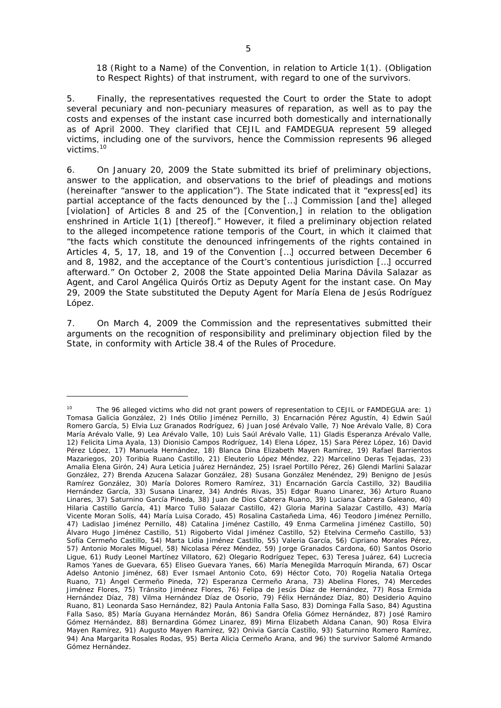18 (Right to a Name) of the Convention, in relation to Article 1(1). (Obligation to Respect Rights) of that instrument, with regard to one of the survivors.

5. Finally, the representatives requested the Court to order the State to adopt several pecuniary and non-pecuniary measures of reparation, as well as to pay the costs and expenses of the instant case incurred both domestically and internationally as of April 2000. They clarified that CEJIL and FAMDEGUA represent 59 alleged victims, including one of the survivors, hence the Commission represents 96 alleged victims.<sup>10</sup>

6. On January 20, 2009 the State submitted its brief of preliminary objections, answer to the application, and observations to the brief of pleadings and motions (hereinafter "answer to the application"). The State indicated that it "express[ed] its partial acceptance of the facts denounced by the […] Commission [and the] alleged [violation] of Articles 8 and 25 of the [Convention,] in relation to the obligation enshrined in Article 1(1) [thereof]." However, it filed a preliminary objection related to the alleged incompetence *ratione temporis* of the Court, in which it claimed that "the facts which constitute the denounced infringements of the rights contained in Articles 4, 5, 17, 18, and 19 of the Convention […] occurred between December 6 and 8, 1982, and the acceptance of the Court's contentious jurisdiction […] occurred afterward." On October 2, 2008 the State appointed Delia Marina Dávila Salazar as Agent, and Carol Angélica Quirós Ortiz as Deputy Agent for the instant case. On May 29, 2009 the State substituted the Deputy Agent for María Elena de Jesús Rodríguez López.

7. On March 4, 2009 the Commission and the representatives submitted their arguments on the recognition of responsibility and preliminary objection filed by the State, in conformity with Article 38.4 of the Rules of Procedure.

<sup>&</sup>lt;sup>10</sup> The 96 alleged victims who did not grant powers of representation to CEJIL or FAMDEGUA are: 1) Tomasa Galicia González, 2) Inés Otilio Jiménez Pernillo, 3) Encarnación Pérez Agustín, 4) Edwin Saúl Romero García, 5) Elvia Luz Granados Rodríguez, 6) Juan José Arévalo Valle, 7) Noe Arévalo Valle, 8) Cora María Arévalo Valle, 9) Lea Arévalo Valle, 10) Luis Saúl Arévalo Valle, 11) Gladis Esperanza Arévalo Valle, 12) Felicita Lima Ayala, 13) Dionisio Campos Rodríguez, 14) Elena López, 15) Sara Pérez López, 16) David Pérez López, 17) Manuela Hernández, 18) Blanca Dina Elizabeth Mayen Ramírez, 19) Rafael Barrientos Mazariegos, 20) Toribia Ruano Castillo, 21) Eleuterio López Méndez, 22) Marcelino Deras Tejadas, 23) Amalia Elena Girón, 24) Aura Leticia Juárez Hernández, 25) Israel Portillo Pérez, 26) Glendi Marlini Salazar González, 27) Brenda Azucena Salazar González, 28) Susana González Menéndez, 29) Benigno de Jesús Ramírez González, 30) María Dolores Romero Ramírez, 31) Encarnación García Castillo, 32) Baudilia Hernández García, 33) Susana Linarez, 34) Andrés Rivas, 35) Edgar Ruano Linarez, 36) Arturo Ruano Linares, 37) Saturnino García Pineda, 38) Juan de Dios Cabrera Ruano, 39) Luciana Cabrera Galeano, 40) Hilaria Castillo García, 41) Marco Tulio Salazar Castillo, 42) Gloria Marina Salazar Castillo, 43) María Vicente Moran Solís, 44) María Luisa Corado, 45) Rosalina Castañeda Lima, 46) Teodoro Jiménez Pernillo, 47) Ladislao Jiménez Pernillo, 48) Catalina Jiménez Castillo, 49 Enma Carmelina Jiménez Castillo, 50) Álvaro Hugo Jiménez Castillo, 51) Rigoberto Vidal Jiménez Castillo, 52) Etelvina Cermeño Castillo, 53) Sofía Cermeño Castillo, 54) Marta Lidia Jiménez Castillo, 55) Valeria García, 56) Cipriano Morales Pérez, 57) Antonio Morales Miguel, 58) Nicolasa Pérez Méndez, 59) Jorge Granados Cardona, 60) Santos Osorio Ligue, 61) Rudy Leonel Martínez Villatoro, 62) Olegario Rodríguez Tepec, 63) Teresa Juárez, 64) Lucrecia Ramos Yanes de Guevara, 65) Eliseo Guevara Yanes, 66) María Menegilda Marroquín Miranda, 67) Oscar Adelso Antonio Jiménez, 68) Ever Ismael Antonio Coto, 69) Héctor Coto, 70) Rogelia Natalia Ortega Ruano, 71) Ángel Cermeño Pineda, 72) Esperanza Cermeño Arana, 73) Abelina Flores, 74) Mercedes Jiménez Flores, 75) Tránsito Jiménez Flores, 76) Felipa de Jesús Díaz de Hernández, 77) Rosa Ermida Hernández Díaz, 78) Vilma Hernández Díaz de Osorio, 79) Félix Hernández Díaz, 80) Desiderio Aquino Ruano, 81) Leonarda Saso Hernández, 82) Paula Antonia Falla Saso, 83) Dominga Falla Saso, 84) Agustina Falla Saso, 85) María Guyana Hernández Morán, 86) Sandra Ofelia Gómez Hernández, 87) José Ramiro Gómez Hernández, 88) Bernardina Gómez Linarez, 89) Mirna Elizabeth Aldana Canan, 90) Rosa Elvira Mayen Ramírez, 91) Augusto Mayen Ramírez, 92) Onivia García Castillo, 93) Saturnino Romero Ramírez, 94) Ana Margarita Rosales Rodas, 95) Berta Alicia Cermeño Arana, and 96) the survivor Salomé Armando Gómez Hernández.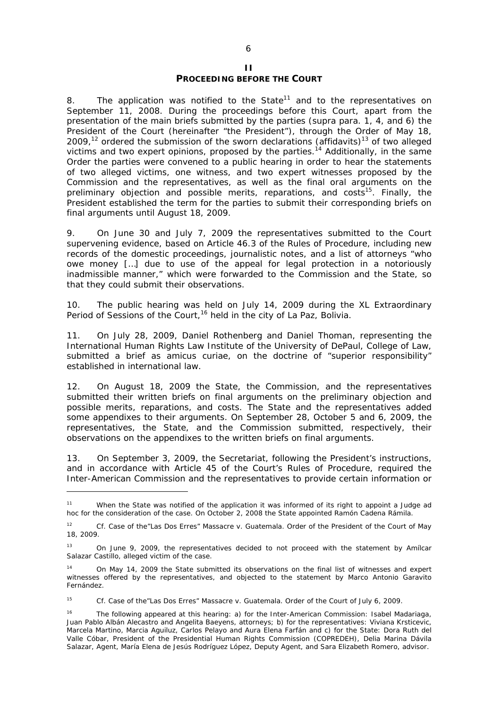#### **II PROCEEDING BEFORE THE COURT**

8. The application was notified to the State<sup>11</sup> and to the representatives on September 11, 2008. During the proceedings before this Court, apart from the presentation of the main briefs submitted by the parties (*supra* para. 1, 4, and 6) the President of the Court (hereinafter "the President"), through the Order of May 18, 2009,<sup>12</sup> ordered the submission of the sworn declarations (affidavits)<sup>13</sup> of two alleged victims and two expert opinions, proposed by the parties.<sup>14</sup> Additionally, in the same Order the parties were convened to a public hearing in order to hear the statements of two alleged victims, one witness, and two expert witnesses proposed by the Commission and the representatives, as well as the final oral arguments on the preliminary objection and possible merits, reparations, and costs<sup>15</sup>. Finally, the President established the term for the parties to submit their corresponding briefs on final arguments until August 18, 2009.

9. On June 30 and July 7, 2009 the representatives submitted to the Court supervening evidence, based on Article 46.3 of the Rules of Procedure, including new records of the domestic proceedings, journalistic notes, and a list of attorneys "who owe money […] due to use of the appeal for legal protection in a notoriously inadmissible manner," which were forwarded to the Commission and the State, so that they could submit their observations.

10. The public hearing was held on July 14, 2009 during the XL Extraordinary Period of Sessions of the Court,<sup>16</sup> held in the city of La Paz, Bolivia.

11. On July 28, 2009, Daniel Rothenberg and Daniel Thoman, representing the *International Human Rights Law Institute of the University of DePaul, College of Law*, submitted a brief as *amicus curiae*, on the doctrine of "superior responsibility" established in international law.

12. On August 18, 2009 the State, the Commission, and the representatives submitted their written briefs on final arguments on the preliminary objection and possible merits, reparations, and costs. The State and the representatives added some appendixes to their arguments. On September 28, October 5 and 6, 2009, the representatives, the State, and the Commission submitted, respectively, their observations on the appendixes to the written briefs on final arguments.

13. On September 3, 2009, the Secretariat, following the President's instructions, and in accordance with Article 45 of the Court's Rules of Procedure, required the Inter-American Commission and the representatives to provide certain information or

1

<sup>15</sup> *Cf. Case of the"Las Dos Erres" Massacre v. Guatemala*. Order of the Court of July 6, 2009.

<sup>&</sup>lt;sup>11</sup> When the State was notified of the application it was informed of its right to appoint a Judge ad hoc for the consideration of the case. On October 2, 2008 the State appointed Ramón Cadena Rámila.

<sup>12</sup> *Cf. Case of the"Las Dos Erres" Massacre v. Guatemala*. Order of the President of the Court of May 18, 2009.

<sup>&</sup>lt;sup>13</sup> On June 9, 2009, the representatives decided to not proceed with the statement by Amílcar Salazar Castillo, alleged victim of the case.

<sup>14</sup> On May 14, 2009 the State submitted its observations on the final list of witnesses and expert witnesses offered by the representatives, and objected to the statement by Marco Antonio Garavito Fernández.

<sup>&</sup>lt;sup>16</sup> The following appeared at this hearing: a) for the Inter-American Commission: Isabel Madariaga, Juan Pablo Albán Alecastro and Angelita Baeyens, attorneys; b) for the representatives: Viviana Krsticevic, Marcela Martino, Marcia Aguiluz, Carlos Pelayo and Aura Elena Farfán and c) for the State: Dora Ruth del Valle Cóbar, President of the Presidential Human Rights Commission (COPREDEH), Delia Marina Dávila Salazar, Agent, María Elena de Jesús Rodríguez López, Deputy Agent, and Sara Elizabeth Romero, advisor.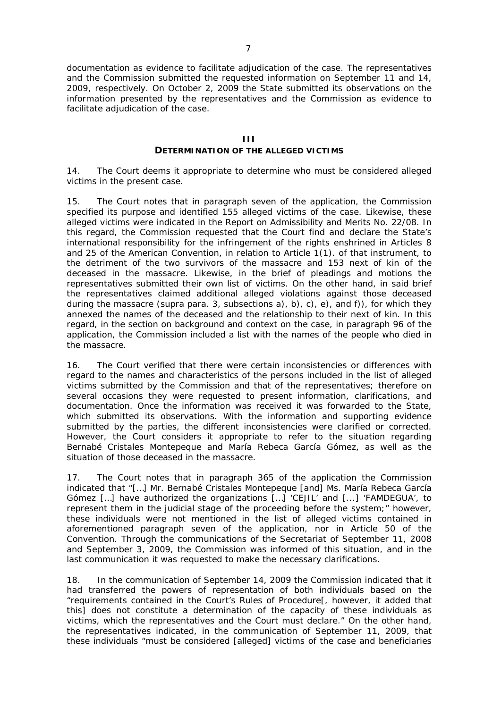documentation as evidence to facilitate adjudication of the case. The representatives and the Commission submitted the requested information on September 11 and 14, 2009, respectively. On October 2, 2009 the State submitted its observations on the information presented by the representatives and the Commission as evidence to facilitate adjudication of the case.

#### **III DETERMINATION OF THE ALLEGED VICTIMS**

14. The Court deems it appropriate to determine who must be considered alleged victims in the present case.

15. The Court notes that in paragraph seven of the application, the Commission specified its purpose and identified 155 alleged victims of the case. Likewise, these alleged victims were indicated in the Report on Admissibility and Merits No. 22/08. In this regard, the Commission requested that the Court find and declare the State's international responsibility for the infringement of the rights enshrined in Articles 8 and 25 of the American Convention, in relation to Article 1(1). of that instrument, to the detriment of the two survivors of the massacre and 153 next of kin of the deceased in the massacre. Likewise, in the brief of pleadings and motions the representatives submitted their own list of victims. On the other hand, in said brief the representatives claimed additional alleged violations against those deceased during the massacre (*supra* para. 3, subsections a), b), c), e), and f)), for which they annexed the names of the deceased and the relationship to their next of kin. In this regard, in the section on background and context on the case, in paragraph 96 of the application, the Commission included a list with the names of the people who died in the massacre.

16. The Court verified that there were certain inconsistencies or differences with regard to the names and characteristics of the persons included in the list of alleged victims submitted by the Commission and that of the representatives; therefore on several occasions they were requested to present information, clarifications, and documentation. Once the information was received it was forwarded to the State, which submitted its observations. With the information and supporting evidence submitted by the parties, the different inconsistencies were clarified or corrected. However, the Court considers it appropriate to refer to the situation regarding Bernabé Cristales Montepeque and María Rebeca García Gómez, as well as the situation of those deceased in the massacre.

17. The Court notes that in paragraph 365 of the application the Commission indicated that "[…] Mr. Bernabé Cristales Montepeque [and] Ms. María Rebeca García Gómez […] have authorized the organizations […] 'CEJIL' and [...] 'FAMDEGUA', to represent them in the judicial stage of the proceeding before the system;" however, these individuals were not mentioned in the list of alleged victims contained in aforementioned paragraph seven of the application, nor in Article 50 of the Convention. Through the communications of the Secretariat of September 11, 2008 and September 3, 2009, the Commission was informed of this situation, and in the last communication it was requested to make the necessary clarifications.

18. In the communication of September 14, 2009 the Commission indicated that it had transferred the powers of representation of both individuals based on the "requirements contained in the Court's Rules of Procedure[, however, it added that this] does not constitute a determination of the capacity of these individuals as victims, which the representatives and the Court must declare." On the other hand, the representatives indicated, in the communication of September 11, 2009, that these individuals "must be considered [alleged] victims of the case and beneficiaries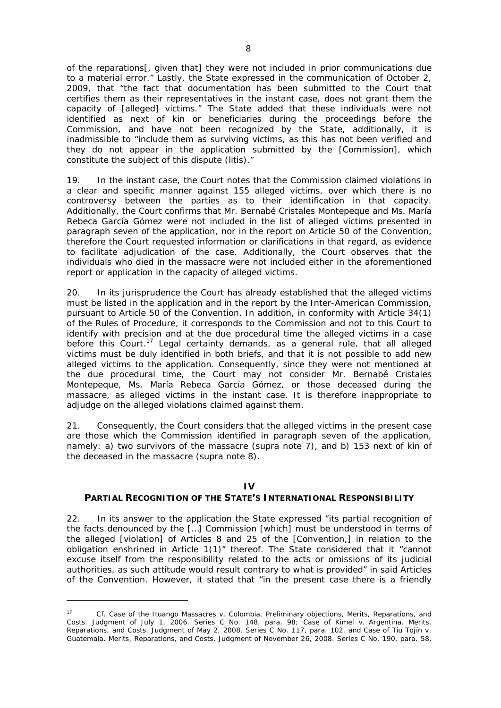of the reparations[, given that] they were not included in prior communications due to a material error." Lastly, the State expressed in the communication of October 2, 2009, that "the fact that documentation has been submitted to the Court that certifies them as their representatives in the instant case, does not grant them the capacity of [alleged] victims." The State added that these individuals were not identified as next of kin or beneficiaries during the proceedings before the Commission, and have not been recognized by the State, additionally, it is inadmissible to "include them as surviving victims, as this has not been verified and they do not appear in the application submitted by the [Commission], which constitute the subject of this dispute (litis)."

19. In the instant case, the Court notes that the Commission claimed violations in a clear and specific manner against 155 alleged victims, over which there is no controversy between the parties as to their identification in that capacity. Additionally, the Court confirms that Mr. Bernabé Cristales Montepeque and Ms. María Rebeca García Gómez were not included in the list of alleged victims presented in paragraph seven of the application, nor in the report on Article 50 of the Convention, therefore the Court requested information or clarifications in that regard, as evidence to facilitate adjudication of the case. Additionally, the Court observes that the individuals who died in the massacre were not included either in the aforementioned report or application in the capacity of alleged victims.

20. In its jurisprudence the Court has already established that the alleged victims must be listed in the application and in the report by the Inter-American Commission, pursuant to Article 50 of the Convention. In addition, in conformity with Article 34(1) of the Rules of Procedure, it corresponds to the Commission and not to this Court to identify with precision and at the due procedural time the alleged victims in a case before this Court.<sup>17</sup> Legal certainty demands, as a general rule, that all alleged victims must be duly identified in both briefs, and that it is not possible to add new alleged victims to the application. Consequently, since they were not mentioned at the due procedural time, the Court may not consider Mr. Bernabé Cristales Montepeque, Ms. María Rebeca García Gómez, or those deceased during the massacre, as alleged victims in the instant case. It is therefore inappropriate to adjudge on the alleged violations claimed against them.

21. Consequently, the Court considers that the alleged victims in the present case are those which the Commission identified in paragraph seven of the application, namely: a) two survivors of the massacre (*supra* note 7), and b) 153 next of kin of the deceased in the massacre (*supra* note 8).

## **IV**

## **PARTIAL RECOGNITION OF THE STATE'S INTERNATIONAL RESPONSIBILITY**

22. In its answer to the application the State expressed "its partial recognition of the facts denounced by the […] Commission [which] must be understood in terms of the alleged [violation] of Articles 8 and 25 of the [Convention,] in relation to the obligation enshrined in Article 1(1)" thereof. The State considered that it "cannot excuse itself from the responsibility related to the acts or omissions of its judicial authorities, as such attitude would result contrary to what is provided" in said Articles of the Convention. However, it stated that "in the present case there is a friendly

<sup>17</sup>*Cf. Case of the Ituango Massacres v. Colombia.* Preliminary objections, Merits, Reparations, and Costs. Judgment of July 1, 2006. Series C No. 148, para. 98; *Case of Kimel v. Argentina.* Merits, Reparations, and Costs. Judgment of May 2, 2008. Series C No. 117, para. 102, and *Case of Tiu Tojín v. Guatemala*. Merits, Reparations, and Costs. Judgment of November 26, 2008. Series C No. 190, para. 58.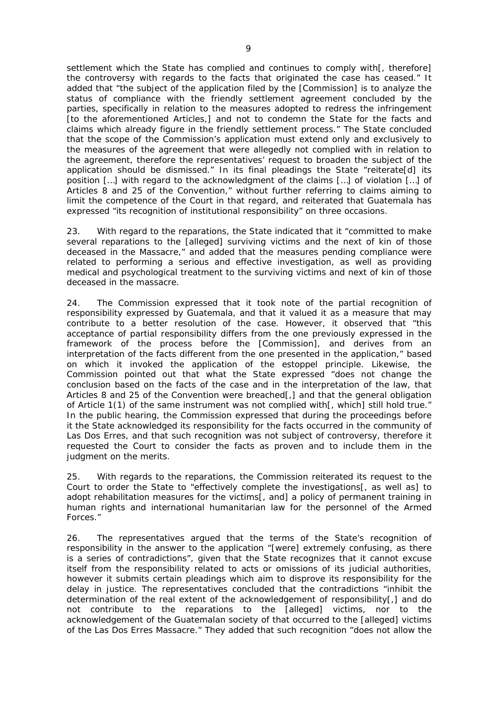settlement which the State has complied and continues to comply with[, therefore] the controversy with regards to the facts that originated the case has ceased." It added that "the subject of the application filed by the [Commission] is to analyze the status of compliance with the friendly settlement agreement concluded by the parties, specifically in relation to the measures adopted to redress the infringement [to the aforementioned Articles,] and not to condemn the State for the facts and claims which already figure in the friendly settlement process." The State concluded that the scope of the Commission's application must extend only and exclusively to the measures of the agreement that were allegedly not complied with in relation to the agreement, therefore the representatives' request to broaden the subject of the application should be dismissed." In its final pleadings the State "reiterate[d] its position […] with regard to the acknowledgment of the claims […] of violation […] of Articles 8 and 25 of the Convention," without further referring to claims aiming to limit the competence of the Court in that regard, and reiterated that Guatemala has expressed "its recognition of institutional responsibility" on three occasions.

23. With regard to the reparations, the State indicated that it "committed to make several reparations to the [alleged] surviving victims and the next of kin of those deceased in the Massacre," and added that the measures pending compliance were related to performing a serious and effective investigation, as well as providing medical and psychological treatment to the surviving victims and next of kin of those deceased in the massacre.

24. The Commission expressed that it took note of the partial recognition of responsibility expressed by Guatemala, and that it valued it as a measure that may contribute to a better resolution of the case. However, it observed that "this acceptance of partial responsibility differs from the one previously expressed in the framework of the process before the [Commission], and derives from an interpretation of the facts different from the one presented in the application," based on which it invoked the application of the *estoppel* principle. Likewise, the Commission pointed out that what the State expressed "does not change the conclusion based on the facts of the case and in the interpretation of the law, that Articles 8 and 25 of the Convention were breached[,] and that the general obligation of Article 1(1) of the same instrument was not complied with[, which] still hold true." In the public hearing, the Commission expressed that during the proceedings before it the State acknowledged its responsibility for the facts occurred in the community of Las Dos Erres, and that such recognition was not subject of controversy, therefore it requested the Court to consider the facts as proven and to include them in the judgment on the merits.

25. With regards to the reparations, the Commission reiterated its request to the Court to order the State to "effectively complete the investigations[, as well as] to adopt rehabilitation measures for the victims[, and] a policy of permanent training in human rights and international humanitarian law for the personnel of the Armed Forces."

26. The representatives argued that the terms of the State's recognition of responsibility in the answer to the application "[were] extremely confusing, as there is a series of contradictions", given that the State recognizes that it cannot excuse itself from the responsibility related to acts or omissions of its judicial authorities, however it submits certain pleadings which aim to disprove its responsibility for the delay in justice. The representatives concluded that the contradictions "inhibit the determination of the real extent of the acknowledgement of responsibility[,] and do not contribute to the reparations to the [alleged] victims, nor to the acknowledgement of the Guatemalan society of that occurred to the [alleged] victims of the Las Dos Erres Massacre." They added that such recognition "does not allow the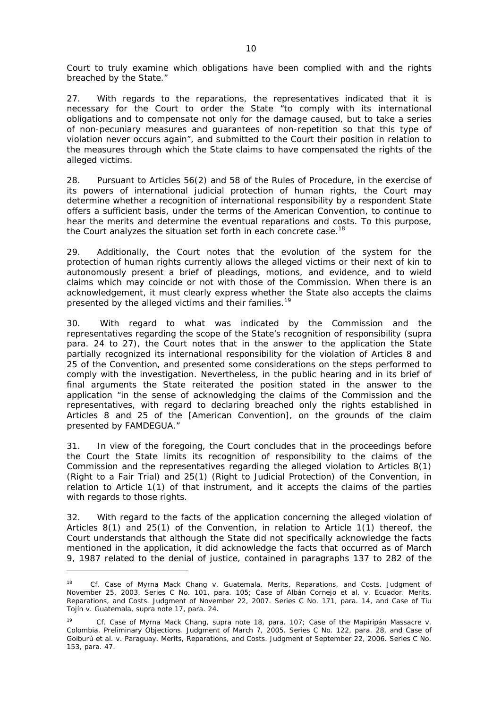Court to truly examine which obligations have been complied with and the rights breached by the State."

27. With regards to the reparations, the representatives indicated that it is necessary for the Court to order the State "to comply with its international obligations and to compensate not only for the damage caused, but to take a series of non-pecuniary measures and guarantees of non-repetition so that this type of violation never occurs again", and submitted to the Court their position in relation to the measures through which the State claims to have compensated the rights of the alleged victims.

28. Pursuant to Articles 56(2) and 58 of the Rules of Procedure, in the exercise of its powers of international judicial protection of human rights, the Court may determine whether a recognition of international responsibility by a respondent State offers a sufficient basis, under the terms of the American Convention, to continue to hear the merits and determine the eventual reparations and costs. To this purpose, the Court analyzes the situation set forth in each concrete case.<sup>18</sup>

29. Additionally, the Court notes that the evolution of the system for the protection of human rights currently allows the alleged victims or their next of kin to autonomously present a brief of pleadings, motions, and evidence, and to wield claims which may coincide or not with those of the Commission. When there is an acknowledgement, it must clearly express whether the State also accepts the claims presented by the alleged victims and their families.<sup>19</sup>

30. With regard to what was indicated by the Commission and the representatives regarding the scope of the State's recognition of responsibility (supra para. 24 to 27), the Court notes that in the answer to the application the State partially recognized its international responsibility for the violation of Articles 8 and 25 of the Convention, and presented some considerations on the steps performed to comply with the investigation. Nevertheless, in the public hearing and in its brief of final arguments the State reiterated the position stated in the answer to the application "in the sense of acknowledging the claims of the Commission and the representatives, with regard to declaring breached only the rights established in Articles 8 and 25 of the [American Convention], on the grounds of the claim presented by FAMDEGUA."

31. In view of the foregoing, the Court concludes that in the proceedings before the Court the State limits its recognition of responsibility to the claims of the Commission and the representatives regarding the alleged violation to Articles 8(1) (Right to a Fair Trial) and 25(1) (Right to Judicial Protection) of the Convention, in relation to Article 1(1) of that instrument, and it accepts the claims of the parties with regards to those rights.

32. With regard to the facts of the application concerning the alleged violation of Articles 8(1) and 25(1) of the Convention, in relation to Article 1(1) thereof, the Court understands that although the State did not specifically acknowledge the facts mentioned in the application, it did acknowledge the facts that occurred as of March 9, 1987 related to the denial of justice, contained in paragraphs 137 to 282 of the

<sup>18</sup> *Cf. Case of Myrna Mack Chang v. Guatemala*. Merits, Reparations, and Costs. Judgment of November 25, 2003. Series C No. 101, para. 105; *Case of Albán Cornejo et al. v. Ecuador*. Merits, Reparations, and Costs. Judgment of November 22, 2007. Series C No. 171, para. 14, and *Case of Tiu Tojín v. Guatemala, supra* note 17, para. 24.

<sup>19</sup> *Cf. Case of Myrna Mack Chang, supra* note 18, para. 107; *Case of the Mapiripán Massacre v. Colombia.* Preliminary Objections. Judgment of March 7, 2005. Series C No. 122, para. 28, and Case of Goiburú et al. *v.* Paraguay. Merits, Reparations, and Costs. Judgment of September 22, 2006. Series C No. 153, para. 47.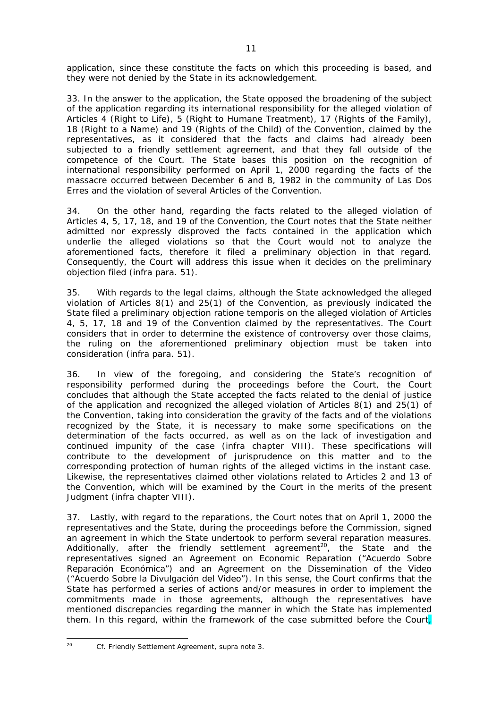application, since these constitute the facts on which this proceeding is based, and they were not denied by the State in its acknowledgement.

33. In the answer to the application, the State opposed the broadening of the subject of the application regarding its international responsibility for the alleged violation of Articles 4 (Right to Life), 5 (Right to Humane Treatment), 17 (Rights of the Family), 18 (Right to a Name) and 19 (Rights of the Child) of the Convention, claimed by the representatives, as it considered that the facts and claims had already been subjected to a friendly settlement agreement, and that they fall outside of the competence of the Court. The State bases this position on the recognition of international responsibility performed on April 1, 2000 regarding the facts of the massacre occurred between December 6 and 8, 1982 in the community of Las Dos Erres and the violation of several Articles of the Convention.

34. On the other hand, regarding the facts related to the alleged violation of Articles 4, 5, 17, 18, and 19 of the Convention, the Court notes that the State neither admitted nor expressly disproved the facts contained in the application which underlie the alleged violations so that the Court would not to analyze the aforementioned facts, therefore it filed a preliminary objection in that regard. Consequently, the Court will address this issue when it decides on the preliminary objection filed (*infra* para. 51).

35. With regards to the legal claims, although the State acknowledged the alleged violation of Articles 8(1) and 25(1) of the Convention, as previously indicated the State filed a preliminary objection *ratione temporis* on the alleged violation of Articles 4, 5, 17, 18 and 19 of the Convention claimed by the representatives. The Court considers that in order to determine the existence of controversy over those claims, the ruling on the aforementioned preliminary objection must be taken into consideration (*infra* para. 51).

36. In view of the foregoing, and considering the State's recognition of responsibility performed during the proceedings before the Court, the Court concludes that although the State accepted the facts related to the denial of justice of the application and recognized the alleged violation of Articles 8(1) and 25(1) of the Convention, taking into consideration the gravity of the facts and of the violations recognized by the State, it is necessary to make some specifications on the determination of the facts occurred, as well as on the lack of investigation and continued impunity of the case (*infra* chapter VIII). These specifications will contribute to the development of jurisprudence on this matter and to the corresponding protection of human rights of the alleged victims in the instant case. Likewise, the representatives claimed other violations related to Articles 2 and 13 of the Convention, which will be examined by the Court in the merits of the present Judgment (*infra* chapter VIII).

37. Lastly, with regard to the reparations, the Court notes that on April 1, 2000 the representatives and the State, during the proceedings before the Commission, signed an agreement in which the State undertook to perform several reparation measures. Additionally, after the friendly settlement agreement<sup>20</sup>, the State and the representatives signed an Agreement on Economic Reparation ("Acuerdo Sobre Reparación Económica") and an Agreement on the Dissemination of the Video ("Acuerdo Sobre la Divulgación del Video"). In this sense, the Court confirms that the State has performed a series of actions and/or measures in order to implement the commitments made in those agreements, although the representatives have mentioned discrepancies regarding the manner in which the State has implemented them. In this regard, within the framework of the case submitted before the Court,

 $20\degree$ 

<sup>20</sup> *Cf.* Friendly Settlement Agreement, *supra* note 3.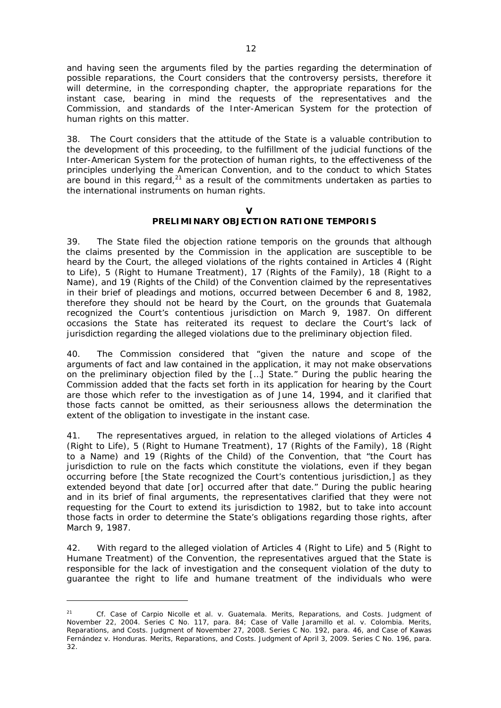and having seen the arguments filed by the parties regarding the determination of possible reparations, the Court considers that the controversy persists, therefore it will determine, in the corresponding chapter, the appropriate reparations for the instant case, bearing in mind the requests of the representatives and the Commission, and standards of the Inter-American System for the protection of human rights on this matter.

38. The Court considers that the attitude of the State is a valuable contribution to the development of this proceeding, to the fulfillment of the judicial functions of the Inter-American System for the protection of human rights, to the effectiveness of the principles underlying the American Convention, and to the conduct to which States are bound in this regard, $21$  as a result of the commitments undertaken as parties to the international instruments on human rights.

#### **V**

## **PRELIMINARY OBJECTION RATIONE TEMPORIS**

39. The State filed the objection *ratione temporis* on the grounds that although the claims presented by the Commission in the application are susceptible to be heard by the Court, the alleged violations of the rights contained in Articles 4 (Right to Life), 5 (Right to Humane Treatment), 17 (Rights of the Family), 18 (Right to a Name), and 19 (Rights of the Child) of the Convention claimed by the representatives in their brief of pleadings and motions, occurred between December 6 and 8, 1982, therefore they should not be heard by the Court, on the grounds that Guatemala recognized the Court's contentious jurisdiction on March 9, 1987. On different occasions the State has reiterated its request to declare the Court's lack of jurisdiction regarding the alleged violations due to the preliminary objection filed.

40. The Commission considered that "given the nature and scope of the arguments of fact and law contained in the application, it may not make observations on the preliminary objection filed by the […] State." During the public hearing the Commission added that the facts set forth in its application for hearing by the Court are those which refer to the investigation as of June 14, 1994, and it clarified that those facts cannot be omitted, as their seriousness allows the determination the extent of the obligation to investigate in the instant case.

41. The representatives argued, in relation to the alleged violations of Articles 4 (Right to Life), 5 (Right to Humane Treatment), 17 (Rights of the Family), 18 (Right to a Name) and 19 (Rights of the Child) of the Convention, that "the Court has jurisdiction to rule on the facts which constitute the violations, even if they began occurring before [the State recognized the Court's contentious jurisdiction,] as they extended beyond that date [or] occurred after that date." During the public hearing and in its brief of final arguments, the representatives clarified that they were not requesting for the Court to extend its jurisdiction to 1982, but to take into account those facts in order to determine the State's obligations regarding those rights, after March 9, 1987.

42. With regard to the alleged violation of Articles 4 (Right to Life) and 5 (Right to Humane Treatment) of the Convention, the representatives argued that the State is responsible for the lack of investigation and the consequent violation of the duty to guarantee the right to life and humane treatment of the individuals who were

<sup>21</sup> *Cf. Case of Carpio Nicolle et al. v. Guatemala.* Merits, Reparations, and Costs. Judgment of November 22, 2004. Series C No. 117, para. 84; *Case of Valle Jaramillo et al. v. Colombia.* Merits, Reparations, and Costs. Judgment of November 27, 2008. Series C No. 192, para. 46, and *Case of Kawas Fernández v. Honduras*. Merits, Reparations, and Costs. Judgment of April 3, 2009. Series C No. 196, para. 32.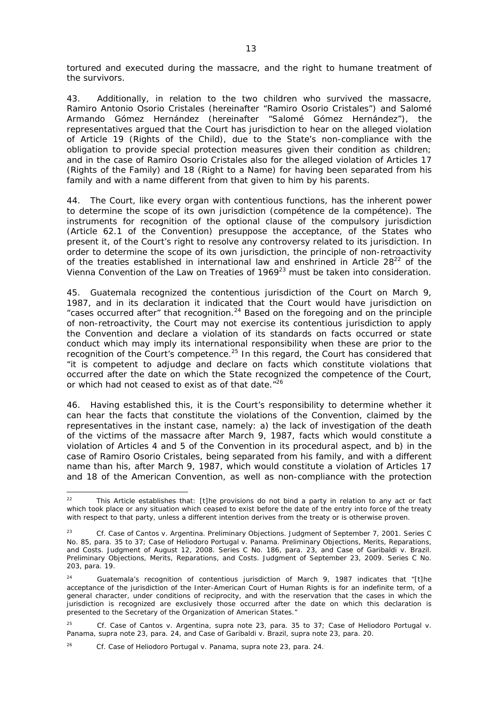tortured and executed during the massacre, and the right to humane treatment of the survivors.

43. Additionally, in relation to the two children who survived the massacre, Ramiro Antonio Osorio Cristales (hereinafter "Ramiro Osorio Cristales") and Salomé Armando Gómez Hernández (hereinafter "Salomé Gómez Hernández"), the representatives argued that the Court has jurisdiction to hear on the alleged violation of Article 19 (Rights of the Child), due to the State's non-compliance with the obligation to provide special protection measures given their condition as children; and in the case of Ramiro Osorio Cristales also for the alleged violation of Articles 17 (Rights of the Family) and 18 (Right to a Name) for having been separated from his family and with a name different from that given to him by his parents.

44. The Court, like every organ with contentious functions, has the inherent power to determine the scope of its own jurisdiction (*compétence de la compétence*). The instruments for recognition of the optional clause of the compulsory jurisdiction (Article 62.1 of the Convention) presuppose the acceptance, of the States who present it, of the Court's right to resolve any controversy related to its jurisdiction. In order to determine the scope of its own jurisdiction, the principle of non-retroactivity of the treaties established in international law and enshrined in Article  $28^{22}$  of the Vienna Convention of the Law on Treaties of  $1969^{23}$  must be taken into consideration.

45. Guatemala recognized the contentious jurisdiction of the Court on March 9, 1987, and in its declaration it indicated that the Court would have jurisdiction on "cases occurred after" that recognition.<sup>24</sup> Based on the foregoing and on the principle of non-retroactivity, the Court may not exercise its contentious jurisdiction to apply the Convention and declare a violation of its standards on facts occurred or state conduct which may imply its international responsibility when these are prior to the recognition of the Court's competence.<sup>25</sup> In this regard, the Court has considered that "it is competent to adjudge and declare on facts which constitute violations that occurred after the date on which the State recognized the competence of the Court, or which had not ceased to exist as of that date.<sup>"26</sup>

46. Having established this, it is the Court's responsibility to determine whether it can hear the facts that constitute the violations of the Convention, claimed by the representatives in the instant case, namely: a) the lack of investigation of the death of the victims of the massacre after March 9, 1987, facts which would constitute a violation of Articles 4 and 5 of the Convention in its procedural aspect, and b) in the case of Ramiro Osorio Cristales, being separated from his family, and with a different name than his, after March 9, 1987, which would constitute a violation of Articles 17 and 18 of the American Convention, as well as non-compliance with the protection

 $22$ This Article establishes that: [t]he provisions do not bind a party in relation to any act or fact which took place or any situation which ceased to exist before the date of the entry into force of the treaty with respect to that party, unless a different intention derives from the treaty or is otherwise proven.

<sup>23</sup> *Cf. Case of Cantos v. Argentina.* Preliminary Objections. Judgment of September 7, 2001. Series C No. 85, para. 35 to 37; *Case of Heliodoro Portugal v. Panama.* Preliminary Objections, Merits, Reparations, and Costs. Judgment of August 12, 2008. Series C No. 186, para. 23, and *Case of Garibaldi v. Brazil.*  Preliminary Objections, Merits, Reparations, and Costs. Judgment of September 23, 2009. Series C No. 203, para. 19.

<sup>&</sup>lt;sup>24</sup> Guatemala's recognition of contentious jurisdiction of March 9, 1987 indicates that "[t]he acceptance of the jurisdiction of the Inter-American Court of Human Rights is for an indefinite term, of a general character, under conditions of reciprocity, and with the reservation that the cases in which the jurisdiction is recognized are exclusively those occurred after the date on which this declaration is presented to the Secretary of the Organization of American States."

<sup>25</sup> *Cf. Case of Cantos v. Argentina, supra* note 23, para. 35 to 37; *Case of Heliodoro Portugal v. Panama, supra* note 23, para. 24, and *Case of Garibaldi v. Brazil, supra* note 23, para. 20.

<sup>&</sup>lt;sup>26</sup> *Cf. Case of Heliodoro Portugal v. Panama, supra* note 23, para. 24.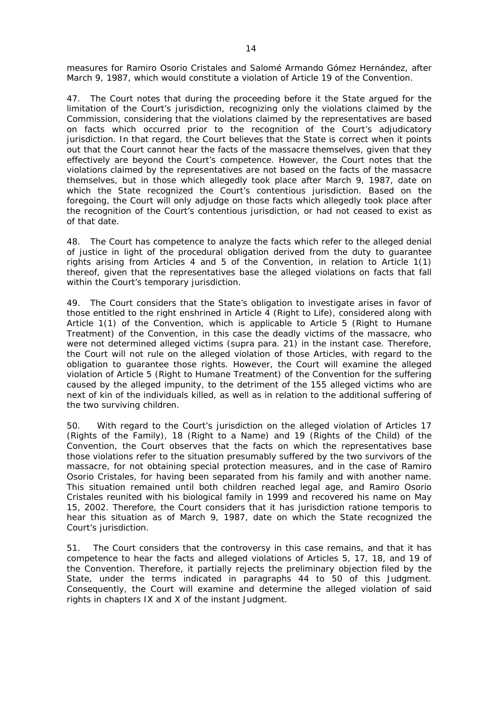measures for Ramiro Osorio Cristales and Salomé Armando Gómez Hernández, after March 9, 1987, which would constitute a violation of Article 19 of the Convention.

47. The Court notes that during the proceeding before it the State argued for the limitation of the Court's jurisdiction, recognizing only the violations claimed by the Commission, considering that the violations claimed by the representatives are based on facts which occurred prior to the recognition of the Court's adjudicatory jurisdiction. In that regard, the Court believes that the State is correct when it points out that the Court cannot hear the facts of the massacre themselves, given that they effectively are beyond the Court's competence. However, the Court notes that the violations claimed by the representatives are not based on the facts of the massacre themselves, but in those which allegedly took place after March 9, 1987, date on which the State recognized the Court's contentious jurisdiction. Based on the foregoing, the Court will only adjudge on those facts which allegedly took place after the recognition of the Court's contentious jurisdiction, or had not ceased to exist as of that date.

48. The Court has competence to analyze the facts which refer to the alleged denial of justice in light of the procedural obligation derived from the duty to guarantee rights arising from Articles 4 and 5 of the Convention, in relation to Article 1(1) thereof, given that the representatives base the alleged violations on facts that fall within the Court's temporary jurisdiction.

49. The Court considers that the State's obligation to investigate arises in favor of those entitled to the right enshrined in Article 4 (Right to Life), considered along with Article 1(1) of the Convention, which is applicable to Article 5 (Right to Humane Treatment) of the Convention, in this case the deadly victims of the massacre, who were not determined alleged victims (*supra* para. 21) in the instant case. Therefore, the Court will not rule on the alleged violation of those Articles, with regard to the obligation to guarantee those rights. However, the Court will examine the alleged violation of Article 5 (Right to Humane Treatment) of the Convention for the suffering caused by the alleged impunity, to the detriment of the 155 alleged victims who are next of kin of the individuals killed, as well as in relation to the additional suffering of the two surviving children.

50. With regard to the Court's jurisdiction on the alleged violation of Articles 17 (Rights of the Family), 18 (Right to a Name) and 19 (Rights of the Child) of the Convention, the Court observes that the facts on which the representatives base those violations refer to the situation presumably suffered by the two survivors of the massacre, for not obtaining special protection measures, and in the case of Ramiro Osorio Cristales, for having been separated from his family and with another name. This situation remained until both children reached legal age, and Ramiro Osorio Cristales reunited with his biological family in 1999 and recovered his name on May 15, 2002. Therefore, the Court considers that it has jurisdiction ratione temporis to hear this situation as of March 9, 1987, date on which the State recognized the Court's jurisdiction.

51. The Court considers that the controversy in this case remains, and that it has competence to hear the facts and alleged violations of Articles 5, 17, 18, and 19 of the Convention. Therefore, it partially rejects the preliminary objection filed by the State, under the terms indicated in paragraphs 44 to 50 of this Judgment. Consequently, the Court will examine and determine the alleged violation of said rights in chapters IX and X of the instant Judgment.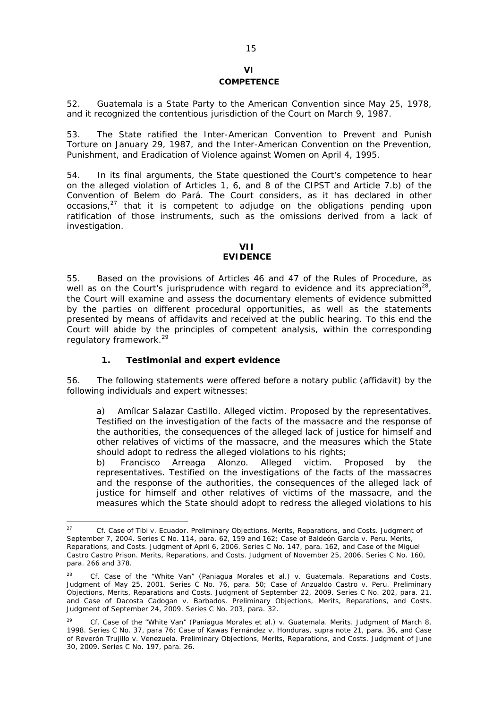# **VI COMPETENCE**

52. Guatemala is a State Party to the American Convention since May 25, 1978, and it recognized the contentious jurisdiction of the Court on March 9, 1987.

53. The State ratified the Inter-American Convention to Prevent and Punish Torture on January 29, 1987, and the Inter-American Convention on the Prevention, Punishment, and Eradication of Violence against Women on April 4, 1995.

54. In its final arguments, the State questioned the Court's competence to hear on the alleged violation of Articles 1, 6, and 8 of the CIPST and Article 7.b) of the Convention of Belem do Pará. The Court considers, as it has declared in other occasions, $2^7$  that it is competent to adjudge on the obligations pending upon ratification of those instruments, such as the omissions derived from a lack of investigation.

# **VII**

# **EVIDENCE**

55. Based on the provisions of Articles 46 and 47 of the Rules of Procedure, as well as on the Court's jurisprudence with regard to evidence and its appreciation<sup>28</sup>, the Court will examine and assess the documentary elements of evidence submitted by the parties on different procedural opportunities, as well as the statements presented by means of affidavits and received at the public hearing. To this end the Court will abide by the principles of competent analysis, within the corresponding regulatory framework.<sup>29</sup>

#### *1. Testimonial and expert evidence*

56. The following statements were offered before a notary public (affidavit) by the following individuals and expert witnesses:

a) *Amílcar Salazar Castillo*. Alleged victim. Proposed by the representatives. Testified on the investigation of the facts of the massacre and the response of the authorities, the consequences of the alleged lack of justice for himself and other relatives of victims of the massacre, and the measures which the State should adopt to redress the alleged violations to his rights;

b) *Francisco Arreaga Alonzo*. Alleged victim. Proposed by the representatives. Testified on the investigations of the facts of the massacres and the response of the authorities, the consequences of the alleged lack of justice for himself and other relatives of victims of the massacre, and the measures which the State should adopt to redress the alleged violations to his

<sup>27</sup>*Cf. Case of Tibi v. Ecuador.* Preliminary Objections, Merits, Reparations, and Costs. Judgment of September 7, 2004. Series C No. 114, para. 62, 159 and 162*; Case of Baldeón García v. Peru.* Merits, Reparations, and Costs. Judgment of April 6, 2006. Series C No. 147, para. 162*,* and *Case of the Miguel Castro Castro Prison*. Merits, Reparations, and Costs. Judgment of November 25, 2006. Series C No. 160, para. 266 and 378.

<sup>28</sup> *Cf. Case of the "White Van" (Paniagua Morales et al.) v. Guatemala. Reparations and Costs.*  Judgment of May 25, 2001. Series C No. 76, para. 50; *Case of Anzualdo Castro v. Peru.* Preliminary Objections, Merits, Reparations and Costs. Judgment of September 22, 2009. Series C No. 202, para. 21, and *Case of Dacosta Cadogan v. Barbados.* Preliminary Objections, Merits, Reparations, and Costs. Judgment of September 24, 2009. Series C No. 203, para. 32.

<sup>29</sup> *Cf. Case of the "White Van" (Paniagua Morales et al.) v. Guatemala. Merits.* Judgment of March 8, 1998. Series C No. 37, para 76; *Case of Kawas Fernández v. Honduras, supra* note 21*,* para*.* 36, and *Case of Reverón Trujillo v. Venezuela.* Preliminary Objections, Merits, Reparations, and Costs. Judgment of June 30, 2009. Series C No. 197*,* para. 26.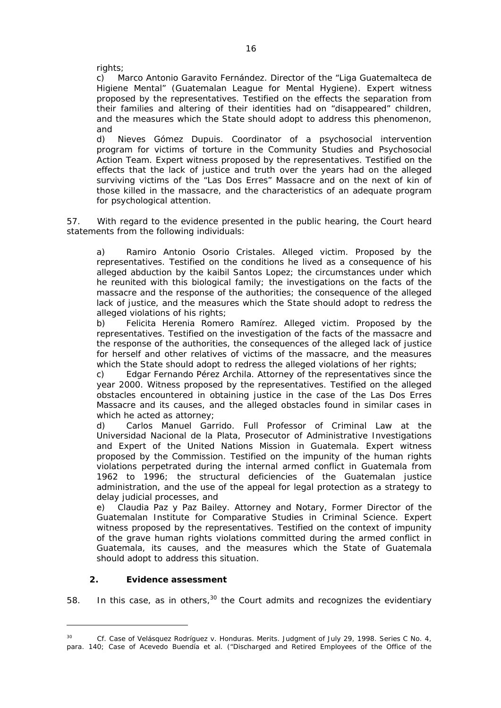rights;

c) *Marco Antonio Garavito Fernández.* Director of the "Liga Guatemalteca de Higiene Mental" (Guatemalan League for Mental Hygiene). Expert witness proposed by the representatives. Testified on the effects the separation from their families and altering of their identities had on "disappeared" children, and the measures which the State should adopt to address this phenomenon, and

d) *Nieves Gómez Dupuis*. Coordinator of a psychosocial intervention program for victims of torture in the Community Studies and Psychosocial Action Team. Expert witness proposed by the representatives. Testified on the effects that the lack of justice and truth over the years had on the alleged surviving victims of the "Las Dos Erres" Massacre and on the next of kin of those killed in the massacre, and the characteristics of an adequate program for psychological attention.

57. With regard to the evidence presented in the public hearing, the Court heard statements from the following individuals:

a) *Ramiro Antonio Osorio Cristales.* Alleged victim. Proposed by the representatives. Testified on the conditions he lived as a consequence of his alleged abduction by the kaibil Santos Lopez; the circumstances under which he reunited with this biological family; the investigations on the facts of the massacre and the response of the authorities; the consequence of the alleged lack of justice, and the measures which the State should adopt to redress the alleged violations of his rights;

b) *Felicita Herenia Romero Ramírez.* Alleged victim. Proposed by the representatives. Testified on the investigation of the facts of the massacre and the response of the authorities, the consequences of the alleged lack of justice for herself and other relatives of victims of the massacre, and the measures which the State should adopt to redress the alleged violations of her rights;

c) *Edgar Fernando Pérez Archila.* Attorney of the representatives since the year 2000. Witness proposed by the representatives. Testified on the alleged obstacles encountered in obtaining justice in the case of the Las Dos Erres Massacre and its causes, and the alleged obstacles found in similar cases in which he acted as attorney;

d) *Carlos Manuel Garrido.* Full Professor of Criminal Law at the Universidad Nacional de la Plata, Prosecutor of Administrative Investigations and Expert of the United Nations Mission in Guatemala. Expert witness proposed by the Commission. Testified on the impunity of the human rights violations perpetrated during the internal armed conflict in Guatemala from 1962 to 1996; the structural deficiencies of the Guatemalan justice administration, and the use of the appeal for legal protection as a strategy to delay judicial processes, and

e) *Claudia Paz y Paz Bailey.* Attorney and Notary, Former Director of the Guatemalan Institute for Comparative Studies in Criminal Science. Expert witness proposed by the representatives. Testified on the context of impunity of the grave human rights violations committed during the armed conflict in Guatemala, its causes, and the measures which the State of Guatemala should adopt to address this situation.

## *2. Evidence assessment*

1

58. In this case, as in others,  $30$  the Court admits and recognizes the evidentiary

<sup>30</sup> *Cf. Case of Velásquez Rodríguez v. Honduras.* Merits. Judgment of July 29, 1998. Series C No. 4, para. 140; *Case of Acevedo Buendía et al. ("Discharged and Retired Employees of the Office of the*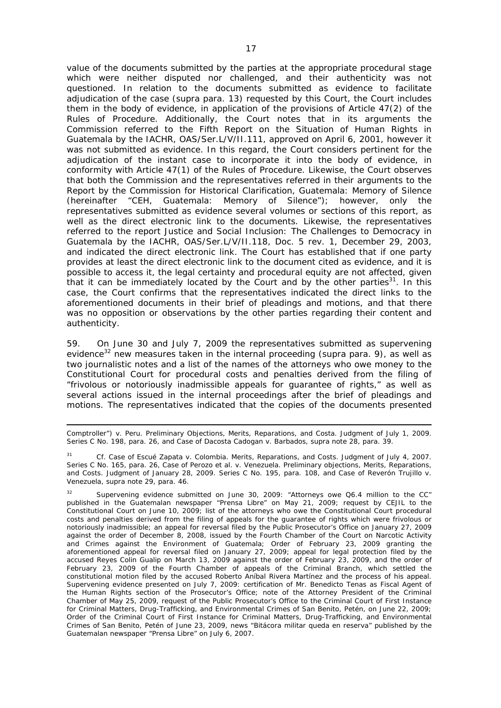value of the documents submitted by the parties at the appropriate procedural stage which were neither disputed nor challenged, and their authenticity was not questioned. In relation to the documents submitted as evidence to facilitate adjudication of the case (*supra* para. 13) requested by this Court, the Court includes them in the body of evidence, in application of the provisions of Article 47(2) of the Rules of Procedure. Additionally, the Court notes that in its arguments the Commission referred to the *Fifth Report on the Situation of Human Rights in Guatemala* by the IACHR, OAS/Ser.L/V/II.111, approved on April 6, 2001, however it was not submitted as evidence. In this regard, the Court considers pertinent for the adjudication of the instant case to incorporate it into the body of evidence, in conformity with Article 47(1) of the Rules of Procedure. Likewise, the Court observes that both the Commission and the representatives referred in their arguments to the Report by the Commission for Historical Clarification, Guatemala: *Memory of Silence* (hereinafter "CEH, *Guatemala: Memory of Silence"*); however, only the representatives submitted as evidence several volumes or sections of this report, as well as the direct electronic link to the documents. Likewise, the representatives referred to the report *Justice and Social Inclusion: The Challenges to Democracy in Guatemala* by the IACHR, OAS/Ser.L/V/II.118, Doc. 5 re*v.* 1, December 29, 2003, and indicated the direct electronic link. The Court has established that if one party provides at least the direct electronic link to the document cited as evidence, and it is possible to access it, the legal certainty and procedural equity are not affected, given that it can be immediately located by the Court and by the other parties<sup>31</sup>. In this case, the Court confirms that the representatives indicated the direct links to the aforementioned documents in their brief of pleadings and motions, and that there was no opposition or observations by the other parties regarding their content and authenticity.

59. On June 30 and July 7, 2009 the representatives submitted as supervening evidence<sup>32</sup> new measures taken in the internal proceeding (*supra* para. 9), as well as two journalistic notes and a list of the names of the attorneys who owe money to the Constitutional Court for procedural costs and penalties derived from the filing of "frivolous or notoriously inadmissible appeals for guarantee of rights," as well as several actions issued in the internal proceedings after the brief of pleadings and motions. The representatives indicated that the copies of the documents presented

<sup>1</sup> *Comptroller") v. Peru.* Preliminary Objections, Merits, Reparations, and Costa. Judgment of July 1, 2009. Series C No. 198, para. 26, and *Case of Dacosta Cadogan v. Barbados, supra* note 28, para. 39.

<sup>&</sup>lt;sup>31</sup> *Cf. Case of Escué Zapata v. Colombia. Merits, Reparations, and Costs. Judgment of July 4, 2007.* Series C No. 165, para. 26, *Case of Perozo et al. v. Venezuela.* Preliminary objections, Merits, Reparations, and Costs. Judgment of January 28, 2009. Series C No. 195, para. 108, and *Case of Reverón Trujillo v. Venezuela, supra* note 29, para. 46.

<sup>32</sup> Supervening evidence submitted on June 30, 2009: "Attorneys owe Q6.4 million to the CC" published in the Guatemalan newspaper "Prensa Libre" on May 21, 2009; request by CEJIL to the Constitutional Court on June 10, 2009; list of the attorneys who owe the Constitutional Court procedural costs and penalties derived from the filing of appeals for the guarantee of rights which were frivolous or notoriously inadmissible; an appeal for reversal filed by the Public Prosecutor's Office on January 27, 2009 against the order of December 8, 2008, issued by the Fourth Chamber of the Court on Narcotic Activity and Crimes against the Environment of Guatemala; Order of February 23, 2009 granting the aforementioned appeal for reversal filed on January 27, 2009; appeal for legal protection filed by the accused Reyes Colin Gualip on March 13, 2009 against the order of February 23, 2009, and the order of February 23, 2009 of the Fourth Chamber of appeals of the Criminal Branch, which settled the constitutional motion filed by the accused Roberto Aníbal Rivera Martínez and the process of his appeal. Supervening evidence presented on July 7, 2009: certification of Mr. Benedicto Tenas as Fiscal Agent of the Human Rights section of the Prosecutor's Office; note of the Attorney President of the Criminal Chamber of May 25, 2009, request of the Public Prosecutor's Office to the Criminal Court of First Instance for Criminal Matters, Drug-Trafficking, and Environmental Crimes of San Benito, Petén, on June 22, 2009; Order of the Criminal Court of First Instance for Criminal Matters, Drug-Trafficking, and Environmental Crimes of San Benito, Petén of June 23, 2009, news "Bitácora militar queda en reserva" published by the Guatemalan newspaper "Prensa Libre" on July 6, 2007.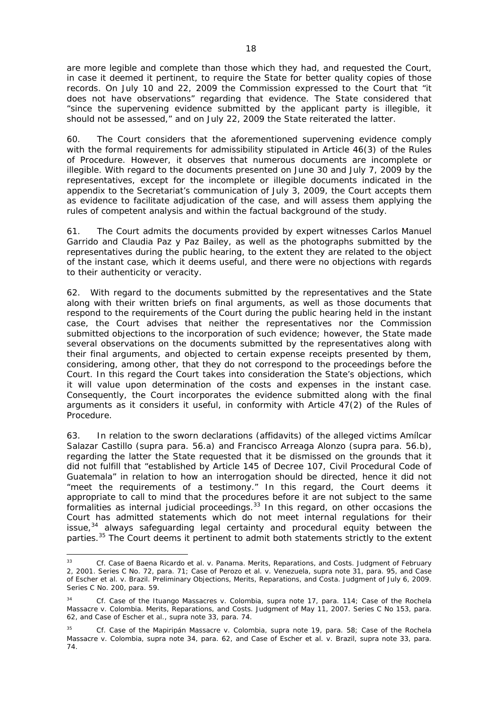are more legible and complete than those which they had, and requested the Court, in case it deemed it pertinent, to require the State for better quality copies of those records. On July 10 and 22, 2009 the Commission expressed to the Court that "it does not have observations" regarding that evidence. The State considered that "since the supervening evidence submitted by the applicant party is illegible, it should not be assessed," and on July 22, 2009 the State reiterated the latter.

60. The Court considers that the aforementioned supervening evidence comply with the formal requirements for admissibility stipulated in Article 46(3) of the Rules of Procedure. However, it observes that numerous documents are incomplete or illegible. With regard to the documents presented on June 30 and July 7, 2009 by the representatives, except for the incomplete or illegible documents indicated in the appendix to the Secretariat's communication of July 3, 2009, the Court accepts them as evidence to facilitate adjudication of the case, and will assess them applying the rules of competent analysis and within the factual background of the study.

61. The Court admits the documents provided by expert witnesses Carlos Manuel Garrido and Claudia Paz y Paz Bailey, as well as the photographs submitted by the representatives during the public hearing, to the extent they are related to the object of the instant case, which it deems useful, and there were no objections with regards to their authenticity or veracity.

62. With regard to the documents submitted by the representatives and the State along with their written briefs on final arguments, as well as those documents that respond to the requirements of the Court during the public hearing held in the instant case, the Court advises that neither the representatives nor the Commission submitted objections to the incorporation of such evidence; however, the State made several observations on the documents submitted by the representatives along with their final arguments, and objected to certain expense receipts presented by them, considering, among other, that they do not correspond to the proceedings before the Court. In this regard the Court takes into consideration the State's objections, which it will value upon determination of the costs and expenses in the instant case. Consequently, the Court incorporates the evidence submitted along with the final arguments as it considers it useful, in conformity with Article 47(2) of the Rules of Procedure.

63. In relation to the sworn declarations (affidavits) of the alleged victims *Amílcar Salazar Castillo* (*supra* para. 56.a) and *Francisco Arreaga Alonzo* (*supra* para. 56.b), regarding the latter the State requested that it be dismissed on the grounds that it did not fulfill that "established by Article 145 of Decree 107, Civil Procedural Code of Guatemala" in relation to how an interrogation should be directed, hence it did not "meet the requirements of a testimony." In this regard, the Court deems it appropriate to call to mind that the procedures before it are not subject to the same  $f$ ormalities as internal judicial proceedings. $33$  In this regard, on other occasions the Court has admitted statements which do not meet internal regulations for their issue, $34$  always safeguarding legal certainty and procedural equity between the parties.<sup>35</sup> The Court deems it pertinent to admit both statements strictly to the extent

<sup>33</sup> *Cf. Case of Baena Ricardo et al. v. Panama.* Merits, Reparations, and Costs. Judgment of February 2, 2001. Series C No. 72, para. 71; *Case of Perozo et al. v. Venezuela, supra* note 31, para. 95, and *Case of Escher et al. v. Brazil.* Preliminary Objections, Merits, Reparations, and Costa. Judgment of July 6, 2009. Series C No. 200, para. 59.

<sup>34</sup> *Cf. Case of the Ituango Massacres v. Colombia*, *supra* note 17, para. 114; *Case of the Rochela Massacre v. Colombia.* Merits, Reparations, and Costs. Judgment of May 11, 2007. Series C No 153, para. 62, and *Case of Escher et al., supra* note 33, para. 74.

<sup>35</sup> *Cf. Case of the Mapiripán Massacre v. Colombia, supra* note 19, para. 58; *Case of the Rochela Massacre v. Colombia, supra* note 34, para. 62, and *Case of Escher et al. v. Brazil, supra* note 33, para. 74.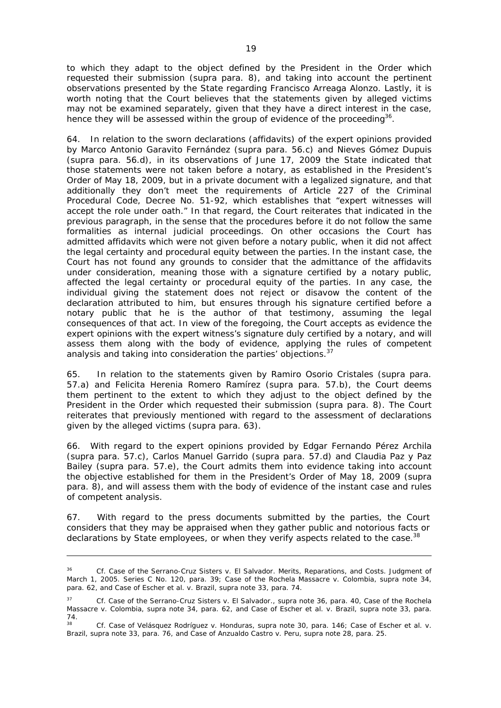to which they adapt to the object defined by the President in the Order which requested their submission (*supra* para. 8), and taking into account the pertinent observations presented by the State regarding Francisco Arreaga Alonzo. Lastly, it is worth noting that the Court believes that the statements given by alleged victims may not be examined separately, given that they have a direct interest in the case, hence they will be assessed within the group of evidence of the proceeding<sup>36</sup>.

64. In relation to the sworn declarations (affidavits) of the expert opinions provided by *Marco Antonio Garavito Fernández* (*supra* para. 56.c) and *Nieves Gómez Dupuis*  (*supra* para. 56.d), in its observations of June 17, 2009 the State indicated that those statements were not taken before a notary, as established in the President's Order of May 18, 2009, but in a private document with a legalized signature, and that additionally they don't meet the requirements of Article 227 of the Criminal Procedural Code, Decree No. 51-92, which establishes that "expert witnesses will accept the role under oath." In that regard, the Court reiterates that indicated in the previous paragraph, in the sense that the procedures before it do not follow the same formalities as internal judicial proceedings. On other occasions the Court has admitted affidavits which were not given before a notary public, when it did not affect the legal certainty and procedural equity between the parties. In the instant case, the Court has not found any grounds to consider that the admittance of the affidavits under consideration, meaning those with a signature certified by a notary public, affected the legal certainty or procedural equity of the parties. In any case, the individual giving the statement does not reject or disavow the content of the declaration attributed to him, but ensures through his signature certified before a notary public that he is the author of that testimony, assuming the legal consequences of that act. In view of the foregoing, the Court accepts as evidence the expert opinions with the expert witness's signature duly certified by a notary, and will assess them along with the body of evidence, applying the rules of competent analysis and taking into consideration the parties' objections.<sup>37</sup>

65. In relation to the statements given by *Ramiro Osorio Cristales* (*supra* para. 57.a) and *Felicita Herenia Romero Ramírez* (*supra* para. 57.b), the Court deems them pertinent to the extent to which they adjust to the object defined by the President in the Order which requested their submission (supra para. 8). The Court reiterates that previously mentioned with regard to the assessment of declarations given by the alleged victims (*supra* para. 63).

66. With regard to the expert opinions provided by *Edgar Fernando Pérez Archila*  (*supra* para. 57.c), *Carlos Manuel Garrido* (*supra* para. 57.d) and *Claudia Paz y Paz Bailey* (*supra* para. 57.e), the Court admits them into evidence taking into account the objective established for them in the President's Order of May 18, 2009 (*supra* para. 8), and will assess them with the body of evidence of the instant case and rules of competent analysis.

67. With regard to the press documents submitted by the parties, the Court considers that they may be appraised when they gather public and notorious facts or declarations by State employees, or when they verify aspects related to the case.<sup>38</sup>

<sup>36</sup> *Cf. Case of the Serrano-Cruz Sisters v. El Salvador.* Merits, Reparations, and Costs. Judgment of March 1, 2005. Series C No. 120, para. 39; *Case of the Rochela Massacre v. Colombia, supra* note 34, para. 62, and *Case of Escher et al. v. Brazil, supra* note 33, para. 74.

<sup>&</sup>lt;sup>37</sup> *Cf. Case of the Serrano-Cruz Sisters v. El Salvador., supra note 36, para. 40, Case of the Rochela Massacre v. Colombia, supra* note 34, para. 62, and *Case of Escher et al. v. Brazil, supra* note 33*,* para.  $74.38$ 

<sup>38</sup> *Cf. Case of Velásquez Rodríguez v. Honduras, supra* note 30, para. 146; *Case of Escher et al. v. Brazil, supra* note 33, para. 76, and *Case of Anzualdo Castro v. Peru, supra* note 28*,* para. 25.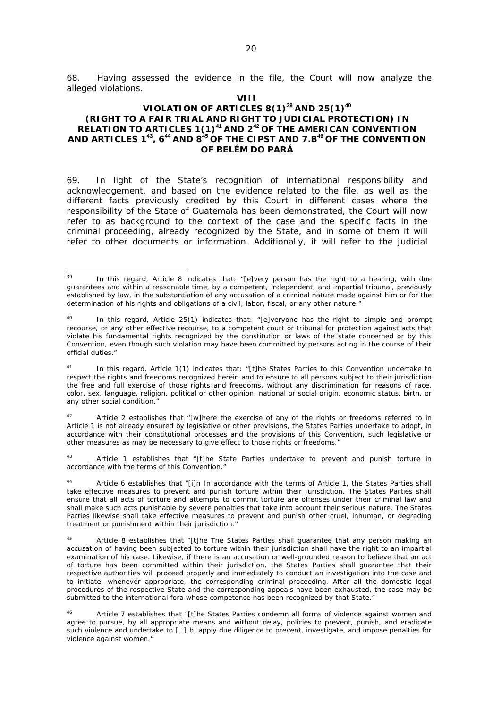68. Having assessed the evidence in the file, the Court will now analyze the alleged violations.

#### **VIII**

## **VIOLATION OF ARTICLES 8(1)<sup>39</sup> AND 25(1)<sup>40</sup> (RIGHT TO A FAIR TRIAL AND RIGHT TO JUDICIAL PROTECTION) IN RELATION TO ARTICLES 1(1)<sup>41</sup> AND 2<sup>42</sup> OF THE AMERICAN CONVENTION AND ARTICLES 1<sup>43</sup>, 6<sup>44</sup> AND 8<sup>45</sup> OF THE CIPST AND 7.B<sup>46</sup> OF THE CONVENTION OF BELÉM DO PARÁ**

69. In light of the State's recognition of international responsibility and acknowledgement, and based on the evidence related to the file, as well as the different facts previously credited by this Court in different cases where the responsibility of the State of Guatemala has been demonstrated, the Court will now refer to as background to the context of the case and the specific facts in the criminal proceeding, already recognized by the State, and in some of them it will refer to other documents or information. Additionally, it will refer to the judicial

Article 2 establishes that "[w]here the exercise of any of the rights or freedoms referred to in Article 1 is not already ensured by legislative or other provisions, the States Parties undertake to adopt, in accordance with their constitutional processes and the provisions of this Convention, such legislative or other measures as may be necessary to give effect to those rights or freedoms."

43 Article 1 establishes that "[t]he State Parties undertake to prevent and punish torture in accordance with the terms of this Convention."

Article 6 establishes that "[i]n In accordance with the terms of Article 1, the States Parties shall take effective measures to prevent and punish torture within their jurisdiction. The States Parties shall ensure that all acts of torture and attempts to commit torture are offenses under their criminal law and shall make such acts punishable by severe penalties that take into account their serious nature. The States Parties likewise shall take effective measures to prevent and punish other cruel, inhuman, or degrading treatment or punishment within their jurisdiction.

<sup>45</sup> Article 8 establishes that "[t]he The States Parties shall guarantee that any person making an accusation of having been subjected to torture within their jurisdiction shall have the right to an impartial examination of his case. Likewise, if there is an accusation or well-grounded reason to believe that an act of torture has been committed within their jurisdiction, the States Parties shall guarantee that their respective authorities will proceed properly and immediately to conduct an investigation into the case and to initiate, whenever appropriate, the corresponding criminal proceeding. After all the domestic legal procedures of the respective State and the corresponding appeals have been exhausted, the case may be submitted to the international fora whose competence has been recognized by that State."

Article 7 establishes that "[t]he States Parties condemn all forms of violence against women and agree to pursue, by all appropriate means and without delay, policies to prevent, punish, and eradicate such violence and undertake to […] b. apply due diligence to prevent, investigate, and impose penalties for violence against women."

<sup>39</sup>  $39$  In this regard, Article 8 indicates that: "[e]very person has the right to a hearing, with due guarantees and within a reasonable time, by a competent, independent, and impartial tribunal, previously established by law, in the substantiation of any accusation of a criminal nature made against him or for the determination of his rights and obligations of a civil, labor, fiscal, or any other nature."

<sup>&</sup>lt;sup>40</sup> In this regard, Article 25(1) indicates that: "[e]veryone has the right to simple and prompt recourse, or any other effective recourse, to a competent court or tribunal for protection against acts that violate his fundamental rights recognized by the constitution or laws of the state concerned or by this Convention, even though such violation may have been committed by persons acting in the course of their official duties."

<sup>&</sup>lt;sup>41</sup> In this regard, Article 1(1) indicates that: "[t]he States Parties to this Convention undertake to respect the rights and freedoms recognized herein and to ensure to all persons subject to their jurisdiction the free and full exercise of those rights and freedoms, without any discrimination for reasons of race, color, sex, language, religion, political or other opinion, national or social origin, economic status, birth, or any other social condition."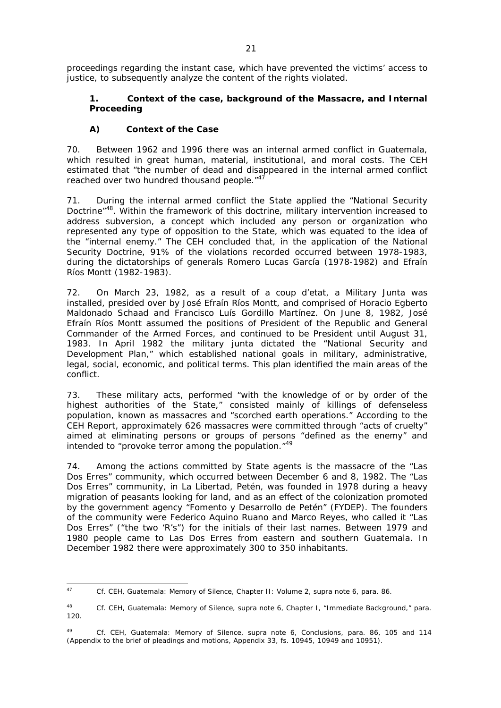proceedings regarding the instant case, which have prevented the victims' access to justice, to subsequently analyze the content of the rights violated.

# **1. Context of the case, background of the Massacre, and Internal Proceeding**

# *A) Context of the Case*

70. Between 1962 and 1996 there was an internal armed conflict in Guatemala, which resulted in great human, material, institutional, and moral costs. The CEH estimated that "the number of dead and disappeared in the internal armed conflict reached over two hundred thousand people."<sup>47</sup>

71. During the internal armed conflict the State applied the "National Security Doctrine<sup>"48</sup>. Within the framework of this doctrine, military intervention increased to address subversion, a concept which included any person or organization who represented any type of opposition to the State, which was equated to the idea of the "internal enemy." The CEH concluded that, in the application of the National Security Doctrine, 91% of the violations recorded occurred between 1978-1983, during the dictatorships of generals Romero Lucas García (1978-1982) and Efraín Ríos Montt (1982-1983).

72. On March 23, 1982, as a result of a coup d'etat, a Military Junta was installed, presided over by José Efraín Ríos Montt, and comprised of Horacio Egberto Maldonado Schaad and Francisco Luís Gordillo Martínez. On June 8, 1982, José Efraín Ríos Montt assumed the positions of President of the Republic and General Commander of the Armed Forces, and continued to be President until August 31, 1983. In April 1982 the military junta dictated the "National Security and Development Plan," which established national goals in military, administrative, legal, social, economic, and political terms. This plan identified the main areas of the conflict.

73. These military acts, performed "with the knowledge of or by order of the highest authorities of the State," consisted mainly of killings of defenseless population, known as massacres and "scorched earth operations." According to the CEH Report, approximately 626 massacres were committed through "acts of cruelty" aimed at eliminating persons or groups of persons "defined as the enemy" and intended to "provoke terror among the population."49

74. Among the actions committed by State agents is the massacre of the "Las Dos Erres" community, which occurred between December 6 and 8, 1982. The "Las Dos Erres" community, in La Libertad, Petén, was founded in 1978 during a heavy migration of peasants looking for land, and as an effect of the colonization promoted by the government agency "Fomento y Desarrollo de Petén" (FYDEP). The founders of the community were Federico Aquino Ruano and Marco Reyes, who called it "Las Dos Erres" ("the two 'R's") for the initials of their last names. Between 1979 and 1980 people came to Las Dos Erres from eastern and southern Guatemala. In December 1982 there were approximately 300 to 350 inhabitants.

<sup>47</sup> <sup>47</sup> *Cf.* CEH, *Guatemala: Memory of Silence,* Chapter II: Volume 2, *supra* note 6, para. 86.

<sup>48</sup> *Cf.* CEH, *Guatemala: Memory of Silence,* s*upra* note 6, Chapter I, "Immediate Background," para. 120.

<sup>49</sup> *Cf*. CEH, *Guatemala: Memory of Silence, supra* note 6, Conclusions, para. 86, 105 and 114 (Appendix to the brief of pleadings and motions, Appendix 33, fs. 10945, 10949 and 10951).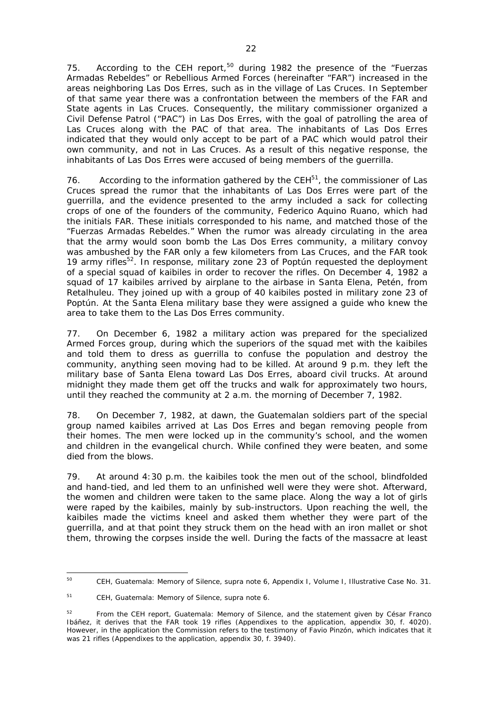75. According to the CEH report,<sup>50</sup> during 1982 the presence of the "Fuerzas Armadas Rebeldes" or Rebellious Armed Forces (hereinafter "FAR") increased in the areas neighboring Las Dos Erres, such as in the village of Las Cruces. In September of that same year there was a confrontation between the members of the FAR and State agents in Las Cruces. Consequently, the military commissioner organized a Civil Defense Patrol ("PAC") in Las Dos Erres, with the goal of patrolling the area of Las Cruces along with the PAC of that area. The inhabitants of Las Dos Erres indicated that they would only accept to be part of a PAC which would patrol their own community, and not in Las Cruces. As a result of this negative response, the inhabitants of Las Dos Erres were accused of being members of the guerrilla.

76. According to the information gathered by the CEH<sup>51</sup>, the commissioner of Las Cruces spread the rumor that the inhabitants of Las Dos Erres were part of the guerrilla, and the evidence presented to the army included a sack for collecting crops of one of the founders of the community, Federico Aquino Ruano, which had the initials FAR. These initials corresponded to his name, and matched those of the "Fuerzas Armadas Rebeldes." When the rumor was already circulating in the area that the army would soon bomb the Las Dos Erres community, a military convoy was ambushed by the FAR only a few kilometers from Las Cruces, and the FAR took 19 army rifles<sup>52</sup>. In response, military zone 23 of Poptún requested the deployment of a special squad of kaibiles in order to recover the rifles. On December 4, 1982 a squad of 17 kaibiles arrived by airplane to the airbase in Santa Elena, Petén, from Retalhuleu. They joined up with a group of 40 kaibiles posted in military zone 23 of Poptún. At the Santa Elena military base they were assigned a guide who knew the area to take them to the Las Dos Erres community.

77. On December 6, 1982 a military action was prepared for the specialized Armed Forces group, during which the superiors of the squad met with the kaibiles and told them to dress as guerrilla to confuse the population and destroy the community, anything seen moving had to be killed. At around 9 p.m. they left the military base of Santa Elena toward Las Dos Erres, aboard civil trucks. At around midnight they made them get off the trucks and walk for approximately two hours, until they reached the community at 2 a.m. the morning of December 7, 1982.

78. On December 7, 1982, at dawn, the Guatemalan soldiers part of the special group named kaibiles arrived at Las Dos Erres and began removing people from their homes. The men were locked up in the community's school, and the women and children in the evangelical church. While confined they were beaten, and some died from the blows.

79. At around 4:30 p.m. the kaibiles took the men out of the school, blindfolded and hand-tied, and led them to an unfinished well were they were shot. Afterward, the women and children were taken to the same place. Along the way a lot of girls were raped by the kaibiles, mainly by sub-instructors. Upon reaching the well, the kaibiles made the victims kneel and asked them whether they were part of the guerrilla, and at that point they struck them on the head with an iron mallet or shot them, throwing the corpses inside the well. During the facts of the massacre at least

<sup>50</sup> 50 CEH, *Guatemala: Memory of Silence, supra* note 6, Appendix I, Volume I, Illustrative Case No. 31.

<sup>51</sup> CEH, *Guatemala: Memory of Silence, supra* note 6.

<sup>52</sup> From the CEH report, *Guatemala: Memory of Silence,* and the statement given by César Franco Ibáñez, it derives that the FAR took 19 rifles (Appendixes to the application, appendix 30, f. 4020). However, in the application the Commission refers to the testimony of Favio Pinzón, which indicates that it was 21 rifles (Appendixes to the application, appendix 30, f. 3940).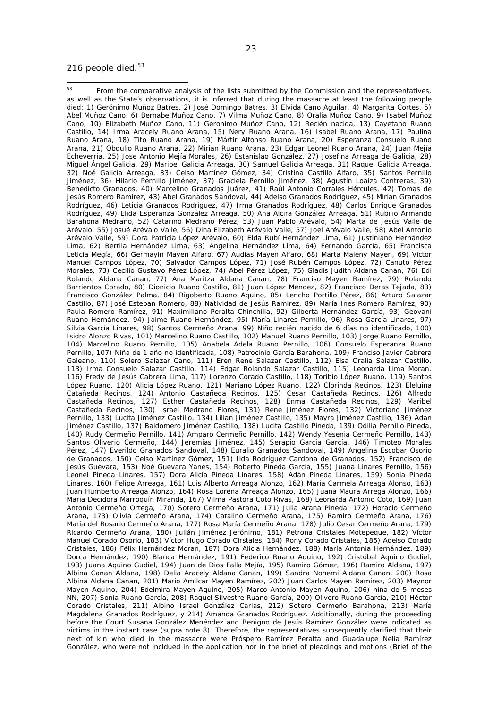#### 216 people died. $53$

<sup>23</sup>

 $53$ From the comparative analysis of the lists submitted by the Commission and the representatives, as well as the State's observations, it is inferred that during the massacre at least the following people died: 1) Gerónimo Muñoz Batres, 2) José Domingo Batres, 3) Elvida Cano Aguilar, 4) Margarita Cortes, 5) Abel Muñoz Cano, 6) Bernabe Muñoz Cano, 7) Vilma Muñoz Cano, 8) Oralia Muñoz Cano, 9) Isabel Muñoz Cano, 10) Elizabeth Muñoz Cano, 11) Geronimo Muñoz Cano, 12) Recién nacida, 13) Cayetano Ruano Castillo, 14) Irma Aracely Ruano Arana, 15) Nery Ruano Arana, 16) Isabel Ruano Arana, 17) Paulina Ruano Arana, 18) Tito Ruano Arana, 19) Mártir Alfonso Ruano Arana, 20) Esperanza Consuelo Ruano Arana, 21) Obdulio Ruano Arana, 22) Mirian Ruano Arana, 23) Edgar Leonel Ruano Arana, 24) Juan Mejía Echeverría, 25) Jose Antonio Mejía Morales, 26) Estanislao González, 27) Josefina Arreaga de Galicia, 28) Miguel Ángel Galicia, 29) Maribel Galicia Arreaga, 30) Samuel Galicia Arreaga, 31) Raquel Galicia Arreaga, 32) Noé Galicia Arreaga, 33) Celso Martínez Gómez, 34) Cristina Castillo Alfaro, 35) Santos Pernillo Jiménez, 36) Hilario Pernillo Jiménez, 37) Graciela Pernillo Jiménez, 38) Agustín Loaiza Contreras, 39) Benedicto Granados, 40) Marcelino Granados Juárez, 41) Raúl Antonio Corrales Hércules, 42) Tomas de Jesús Romero Ramírez, 43) Abel Granados Sandoval, 44) Adelso Granados Rodríguez, 45) Mirian Granados Rodríguez, 46) Leticia Granados Rodríguez, 47) Irma Granados Rodríguez, 48) Carlos Enrique Granados Rodríguez, 49) Elida Esperanza González Arreaga, 50) Ana Alcira González Arreaga, 51) Rubilio Armando Barahona Medrano, 52) Catarino Medrano Pérez, 53) Juan Pablo Arévalo, 54) Marta de Jesús Valle de Arévalo, 55) Josué Arévalo Valle, 56) Dina Elizabeth Arévalo Valle, 57) Joel Arévalo Valle, 58) Abel Antonio Arévalo Valle, 59) Dora Patricia López Arévalo, 60) Elda Rubí Hernández Lima, 61) Justiniano Hernández Lima, 62) Bertila Hernández Lima, 63) Angelina Hernández Lima, 64) Fernando García, 65) Francisca Leticia Megía, 66) Germayin Mayen Alfaro, 67) Audias Mayen Alfaro, 68) Marta Maleny Mayen, 69) Victor Manuel Campos López, 70) Salvador Campos López, 71) José Rubén Campos López, 72) Canuto Pérez Morales, 73) Cecilio Gustavo Pérez López, 74) Abel Pérez López, 75) Gladis Judith Aldana Canan, 76) Edi Rolando Aldana Canan, 77) Ana Maritza Aldana Canan, 78) Franciso Mayen Ramírez, 79) Rolando Barrientos Corado, 80) Dionicio Ruano Castillo, 81) Juan López Méndez, 82) Francisco Deras Tejada, 83) Francisco González Palma, 84) Rigoberto Ruano Aquino, 85) Lencho Portillo Pérez, 86) Arturo Salazar Castillo, 87) José Esteban Romero, 88) Natividad de Jesús Ramirez, 89) María Ines Romero Ramírez, 90) Paula Romero Ramírez, 91) Maximiliano Peralta Chinchilla, 92) Gilberta Hernández García, 93) Geovani Ruano Hernández, 94) Jaime Ruano Hernández, 95) María Linares Pernillo, 96) Rosa García Linares, 97) Silvia García Linares, 98) Santos Cermeño Arana, 99) Niño recién nacido de 6 días no identificado, 100) Isidro Alonzo Rivas, 101) Marcelino Ruano Castillo, 102) Manuel Ruano Pernillo, 103) Jorge Ruano Pernillo, 104) Marcelino Ruano Pernillo, 105) Anabela Adela Ruano Pernillo, 106) Consuelo Esperanza Ruano Pernillo, 107) Niña de 1 año no identificada, 108) Patrocinio García Barahona, 109) Franciso Javier Cabrera Galeano, 110) Solero Salazar Cano, 111) Eren Rene Salazar Castillo, 112) Elsa Oralia Salazar Castillo, 113) Irma Consuelo Salazar Castillo, 114) Edgar Rolando Salazar Castillo, 115) Leonarda Lima Moran, 116) Fredy de Jesús Cabrera Lima, 117) Lorenzo Corado Castillo, 118) Toribio López Ruano, 119) Santos López Ruano, 120) Alicia López Ruano, 121) Mariano López Ruano, 122) Clorinda Recinos, 123) Eleluina Catañeda Recinos, 124) Antonio Castañeda Recinos, 125) Cesar Castañeda Recinos, 126) Alfredo Castañeda Recinos, 127) Esther Castañeda Recinos, 128) Enma Castañeda Recinos, 129) Maribel Castañeda Recinos, 130) Israel Medrano Flores, 131) Rene Jiménez Flores, 132) Victoriano Jiménez Pernillo, 133) Lucita Jiménez Castillo, 134) Lilian Jiménez Castillo, 135) Mayra Jiménez Castillo, 136) Adan Jiménez Castillo, 137) Baldomero Jiménez Castillo, 138) Lucita Castillo Pineda, 139) Odilia Pernillo Pineda, 140) Rudy Cermeño Pernillo, 141) Amparo Cermeño Pernillo, 142) Wendy Yesenia Cermeño Pernillo, 143) Santos Oliverio Cermeño, 144) Jeremías Jiménez, 145) Serapio García García, 146) Timoteo Morales Pérez, 147) Everildo Granados Sandoval, 148) Euralio Granados Sandoval, 149) Angelina Escobar Osorio de Granados, 150) Celso Martínez Gómez, 151) Ilda Rodríguez Cardona de Granados, 152) Francisco de Jesús Guevara, 153) Noé Guevara Yanes, 154) Roberto Pineda García, 155) Juana Linares Pernillo, 156) Leonel Pineda Linares, 157) Dora Alicia Pineda Linares, 158) Adán Pineda Linares, 159) Sonia Pineda Linares, 160) Felipe Arreaga, 161) Luis Alberto Arreaga Alonzo, 162) María Carmela Arreaga Alonso, 163) Juan Humberto Arreaga Alonzo, 164) Rosa Lorena Arreaga Alonzo, 165) Juana Maura Arrega Alonzo, 166) María Decidora Marroquín Miranda, 167) Vilma Pastora Coto Rivas, 168) Leonarda Antonio Coto, 169) Juan Antonio Cermeño Ortega, 170) Sotero Cermeño Arana, 171) Julia Arana Pineda, 172) Horacio Cermeño Arana, 173) Olivia Cermeño Arana, 174) Catalino Cermeño Arana, 175) Ramiro Cermeño Arana, 176) María del Rosario Cermeño Arana, 177) Rosa María Cermeño Arana, 178) Julio Cesar Cermeño Arana, 179) Ricardo Cermeño Arana, 180) Julián Jiménez Jerónimo, 181) Petrona Cristales Motepeque, 182) Víctor Manuel Corado Osorio, 183) Víctor Hugo Corado Cirstales, 184) Rony Corado Cristales, 185) Adelso Corado Cristales, 186) Félix Hernández Moran, 187) Dora Alicia Hernández, 188) María Antonia Hernández, 189) Dorca Hernández, 190) Blanca Hernández, 191) Federico Ruano Aquino, 192) Cristóbal Aquino Gudiel, 193) Juana Aquino Gudiel, 194) Juan de Dios Falla Mejía, 195) Ramiro Gómez, 196) Ramiro Aldana, 197) Albina Canan Aldana, 198) Delia Aracely Aldana Canan, 199) Sandra Nohemi Aldana Canan, 200) Rosa Albina Aldana Canan, 201) Mario Amilcar Mayen Ramírez, 202) Juan Carlos Mayen Ramírez, 203) Maynor Mayen Aquino, 204) Edelmira Mayen Aquino, 205) Marco Antonio Mayen Aquino, 206) niña de 5 meses NN, 207) Sonia Ruano García, 208) Raquel Silvestre Ruano García, 209) Olivero Ruano García, 210) Héctor Corado Cristales, 211) Albino Israel González Carias, 212) Sotero Cermeño Barahona, 213) María Magdalena Granados Rodríguez, y 214) Amanda Granados Rodríguez. Additionally, during the proceeding before the Court Susana González Menéndez and Benigno de Jesús Ramírez González were indicated as victims in the instant case (*supra* note 8). Therefore, the representatives subsequently clarified that their next of kin who died in the massacre were Próspero Ramírez Peralta and Guadalupe Nelia Ramírez González, who were not incldued in the application nor in the brief of pleadings and motions (Brief of the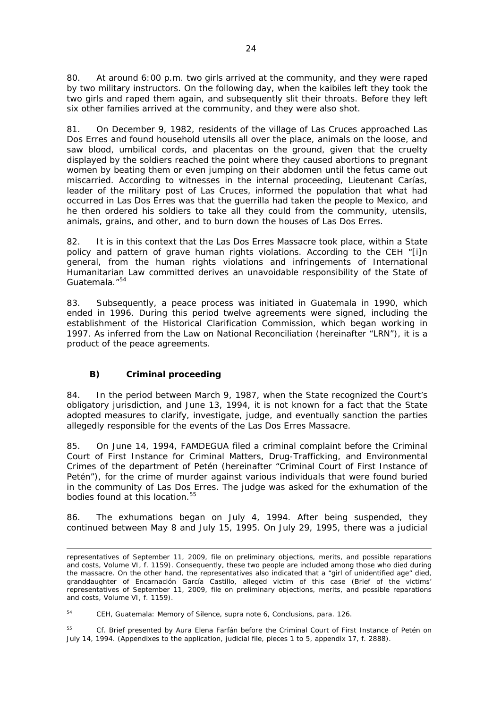80. At around 6:00 p.m. two girls arrived at the community, and they were raped by two military instructors. On the following day, when the kaibiles left they took the two girls and raped them again, and subsequently slit their throats. Before they left six other families arrived at the community, and they were also shot.

81. On December 9, 1982, residents of the village of Las Cruces approached Las Dos Erres and found household utensils all over the place, animals on the loose, and saw blood, umbilical cords, and placentas on the ground, given that the cruelty displayed by the soldiers reached the point where they caused abortions to pregnant women by beating them or even jumping on their abdomen until the fetus came out miscarried. According to witnesses in the internal proceeding, Lieutenant Carías, leader of the military post of Las Cruces, informed the population that what had occurred in Las Dos Erres was that the guerrilla had taken the people to Mexico, and he then ordered his soldiers to take all they could from the community, utensils, animals, grains, and other, and to burn down the houses of Las Dos Erres.

82. It is in this context that the Las Dos Erres Massacre took place, within a State policy and pattern of grave human rights violations. According to the CEH "[i]n general, from the human rights violations and infringements of International Humanitarian Law committed derives an unavoidable responsibility of the State of Guatemala."54

83. Subsequently, a peace process was initiated in Guatemala in 1990, which ended in 1996. During this period twelve agreements were signed, including the establishment of the Historical Clarification Commission, which began working in 1997. As inferred from the Law on National Reconciliation (hereinafter "LRN"), it is a product of the peace agreements.

# *B) Criminal proceeding*

84. In the period between March 9, 1987, when the State recognized the Court's obligatory jurisdiction, and June 13, 1994, it is not known for a fact that the State adopted measures to clarify, investigate, judge, and eventually sanction the parties allegedly responsible for the events of the Las Dos Erres Massacre.

85. On June 14, 1994, FAMDEGUA filed a criminal complaint before the Criminal Court of First Instance for Criminal Matters, Drug-Trafficking, and Environmental Crimes of the department of Petén (hereinafter "Criminal Court of First Instance of Petén"), for the crime of murder against various individuals that were found buried in the community of Las Dos Erres. The judge was asked for the exhumation of the bodies found at this location.<sup>55</sup>

86. The exhumations began on July 4, 1994. After being suspended, they continued between May 8 and July 15, 1995. On July 29, 1995, there was a judicial

 representatives of September 11, 2009, file on preliminary objections, merits, and possible reparations and costs, Volume VI, f. 1159). Consequently, these two people are included among those who died during the massacre. On the other hand, the representatives also indicated that a "girl of unidentified age" died, granddaughter of Encarnación García Castillo, alleged victim of this case (Brief of the victims' representatives of September 11, 2009, file on preliminary objections, merits, and possible reparations and costs, Volume VI, f. 1159).

<sup>54</sup> CEH, *Guatemala: Memory of Silence, supra* note 6, Conclusions, para. 126.

<sup>55</sup> *Cf.* Brief presented by Aura Elena Farfán before the Criminal Court of First Instance of Petén on July 14, 1994. (Appendixes to the application, judicial file, pieces 1 to 5, appendix 17, f. 2888).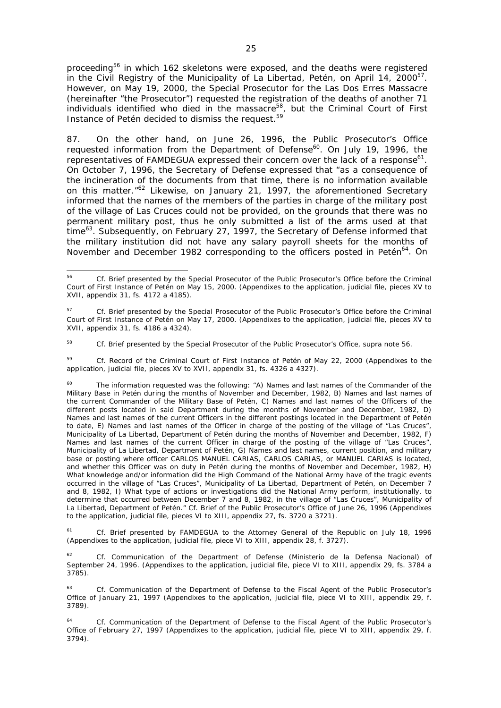proceeding<sup>56</sup> in which 162 skeletons were exposed, and the deaths were registered in the Civil Registry of the Municipality of La Libertad, Petén, on April 14, 2000<sup>57</sup>. However, on May 19, 2000, the Special Prosecutor for the Las Dos Erres Massacre (hereinafter "the Prosecutor") requested the registration of the deaths of another 71 individuals identified who died in the massacre<sup>58</sup>, but the Criminal Court of First Instance of Petén decided to dismiss the request.<sup>59</sup>

87. On the other hand, on June 26, 1996, the Public Prosecutor's Office requested information from the Department of Defense<sup>60</sup>. On July 19, 1996, the representatives of FAMDEGUA expressed their concern over the lack of a response<sup>61</sup>. On October 7, 1996, the Secretary of Defense expressed that "as a consequence of the incineration of the documents from that time, there is no information available on this matter.<sup>"62</sup> Likewise, on January 21, 1997, the aforementioned Secretary informed that the names of the members of the parties in charge of the military post of the village of Las Cruces could not be provided, on the grounds that there was no permanent military post, thus he only submitted a list of the arms used at that time<sup>63</sup>. Subsequently, on February 27, 1997, the Secretary of Defense informed that the military institution did not have any salary payroll sheets for the months of November and December 1982 corresponding to the officers posted in Petén<sup>64</sup>. On

<sup>58</sup> *Cf.* Brief presented by the Special Prosecutor of the Public Prosecutor's Office, *supra* note 56.

<sup>59</sup> *Cf.* Record of the Criminal Court of First Instance of Petén of May 22, 2000 (Appendixes to the application, judicial file, pieces XV to XVII, appendix 31, fs. 4326 a 4327).

<sup>61</sup> *Cf.* Brief presented by FAMDEGUA to the Attorney General of the Republic on July 18, 1996 (Appendixes to the application, judicial file, piece VI to XIII, appendix 28, f. 3727).

<sup>62</sup> *Cf.* Communication of the Department of Defense (Ministerio de la Defensa Nacional) of September 24, 1996. (Appendixes to the application, judicial file, piece VI to XIII, appendix 29, fs. 3784 a 3785).

<sup>63</sup> *Cf.* Communication of the Department of Defense to the Fiscal Agent of the Public Prosecutor's Office of January 21, 1997 (Appendixes to the application, judicial file, piece VI to XIII, appendix 29, f. 3789).

<sup>56</sup> <sup>56</sup> *Cf.* Brief presented by the Special Prosecutor of the Public Prosecutor's Office before the Criminal Court of First Instance of Petén on May 15, 2000. (Appendixes to the application, judicial file, pieces XV to XVII, appendix 31, fs. 4172 a 4185).

<sup>57</sup> *Cf*. Brief presented by the Special Prosecutor of the Public Prosecutor's Office before the Criminal Court of First Instance of Petén on May 17, 2000. (Appendixes to the application, judicial file, pieces XV to XVII, appendix 31, fs. 4186 a 4324).

 $60$  The information requested was the following: "A) Names and last names of the Commander of the Military Base in Petén during the months of November and December, 1982, B) Names and last names of the current Commander of the Military Base of Petén, C) Names and last names of the Officers of the different posts located in said Department during the months of November and December, 1982, D) Names and last names of the current Officers in the different postings located in the Department of Petén to date, E) Names and last names of the Officer in charge of the posting of the village of "Las Cruces", Municipality of La Libertad, Department of Petén during the months of November and December, 1982, F) Names and last names of the current Officer in charge of the posting of the village of "Las Cruces", Municipality of La Libertad, Department of Petén, G) Names and last names, current position, and military base or posting where officer CARLOS MANUEL CARIAS, CARLOS CARIAS, or MANUEL CARIAS is located, and whether this Officer was on duty in Petén during the months of November and December, 1982, H) What knowledge and/or information did the High Command of the National Army have of the tragic events occurred in the village of "Las Cruces", Municipality of La Libertad, Department of Petén, on December 7 and 8, 1982, I) What type of actions or investigations did the National Army perform, institutionally, to determine that occurred between December 7 and 8, 1982, in the village of "Las Cruces", Municipality of La Libertad, Department of Petén." *Cf.* Brief of the Public Prosecutor's Office of June 26, 1996 (Appendixes to the application, judicial file, pieces VI to XIII, appendix 27, fs. 3720 a 3721).

<sup>64</sup> *Cf.* Communication of the Department of Defense to the Fiscal Agent of the Public Prosecutor's Office of February 27, 1997 (Appendixes to the application, judicial file, piece VI to XIII, appendix 29, f. 3794).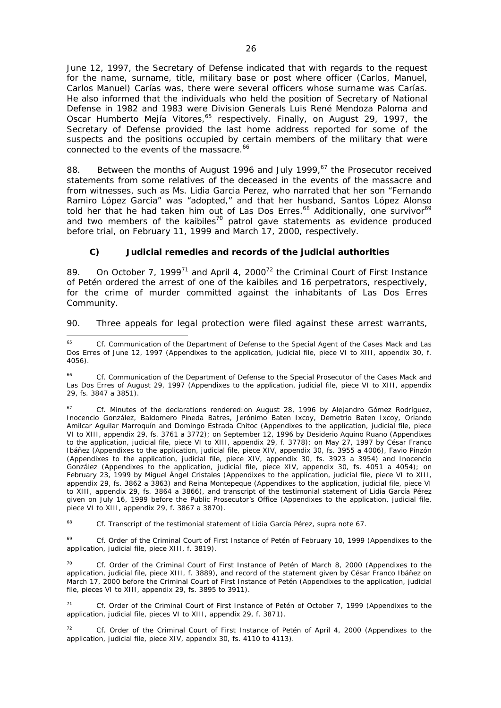June 12, 1997, the Secretary of Defense indicated that with regards to the request for the name, surname, title, military base or post where officer (Carlos, Manuel, Carlos Manuel) Carías was, there were several officers whose surname was Carías. He also informed that the individuals who held the position of Secretary of National Defense in 1982 and 1983 were Division Generals Luis René Mendoza Paloma and Oscar Humberto Mejía Vitores,<sup>65</sup> respectively. Finally, on August 29, 1997, the Secretary of Defense provided the last home address reported for some of the suspects and the positions occupied by certain members of the military that were connected to the events of the massacre.<sup>66</sup>

88. Between the months of August 1996 and July 1999,<sup>67</sup> the Prosecutor received statements from some relatives of the deceased in the events of the massacre and from witnesses, such as Ms. Lidia Garcia Perez, who narrated that her son "Fernando Ramiro López Garcia" was "adopted," and that her husband, Santos López Alonso told her that he had taken him out of Las Dos Erres.<sup>68</sup> Additionally, one survivor<sup>69</sup> and two members of the kaibiles<sup>70</sup> patrol gave statements as evidence produced before trial, on February 11, 1999 and March 17, 2000, respectively.

## *C) Judicial remedies and records of the judicial authorities*

89. On October 7, 1999<sup>71</sup> and April 4, 2000<sup>72</sup> the Criminal Court of First Instance of Petén ordered the arrest of one of the kaibiles and 16 perpetrators, respectively, for the crime of murder committed against the inhabitants of Las Dos Erres Community.

90. Three appeals for legal protection were filed against these arrest warrants,

<sup>68</sup> *Cf.* Transcript of the testimonial statement of Lidia García Pérez, *supra* note 67.

<sup>69</sup> *Cf.* Order of the Criminal Court of First Instance of Petén of February 10, 1999 (Appendixes to the application, judicial file, piece XIII, f. 3819).

<sup>70</sup> *Cf.* Order of the Criminal Court of First Instance of Petén of March 8, 2000 (Appendixes to the application, judicial file, piece XIII, f. 3889), and record of the statement given by César Franco Ibáñez on March 17, 2000 before the Criminal Court of First Instance of Petén (Appendixes to the application, judicial file, pieces VI to XIII, appendix 29, fs. 3895 to 3911).

<sup>71</sup> *Cf.* Order of the Criminal Court of First Instance of Petén of October 7, 1999 (Appendixes to the application, judicial file, pieces VI to XIII, appendix 29, f. 3871).

<sup>72</sup> *Cf.* Order of the Criminal Court of First Instance of Petén of April 4, 2000 (Appendixes to the application, judicial file, piece XIV, appendix 30, fs. 4110 to 4113).

<sup>65</sup> <sup>65</sup> *Cf.* Communication of the Department of Defense to the Special Agent of the Cases Mack and Las Dos Erres of June 12, 1997 (Appendixes to the application, judicial file, piece VI to XIII, appendix 30, f. 4056).

<sup>66</sup> *Cf.* Communication of the Department of Defense to the Special Prosecutor of the Cases Mack and Las Dos Erres of August 29, 1997 (Appendixes to the application, judicial file, piece VI to XIII, appendix 29, fs. 3847 a 3851).

<sup>67</sup> *Cf.* Minutes of the declarations rendered:on August 28, 1996 by Alejandro Gómez Rodríguez, Inocencio González, Baldomero Pineda Batres, Jerónimo Baten Ixcoy, Demetrio Baten Ixcoy, Orlando Amilcar Aguilar Marroquín and Domingo Estrada Chitoc (Appendixes to the application, judicial file, piece VI to XIII, appendix 29, fs. 3761 a 3772); on September 12, 1996 by Desiderio Aquino Ruano (Appendixes to the application, judicial file, piece VI to XIII, appendix 29, f. 3778); on May 27, 1997 by César Franco Ibáñez (Appendixes to the application, judicial file, piece XIV, appendix 30, fs. 3955 a 4006), Favio Pinzón (Appendixes to the application, judicial file, piece XIV, appendix 30, fs. 3923 a 3954) and Inocencio González (Appendixes to the application, judicial file, piece XIV, appendix 30, fs. 4051 a 4054); on February 23, 1999 by Miguel Ángel Cristales (Appendixes to the application, judicial file, piece VI to XIII, appendix 29, fs. 3862 a 3863) and Reina Montepeque (Appendixes to the application, judicial file, piece VI to XIII, appendix 29, fs. 3864 a 3866), and transcript of the testimonial statement of Lidia García Pérez given on July 16, 1999 before the Public Prosecutor's Office (Appendixes to the application, judicial file, piece VI to XIII, appendix 29, f. 3867 a 3870).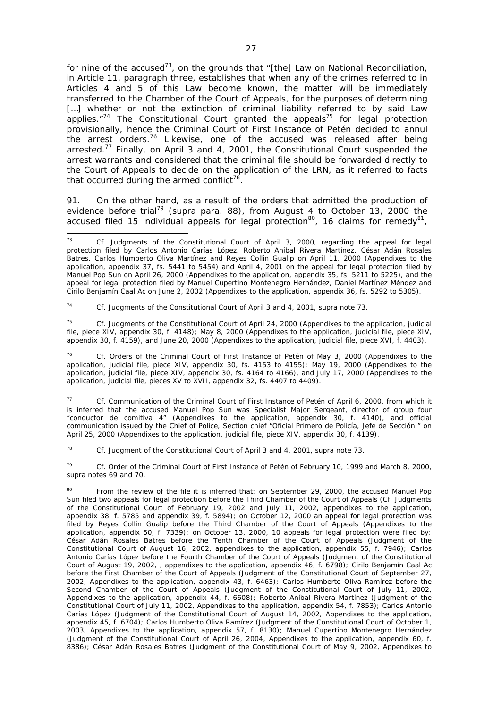for nine of the accused<sup>73</sup>, on the grounds that "[the] Law on National Reconciliation, in Article 11, paragraph three, establishes that when any of the crimes referred to in Articles 4 and 5 of this Law become known, the matter will be immediately transferred to the Chamber of the Court of Appeals, for the purposes of determining [...] whether or not the extinction of criminal liability referred to by said Law applies. $174$  The Constitutional Court granted the appeals<sup>75</sup> for legal protection provisionally, hence the Criminal Court of First Instance of Petén decided to annul the arrest orders.<sup>76</sup> Likewise, one of the accused was released after being arrested.<sup>77</sup> Finally, on April 3 and 4, 2001, the Constitutional Court suspended the arrest warrants and considered that the criminal file should be forwarded directly to the Court of Appeals to decide on the application of the LRN, as it referred to facts that occurred during the armed conflict<sup>78</sup>.

91. On the other hand, as a result of the orders that admitted the production of evidence before trial<sup>79</sup> (*supra* para. 88), from August 4 to October 13, 2000 the accused filed 15 individual appeals for legal protection<sup>80</sup>, 16 claims for remedy<sup>81</sup>,

<sup>74</sup> *Cf.* Judgments of the Constitutional Court of April 3 and 4, 2001, *supra* note 73.

<sup>75</sup> *Cf.* Judgments of the Constitutional Court of April 24, 2000 (Appendixes to the application, judicial file, piece XIV, appendix 30, f. 4148); May 8, 2000 (Appendixes to the application, judicial file, piece XIV, appendix 30, f. 4159), and June 20, 2000 (Appendixes to the application, judicial file, piece XVI, f. 4403).

<sup>76</sup> *Cf*. Orders of the Criminal Court of First Instance of Petén of May 3, 2000 (Appendixes to the application, judicial file, piece XIV, appendix 30, fs. 4153 to 4155); May 19, 2000 (Appendixes to the application, judicial file, piece XIV, appendix 30, fs. 4164 to 4166), and July 17, 2000 (Appendixes to the application, judicial file, pieces XV to XVII, appendix 32, fs. 4407 to 4409).

<sup>77</sup> *Cf.* Communication of the Criminal Court of First Instance of Petén of April 6, 2000, from which it is inferred that the accused Manuel Pop Sun was Specialist Major Sergeant, director of group four "conductor de comitiva 4" (Appendixes to the application, appendix 30, f. 4140), and official communication issued by the Chief of Police, Section chief "Oficial Primero de Policía, Jefe de Sección," on April 25, 2000 (Appendixes to the application, judicial file, piece XIV, appendix 30, f. 4139).

<sup>78</sup> *Cf.* Judgment of the Constitutional Court of April 3 and 4, 2001, *supra* note 73.

<sup>79</sup> *Cf.* Order of the Criminal Court of First Instance of Petén of February 10, 1999 and March 8, 2000, s*upra* notes 69 and 70.

80 From the review of the file it is inferred that: on September 29, 2000, the accused Manuel Pop Sun filed two appeals for legal protection before the Third Chamber of the Court of Appeals (*Cf.* Judgments of the Constitutional Court of February 19, 2002 and July 11, 2002, appendixes to the application, appendix 38, f. 5785 and appendix 39, f. 5894); on October 12, 2000 an appeal for legal protection was filed by Reyes Collin Gualip before the Third Chamber of the Court of Appeals (Appendixes to the application, appendix 50, f. 7339); on October 13, 2000, 10 appeals for legal protection were filed by: César Adán Rosales Batres before the Tenth Chamber of the Court of Appeals (Judgment of the Constitutional Court of August 16, 2002, appendixes to the application, appendix 55, f. 7946); Carlos Antonio Carías López before the Fourth Chamber of the Court of Appeals (Judgment of the Constitutional Court of August 19, 2002, , appendixes to the application, appendix 46, f. 6798); Cirilo Benjamín Caal Ac before the First Chamber of the Court of Appeals (Judgment of the Constitutional Court of September 27, 2002, Appendixes to the application, appendix 43, f. 6463); Carlos Humberto Oliva Ramírez before the Second Chamber of the Court of Appeals (Judgment of the Constitutional Court of July 11, 2002, Appendixes to the application, appendix 44, f. 6608); Roberto Aníbal Rivera Martínez (Judgment of the Constitutional Court of July 11, 2002, Appendixes to the application, appendix 54, f. 7853); Carlos Antonio Carías López (Judgment of the Constitutional Court of August 14, 2002, Appendixes to the application, appendix 45, f. 6704); Carlos Humberto Oliva Ramírez (Judgment of the Constitutional Court of October 1, 2003, Appendixes to the application, appendix 57, f. 8130); Manuel Cupertino Montenegro Hernández (Judgment of the Constitutional Court of April 26, 2004, Appendixes to the application, appendix 60, f. 8386); César Adán Rosales Batres (Judgment of the Constitutional Court of May 9, 2002, Appendixes to

 $72$ Cf. Judgments of the Constitutional Court of April 3, 2000, regarding the appeal for legal protection filed by Carlos Antonio Carías López, Roberto Aníbal Rivera Martínez, César Adán Rosales Batres, Carlos Humberto Oliva Martínez and Reyes Collin Gualip on April 11, 2000 (Appendixes to the application, appendix 37, fs. 5441 to 5454) and April 4, 2001 on the appeal for legal protection filed by Manuel Pop Sun on April 26, 2000 (Appendixes to the application, appendix 35, fs. 5211 to 5225), and the appeal for legal protection filed by Manuel Cupertino Montenegro Hernández, Daniel Martínez Méndez and Cirilo Benjamín Caal Ac on June 2, 2002 (Appendixes to the application, appendix 36, fs. 5292 to 5305).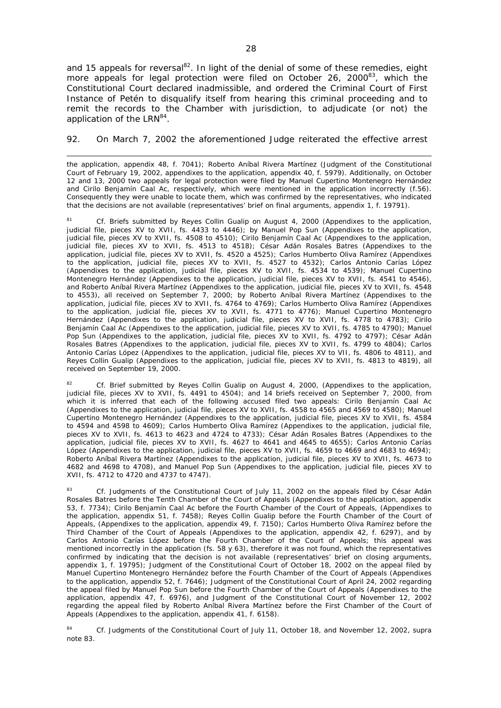and 15 appeals for reversal<sup>82</sup>. In light of the denial of some of these remedies, eight more appeals for legal protection were filed on October 26, 2000<sup>83</sup>, which the Constitutional Court declared inadmissible, and ordered the Criminal Court of First Instance of Petén to disqualify itself from hearing this criminal proceeding and to remit the records to the Chamber with jurisdiction, to adjudicate (or not) the application of the LRN<sup>84</sup>.

92. On March 7, 2002 the aforementioned Judge reiterated the effective arrest

the application, appendix 48, f. 7041); Roberto Aníbal Rivera Martínez (Judgment of the Constitutional Court of February 19, 2002, appendixes to the application, appendix 40, f. 5979). Additionally, on October 12 and 13, 2000 two appeals for legal protection were filed by Manuel Cupertino Montenegro Hernández and Cirilo Benjamín Caal Ac, respectively, which were mentioned in the application incorrectly (f.56). Consequently they were unable to locate them, which was confirmed by the representatives, who indicated that the decisions are not available (representatives' brief on final arguments, appendix 1, f. 19791).

<sup>81</sup> *Cf.* Briefs submitted by Reyes Collin Gualip on August 4, 2000 (Appendixes to the application, judicial file, pieces XV to XVII, fs. 4433 to 4446); by Manuel Pop Sun (Appendixes to the application, judicial file, pieces XV to XVII, fs. 4508 to 4510); Cirilo Benjamín Caal Ac (Appendixes to the application, judicial file, pieces XV to XVII, fs. 4513 to 4518); César Adán Rosales Batres (Appendixes to the application, judicial file, pieces XV to XVII, fs. 4520 a 4525); Carlos Humberto Oliva Ramírez (Appendixes to the application, judicial file, pieces XV to XVII, fs. 4527 to 4532); Carlos Antonio Carías López (Appendixes to the application, judicial file, pieces XV to XVII, fs. 4534 to 4539); Manuel Cupertino Montenegro Hernández (Appendixes to the application, judicial file, pieces XV to XVII, fs. 4541 to 4546), and Roberto Aníbal Rivera Martínez (Appendixes to the application, judicial file, pieces XV to XVII, fs. 4548 to 4553), all received on September 7, 2000; by Roberto Aníbal Rivera Martínez (Appendixes to the application, judicial file, pieces XV to XVII, fs. 4764 to 4769); Carlos Humberto Oliva Ramírez (Appendixes to the application, judicial file, pieces XV to XVII, fs. 4771 to 4776); Manuel Cupertino Montenegro Hernández (Appendixes to the application, judicial file, pieces XV to XVII, fs. 4778 to 4783); Cirilo Benjamín Caal Ac (Appendixes to the application, judicial file, pieces XV to XVII, fs. 4785 to 4790); Manuel Pop Sun (Appendixes to the application, judicial file, pieces XV to XVII, fs. 4792 to 4797); César Adán Rosales Batres (Appendixes to the application, judicial file, pieces XV to XVII, fs. 4799 to 4804); Carlos Antonio Carías López (Appendixes to the application, judicial file, pieces XV to VII, fs. 4806 to 4811), and Reyes Collin Gualip (Appendixes to the application, judicial file, pieces XV to XVII, fs. 4813 to 4819), all received on September 19, 2000.

<sup>82</sup> *Cf.* Brief submitted by Reyes Collin Gualip on August 4, 2000, (Appendixes to the application, judicial file, pieces XV to XVII, fs. 4491 to 4504); and 14 briefs received on September 7, 2000, from which it is inferred that each of the following accused filed two appeals: Cirilo Benjamín Caal Ac (Appendixes to the application, judicial file, pieces XV to XVII, fs. 4558 to 4565 and 4569 to 4580); Manuel Cupertino Montenegro Hernández (Appendixes to the application, judicial file, pieces XV to XVII, fs. 4584 to 4594 and 4598 to 4609); Carlos Humberto Oliva Ramírez (Appendixes to the application, judicial file, pieces XV to XVII, fs. 4613 to 4623 and 4724 to 4733); César Adán Rosales Batres (Appendixes to the application, judicial file, pieces XV to XVII, fs. 4627 to 4641 and 4645 to 4655); Carlos Antonio Carías López (Appendixes to the application, judicial file, pieces XV to XVII, fs. 4659 to 4669 and 4683 to 4694); Roberto Aníbal Rivera Martínez (Appendixes to the application, judicial file, pieces XV to XVII, fs. 4673 to 4682 and 4698 to 4708), and Manuel Pop Sun (Appendixes to the application, judicial file, pieces XV to XVII, fs. 4712 to 4720 and 4737 to 4747).

Cf. Judgments of the Constitutional Court of July 11, 2002 on the appeals filed by César Adán Rosales Batres before the Tenth Chamber of the Court of Appeals (Appendixes to the application, appendix 53, f. 7734); Cirilo Benjamín Caal Ac before the Fourth Chamber of the Court of Appeals, (Appendixes to the application, appendix 51, f. 7458); Reyes Collin Gualip before the Fourth Chamber of the Court of Appeals, (Appendixes to the application, appendix 49, f. 7150); Carlos Humberto Oliva Ramírez before the Third Chamber of the Court of Appeals (Appendixes to the application, appendix 42, f. 6297), and by Carlos Antonio Carías López before the Fourth Chamber of the Court of Appeals; this appeal was mentioned incorrectly in the application (fs. 58 y 63), therefore it was not found, which the representatives confirmed by indicating that the decision is not available (representatives' brief on closing arguments, appendix 1, f. 19795); Judgment of the Constitutional Court of October 18, 2002 on the appeal filed by Manuel Cupertino Montenegro Hernández before the Fourth Chamber of the Court of Appeals (Appendixes to the application, appendix 52, f. 7646); Judgment of the Constitutional Court of April 24, 2002 regarding the appeal filed by Manuel Pop Sun before the Fourth Chamber of the Court of Appeals (Appendixes to the application, appendix 47, f. 6976), and Judgment of the Constitutional Court of November 12, 2002 regarding the appeal filed by Roberto Aníbal Rivera Martínez before the First Chamber of the Court of Appeals (Appendixes to the application, appendix 41, f. 6158).

<sup>84</sup> *Cf.* Judgments of the Constitutional Court of July 11, October 18, and November 12, 2002, s*upra* note 83.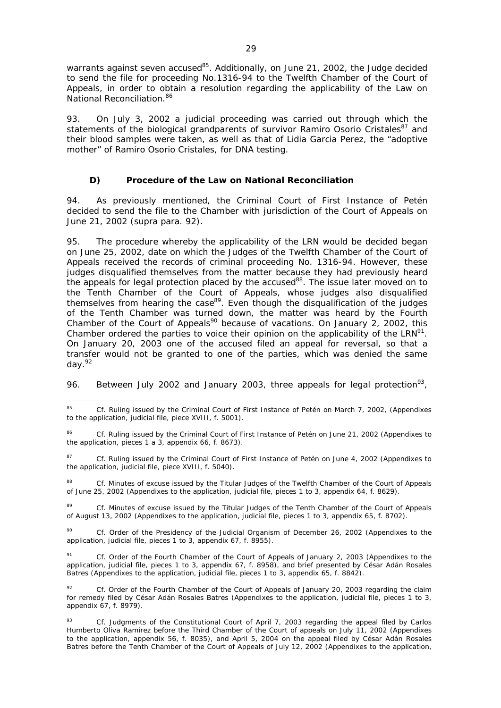warrants against seven accused $^{85}$ . Additionally, on June 21, 2002, the Judge decided to send the file for proceeding No.1316-94 to the Twelfth Chamber of the Court of Appeals, in order to obtain a resolution regarding the applicability of the Law on National Reconciliation.<sup>86</sup>

93. On July 3, 2002 a judicial proceeding was carried out through which the statements of the biological grandparents of survivor Ramiro Osorio Cristales<sup>87</sup> and their blood samples were taken, as well as that of Lidia Garcia Perez, the "adoptive mother" of Ramiro Osorio Cristales, for DNA testing.

## *D) Procedure of the Law on National Reconciliation*

94. As previously mentioned, the Criminal Court of First Instance of Petén decided to send the file to the Chamber with jurisdiction of the Court of Appeals on June 21, 2002 (*supra* para. 92).

95. The procedure whereby the applicability of the LRN would be decided began on June 25, 2002, date on which the Judges of the Twelfth Chamber of the Court of Appeals received the records of criminal proceeding No. 1316-94. However, these judges disqualified themselves from the matter because they had previously heard the appeals for legal protection placed by the accused<sup>88</sup>. The issue later moved on to the Tenth Chamber of the Court of Appeals, whose judges also disqualified themselves from hearing the case<sup>89</sup>. Even though the disqualification of the judges of the Tenth Chamber was turned down, the matter was heard by the Fourth Chamber of the Court of Appeals<sup>90</sup> because of vacations. On January 2, 2002, this Chamber ordered the parties to voice their opinion on the applicability of the LRN<sup>91</sup>. On January 20, 2003 one of the accused filed an appeal for reversal, so that a transfer would not be granted to one of the parties, which was denied the same day.92

96. Between July 2002 and January 2003, three appeals for legal protection<sup>93</sup>,

<sup>85</sup> <sup>85</sup> *Cf.* Ruling issued by the Criminal Court of First Instance of Petén on March 7, 2002, (Appendixes to the application, judicial file, piece XVIII, f. 5001).

<sup>86</sup> *Cf*. Ruling issued by the Criminal Court of First Instance of Petén on June 21, 2002 (Appendixes to the application, pieces 1 a 3, appendix 66, f. 8673).

<sup>87</sup> Cf. Ruling issued by the Criminal Court of First Instance of Petén on June 4, 2002 (Appendixes to the application, judicial file, piece XVIII, f. 5040).

<sup>88</sup> *Cf.* Minutes of excuse issued by the Titular Judges of the Twelfth Chamber of the Court of Appeals of June 25, 2002 (Appendixes to the application, judicial file, pieces 1 to 3, appendix 64, f. 8629).

<sup>&</sup>lt;sup>89</sup> *Cf.* Minutes of excuse issued by the Titular Judges of the Tenth Chamber of the Court of Appeals of August 13, 2002 (Appendixes to the application, judicial file, pieces 1 to 3, appendix 65, f. 8702).

<sup>90</sup> *Cf.* Order of the Presidency of the Judicial Organism of December 26, 2002 (Appendixes to the application, judicial file, pieces 1 to 3, appendix 67, f. 8955).

<sup>91</sup> *Cf.* Order of the Fourth Chamber of the Court of Appeals of January 2, 2003 (Appendixes to the application, judicial file, pieces 1 to 3, appendix 67, f. 8958), and brief presented by César Adán Rosales Batres (Appendixes to the application, judicial file, pieces 1 to 3, appendix 65, f. 8842).

Cf. Order of the Fourth Chamber of the Court of Appeals of January 20, 2003 regarding the claim for remedy filed by César Adán Rosales Batres (Appendixes to the application, judicial file, pieces 1 to 3, appendix 67, f. 8979).

<sup>93</sup> *Cf.* Judgments of the Constitutional Court of April 7, 2003 regarding the appeal filed by Carlos Humberto Oliva Ramírez before the Third Chamber of the Court of appeals on July 11, 2002 (Appendixes to the application, appendix 56, f. 8035), and April 5, 2004 on the appeal filed by César Adán Rosales Batres before the Tenth Chamber of the Court of Appeals of July 12, 2002 (Appendixes to the application,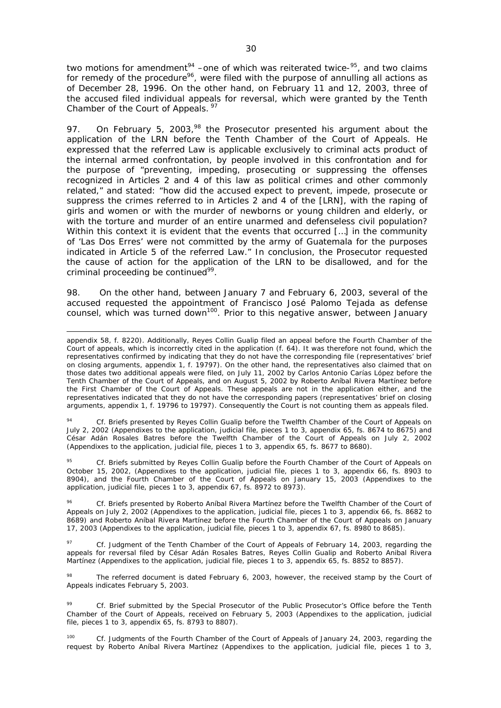two motions for amendment<sup>94</sup> –one of which was reiterated twice- $95$ , and two claims for remedy of the procedure<sup>96</sup>, were filed with the purpose of annulling all actions as of December 28, 1996. On the other hand, on February 11 and 12, 2003, three of the accused filed individual appeals for reversal, which were granted by the Tenth Chamber of the Court of Appeals. 97

97. On February 5, 2003,  $98$  the Prosecutor presented his argument about the application of the LRN before the Tenth Chamber of the Court of Appeals. He expressed that the referred Law is applicable exclusively to criminal acts product of the internal armed confrontation, by people involved in this confrontation and for the purpose of "preventing, impeding, prosecuting or suppressing the offenses recognized in Articles 2 and 4 of this law as political crimes and other commonly related," and stated: "how did the accused expect to prevent, impede, prosecute or suppress the crimes referred to in Articles 2 and 4 of the [LRN], with the raping of girls and women or with the murder of newborns or young children and elderly, or with the torture and murder of an entire unarmed and defenseless civil population? Within this context it is evident that the events that occurred [...] in the community of 'Las Dos Erres' were not committed by the army of Guatemala for the purposes indicated in Article 5 of the referred Law." In conclusion, the Prosecutor requested the cause of action for the application of the LRN to be disallowed, and for the criminal proceeding be continued<sup>99</sup>.

98. On the other hand, between January 7 and February 6, 2003, several of the accused requested the appointment of Francisco José Palomo Tejada as defense counsel, which was turned down<sup>100</sup>. Prior to this negative answer, between January

1

Cf. Briefs presented by Reyes Collin Gualip before the Twelfth Chamber of the Court of Appeals on July 2, 2002 (Appendixes to the application, judicial file, pieces 1 to 3, appendix 65, fs. 8674 to 8675) and César Adán Rosales Batres before the Twelfth Chamber of the Court of Appeals on July 2, 2002 (Appendixes to the application, judicial file, pieces 1 to 3, appendix 65, fs. 8677 to 8680).

<sup>95</sup> *Cf.* Briefs submitted by Reyes Collin Gualip before the Fourth Chamber of the Court of Appeals on October 15, 2002, (Appendixes to the application, judicial file, pieces 1 to 3, appendix 66, fs. 8903 to 8904), and the Fourth Chamber of the Court of Appeals on January 15, 2003 (Appendixes to the application, judicial file, pieces 1 to 3, appendix 67, fs. 8972 to 8973).

<sup>96</sup> *Cf.* Briefs presented by Roberto Aníbal Rivera Martínez before the Twelfth Chamber of the Court of Appeals on July 2, 2002 (Appendixes to the application, judicial file, pieces 1 to 3, appendix 66, fs. 8682 to 8689) and Roberto Aníbal Rivera Martínez before the Fourth Chamber of the Court of Appeals on January 17, 2003 (Appendixes to the application, judicial file, pieces 1 to 3, appendix 67, fs. 8980 to 8685).

<sup>97</sup> *Cf.* Judgment of the Tenth Chamber of the Court of Appeals of February 14, 2003, regarding the appeals for reversal filed by César Adán Rosales Batres, Reyes Collin Gualip and Roberto Anibal Rivera Martínez (Appendixes to the application, judicial file, pieces 1 to 3, appendix 65, fs. 8852 to 8857).

The referred document is dated February 6, 2003, however, the received stamp by the Court of Appeals indicates February 5, 2003.

<sup>99</sup> *Cf.* Brief submitted by the Special Prosecutor of the Public Prosecutor's Office before the Tenth Chamber of the Court of Appeals, received on February 5, 2003 (Appendixes to the application, judicial file, pieces 1 to 3, appendix 65, fs. 8793 to 8807).

Cf. Judgments of the Fourth Chamber of the Court of Appeals of January 24, 2003, regarding the request by Roberto Aníbal Rivera Martínez (Appendixes to the application, judicial file, pieces 1 to 3,

appendix 58, f. 8220). Additionally, Reyes Collin Gualip filed an appeal before the Fourth Chamber of the Court of appeals, which is incorrectly cited in the application (f. 64). It was therefore not found, which the representatives confirmed by indicating that they do not have the corresponding file (representatives' brief on closing arguments, appendix 1, f. 19797). On the other hand, the representatives also claimed that on those dates two additional appeals were filed, on July 11, 2002 by Carlos Antonio Carías López before the Tenth Chamber of the Court of Appeals, and on August 5, 2002 by Roberto Aníbal Rivera Martínez before the First Chamber of the Court of Appeals. These appeals are not in the application either, and the representatives indicated that they do not have the corresponding papers (representatives' brief on closing arguments, appendix 1, f. 19796 to 19797). Consequently the Court is not counting them as appeals filed.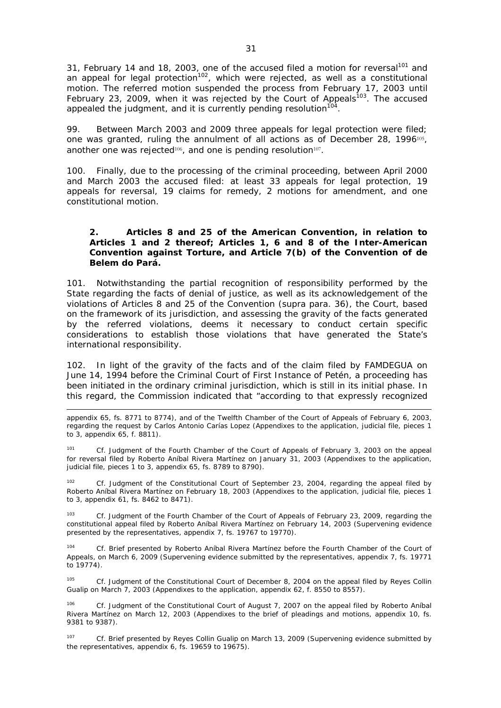31, February 14 and 18, 2003, one of the accused filed a motion for reversal<sup>101</sup> and an appeal for legal protection<sup>102</sup>, which were rejected, as well as a constitutional motion. The referred motion suspended the process from February 17, 2003 until February 23, 2009, when it was rejected by the Court of Appeals<sup>103</sup>. The accused appealed the judgment, and it is currently pending resolution<sup>104</sup>.

99. Between March 2003 and 2009 three appeals for legal protection were filed; one was granted, ruling the annulment of all actions as of December 28,  $1996^{105}$ , another one was rejected<sup>106</sup>, and one is pending resolution<sup>107</sup>.

100. Finally, due to the processing of the criminal proceeding, between April 2000 and March 2003 the accused filed: at least 33 appeals for legal protection, 19 appeals for reversal, 19 claims for remedy, 2 motions for amendment, and one constitutional motion.

## **2. Articles 8 and 25 of the American Convention, in relation to Articles 1 and 2 thereof; Articles 1, 6 and 8 of the Inter-American Convention against Torture, and Article 7(b) of the Convention of de Belem do Pará.**

101. Notwithstanding the partial recognition of responsibility performed by the State regarding the facts of denial of justice, as well as its acknowledgement of the violations of Articles 8 and 25 of the Convention (*supra* para. 36), the Court, based on the framework of its jurisdiction, and assessing the gravity of the facts generated by the referred violations, deems it necessary to conduct certain specific considerations to establish those violations that have generated the State's international responsibility.

102. In light of the gravity of the facts and of the claim filed by FAMDEGUA on June 14, 1994 before the Criminal Court of First Instance of Petén, a proceeding has been initiated in the ordinary criminal jurisdiction, which is still in its initial phase. In this regard, the Commission indicated that "according to that expressly recognized

appendix 65, fs. 8771 to 8774), and of the Twelfth Chamber of the Court of Appeals of February 6, 2003, regarding the request by Carlos Antonio Carías Lopez (Appendixes to the application, judicial file, pieces 1 to 3, appendix 65, f. 8811).

-

<sup>101</sup> *Cf.* Judgment of the Fourth Chamber of the Court of Appeals of February 3, 2003 on the appeal for reversal filed by Roberto Aníbal Rivera Martínez on January 31, 2003 (Appendixes to the application, judicial file, pieces 1 to 3, appendix 65, fs. 8789 to 8790).

<sup>102</sup> *Cf*. Judgment of the Constitutional Court of September 23, 2004, regarding the appeal filed by Roberto Aníbal Rivera Martínez on February 18, 2003 (Appendixes to the application, judicial file, pieces 1 to 3, appendix 61, fs. 8462 to 8471).

<sup>103</sup> *Cf.* Judgment of the Fourth Chamber of the Court of Appeals of February 23, 2009, regarding the constitutional appeal filed by Roberto Aníbal Rivera Martínez on February 14, 2003 (Supervening evidence presented by the representatives, appendix 7, fs. 19767 to 19770).

Cf. Brief presented by Roberto Aníbal Rivera Martínez before the Fourth Chamber of the Court of Appeals, on March 6, 2009 (Supervening evidence submitted by the representatives, appendix 7, fs. 19771 to 19774).

<sup>105</sup> *Cf.* Judgment of the Constitutional Court of December 8, 2004 on the appeal filed by Reyes Collin Gualip on March 7, 2003 (Appendixes to the application, appendix 62, f. 8550 to 8557).

Cf. Judgment of the Constitutional Court of August 7, 2007 on the appeal filed by Roberto Aníbal Rivera Martínez on March 12, 2003 (Appendixes to the brief of pleadings and motions, appendix 10, fs. 9381 to 9387).

<sup>107</sup> *Cf.* Brief presented by Reyes Collin Gualip on March 13, 2009 (Supervening evidence submitted by the representatives, appendix 6, fs. 19659 to 19675).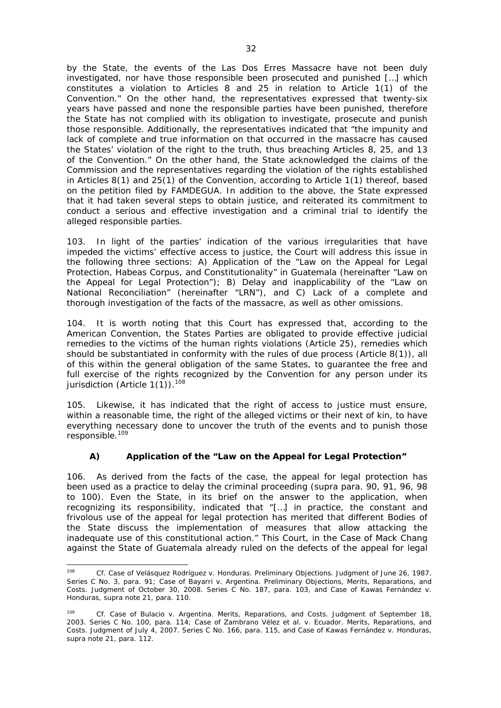by the State, the events of the Las Dos Erres Massacre have not been duly investigated, nor have those responsible been prosecuted and punished […] which constitutes a violation to Articles 8 and 25 in relation to Article 1(1) of the Convention." On the other hand, the representatives expressed that twenty-six years have passed and none the responsible parties have been punished, therefore the State has not complied with its obligation to investigate, prosecute and punish those responsible. Additionally, the representatives indicated that "the impunity and lack of complete and true information on that occurred in the massacre has caused the States' violation of the right to the truth, thus breaching Articles 8, 25, and 13 of the Convention." On the other hand, the State acknowledged the claims of the Commission and the representatives regarding the violation of the rights established in Articles 8(1) and 25(1) of the Convention, according to Article 1(1) thereof, based on the petition filed by FAMDEGUA. In addition to the above, the State expressed that it had taken several steps to obtain justice, and reiterated its commitment to conduct a serious and effective investigation and a criminal trial to identify the alleged responsible parties.

103. In light of the parties' indication of the various irregularities that have impeded the victims' effective access to justice, the Court will address this issue in the following three sections: *A) Application of the "Law on the Appeal for Legal Protection, Habeas Corpus, and Constitutionality" in Guatemala (hereinafter "Law on the Appeal for Legal Protection"); B) Delay and inapplicability of the "Law on National Reconciliation" (hereinafter "LRN"), and C) Lack of a complete and thorough investigation of the facts of the massacre, as well as other omissions.* 

104. It is worth noting that this Court has expressed that, according to the American Convention, the States Parties are obligated to provide effective judicial remedies to the victims of the human rights violations (Article 25), remedies which should be substantiated in conformity with the rules of due process (Article 8(1)), all of this within the general obligation of the same States, to guarantee the free and full exercise of the rights recognized by the Convention for any person under its jurisdiction (Article  $1(\tilde{1})$ ).<sup>108</sup>

105. Likewise, it has indicated that the right of access to justice must ensure, within a reasonable time, the right of the alleged victims or their next of kin, to have everything necessary done to uncover the truth of the events and to punish those responsible.<sup>109</sup>

# *A) Application of the "Law on the Appeal for Legal Protection"*

106. As derived from the facts of the case, the appeal for legal protection has been used as a practice to delay the criminal proceeding (*supra* para. 90, 91, 96, 98 to 100). Even the State, in its brief on the answer to the application, when recognizing its responsibility, indicated that "[…] in practice, the constant and frivolous use of the appeal for legal protection has merited that different Bodies of the State discuss the implementation of measures that allow attacking the inadequate use of this constitutional action." This Court, in the *Case of Mack Chang*  against the State of Guatemala already ruled on the defects of the appeal for legal

<sup>108</sup> <sup>108</sup> *Cf. Case of Velásquez Rodríguez v. Honduras.* Preliminary Objections. Judgment of June 26, 1987. Series C No. 3, para. 91; *Case of Bayarri v. Argentina.* Preliminary Objections, Merits, Reparations, and Costs. Judgment of October 30, 2008. Series C No. 187, para. 103, and *Case of Kawas Fernández v. Honduras, supra* note 21, para. 110.

<sup>109</sup> *Cf. Case of Bulacio v. Argentina.* Merits, Reparations, and Costs. Judgment of September 18, 2003. Series C No. 100, para. 114; *Case of Zambrano Vélez et al. v. Ecuador.* Merits, Reparations, and Costs. Judgment of July 4, 2007. Series C No. 166, para. 115, and *Case of Kawas Fernández v. Honduras, supra* note 21, para. 112.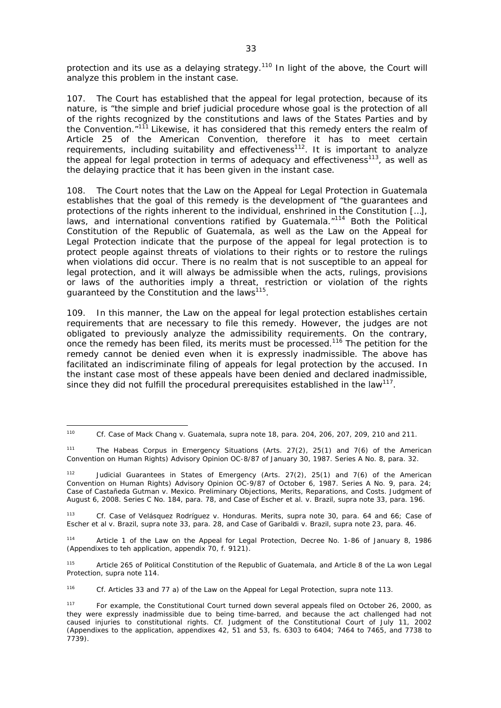protection and its use as a delaying strategy.<sup>110</sup> In light of the above, the Court will analyze this problem in the instant case.

107. The Court has established that the appeal for legal protection, because of its nature, is "the simple and brief judicial procedure whose goal is the protection of all of the rights recognized by the constitutions and laws of the States Parties and by the Convention."<sup>111</sup> Likewise, it has considered that this remedy enters the realm of Article 25 of the American Convention, therefore it has to meet certain requirements, including suitability and effectiveness<sup>112</sup>. It is important to analyze the appeal for legal protection in terms of adequacy and effectiveness<sup>113</sup>, as well as the delaying practice that it has been given in the instant case.

108. The Court notes that the Law on the Appeal for Legal Protection in Guatemala establishes that the goal of this remedy is the development of "the guarantees and protections of the rights inherent to the individual, enshrined in the Constitution […], laws, and international conventions ratified by Guatemala."<sup>114</sup> Both the Political Constitution of the Republic of Guatemala, as well as the Law on the Appeal for Legal Protection indicate that the purpose of the appeal for legal protection is to protect people against threats of violations to their rights or to restore the rulings when violations did occur. There is no realm that is not susceptible to an appeal for legal protection, and it will always be admissible when the acts, rulings, provisions or laws of the authorities imply a threat, restriction or violation of the rights guaranteed by the Constitution and the laws<sup>115</sup>.

109. In this manner, the Law on the appeal for legal protection establishes certain requirements that are necessary to file this remedy. However, the judges are not obligated to previously analyze the admissibility requirements. On the contrary, once the remedy has been filed, its merits must be processed.116 The petition for the remedy cannot be denied even when it is expressly inadmissible. The above has facilitated an indiscriminate filing of appeals for legal protection by the accused. In the instant case most of these appeals have been denied and declared inadmissible, since they did not fulfill the procedural prerequisites established in the law<sup>117</sup>.

<sup>113</sup> *Cf. Case of Velásquez Rodríguez v. Honduras*. Merits, *supra* note 30*,* para. 64 and 66; *Case of Escher et al v. Brazil, supra* note 33, para. 28, and *Case of Garibaldi v. Brazil*, *supra* note 23, para. 46.

114 Article 1 of the Law on the Appeal for Legal Protection, Decree No. 1-86 of January 8, 1986 (Appendixes to teh application, appendix 70, f. 9121).

115 Article 265 of Political Constitution of the Republic of Guatemala, and Article 8 of the La won Legal Protection, *supra* note 114.

<sup>116</sup> *Cf.* Articles 33 and 77 a) of the Law on the Appeal for Legal Protection, *supra* note 113.

<sup>110</sup> <sup>110</sup> *Cf. Case of Mack Chang v. Guatemala*, *supra* note 18, para. 204, 206, 207, 209, 210 and 211.

<sup>111</sup> *The Habeas Corpus in Emergency Situations (Arts. 27(2), 25(1) and 7(6) of the American Convention on Human Rights)* Advisory Opinion OC-8/87 of January 30, 1987*.* Series A No. 8, para. 32.

<sup>112</sup> *Judicial Guarantees in States of Emergency* (*Arts. 27(2), 25(1) and 7(6) of the American Convention on Human Rights)* Advisory Opinion OC-9/87 of October 6, 1987. Series A No. 9, para. 24; *Case of Castañeda Gutman v. Mexico.* Preliminary Objections, Merits, Reparations, and Costs. Judgment of August 6, 2008. Series C No. 184, para. 78, and *Case of Escher et al. v. Brazil, supra* note 33, para. 196.

<sup>&</sup>lt;sup>117</sup> For example, the Constitutional Court turned down several appeals filed on October 26, 2000, as they were expressly inadmissible due to being time-barred, and because the act challenged had not caused injuries to constitutional rights. *Cf*. Judgment of the Constitutional Court of July 11, 2002 (Appendixes to the application, appendixes 42, 51 and 53, fs. 6303 to 6404; 7464 to 7465, and 7738 to 7739).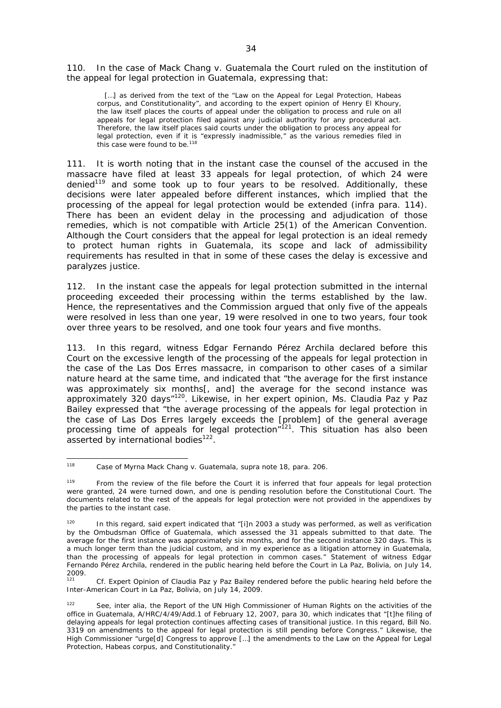110. In the case of *Mack Chang v. Guatemala* the Court ruled on the institution of the appeal for legal protection in Guatemala, expressing that:

[...] as derived from the text of the "Law on the Appeal for Legal Protection, Habeas corpus, and Constitutionality", and according to the expert opinion of Henry El Khoury, the law itself places the courts of appeal under the obligation to process and rule on all appeals for legal protection filed against any judicial authority for any procedural act. Therefore, the law itself places said courts under the obligation to process any appeal for legal protection, even if it is "expressly inadmissible," as the various remedies filed in this case were found to be.<sup>118</sup>

111. It is worth noting that in the instant case the counsel of the accused in the massacre have filed at least 33 appeals for legal protection, of which 24 were denied<sup>119</sup> and some took up to four years to be resolved. Additionally, these decisions were later appealed before different instances, which implied that the processing of the appeal for legal protection would be extended (*infra* para. 114). There has been an evident delay in the processing and adjudication of those remedies, which is not compatible with Article 25(1) of the American Convention. Although the Court considers that the appeal for legal protection is an ideal remedy to protect human rights in Guatemala, its scope and lack of admissibility requirements has resulted in that in some of these cases the delay is excessive and paralyzes justice.

112. In the instant case the appeals for legal protection submitted in the internal proceeding exceeded their processing within the terms established by the law. Hence, the representatives and the Commission argued that only five of the appeals were resolved in less than one year, 19 were resolved in one to two years, four took over three years to be resolved, and one took four years and five months.

113. In this regard, witness Edgar Fernando Pérez Archila declared before this Court on the excessive length of the processing of the appeals for legal protection in the case of the Las Dos Erres massacre, in comparison to other cases of a similar nature heard at the same time, and indicated that "the average for the first instance was approximately six months[, and] the average for the second instance was approximately 320 days"<sup>120</sup>. Likewise, in her expert opinion, Ms. Claudia Paz y Paz Bailey expressed that "the average processing of the appeals for legal protection in the case of Las Dos Erres largely exceeds the [problem] of the general average processing time of appeals for legal protection<sup>"121</sup>. This situation has also been asserted by international bodies<sup>122</sup>.

<sup>118</sup> <sup>118</sup> *Case of Myrna Mack Chang v. Guatemala, supra* note 18, para. 206.

<sup>&</sup>lt;sup>119</sup> From the review of the file before the Court it is inferred that four appeals for legal protection were granted, 24 were turned down, and one is pending resolution before the Constitutional Court. The documents related to the rest of the appeals for legal protection were not provided in the appendixes by the parties to the instant case.

In this regard, said expert indicated that "[i]n 2003 a study was performed, as well as verification by the Ombudsman Office of Guatemala, which assessed the 31 appeals submitted to that date. The average for the first instance was approximately six months, and for the second instance 320 days. This is a much longer term than the judicial custom, and in my experience as a litigation attorney in Guatemala, than the processing of appeals for legal protection in common cases." Statement of witness Edgar Fernando Pérez Archila, rendered in the public hearing held before the Court in La Paz, Bolivia, on July 14, 2009.

Cf. Expert Opinion of Claudia Paz y Paz Bailey rendered before the public hearing held before the Inter-American Court in La Paz, Bolivia, on July 14, 2009.

<sup>122</sup> See, *inter alia*, the Report of the UN High Commissioner of Human Rights on the activities of the office in Guatemala, A/HRC/4/49/Add.1 of February 12, 2007, para 30, which indicates that "[t]he filing of delaying appeals for legal protection continues affecting cases of transitional justice. In this regard, Bill No. 3319 on amendments to the appeal for legal protection is still pending before Congress." Likewise, the High Commissioner "urge[d] Congress to approve […] the amendments to the Law on the Appeal for Legal Protection, Habeas corpus, and Constitutionality."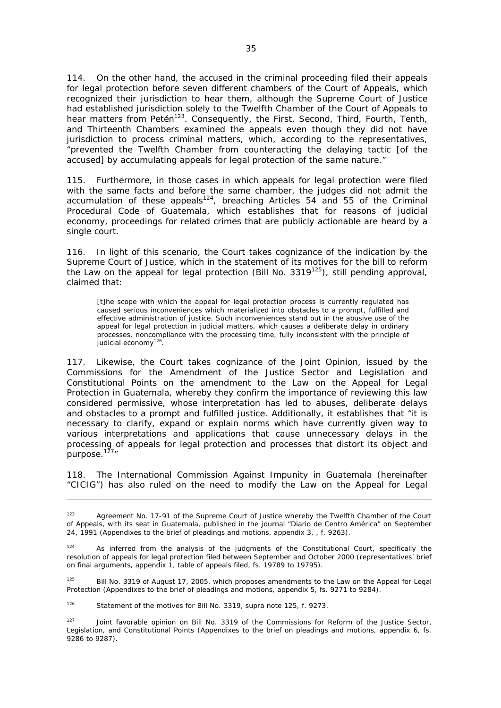114. On the other hand, the accused in the criminal proceeding filed their appeals for legal protection before seven different chambers of the Court of Appeals, which recognized their jurisdiction to hear them, although the Supreme Court of Justice had established jurisdiction solely to the Twelfth Chamber of the Court of Appeals to hear matters from Petén<sup>123</sup>. Consequently, the First, Second, Third, Fourth, Tenth, and Thirteenth Chambers examined the appeals even though they did not have jurisdiction to process criminal matters, which, according to the representatives, "prevented the Twelfth Chamber from counteracting the delaying tactic [of the accused] by accumulating appeals for legal protection of the same nature."

115. Furthermore, in those cases in which appeals for legal protection were filed with the same facts and before the same chamber, the judges did not admit the  $\frac{1}{2}$  accumulation of these appeals<sup>124</sup>, breaching Articles 54 and 55 of the Criminal Procedural Code of Guatemala, which establishes that for reasons of judicial economy, proceedings for related crimes that are publicly actionable are heard by a single court.

116. In light of this scenario, the Court takes cognizance of the indication by the Supreme Court of Justice, which in the statement of its motives for the bill to reform the Law on the appeal for legal protection (Bill No.  $3319^{125}$ ), still pending approval, claimed that:

[t]he scope with which the appeal for legal protection process is currently regulated has caused serious inconveniences which materialized into obstacles to a prompt, fulfilled and effective administration of justice. Such inconveniences stand out in the abusive use of the appeal for legal protection in judicial matters, which causes a deliberate delay in ordinary processes, noncompliance with the processing time, fully inconsistent with the principle of judicial economy<sup>126</sup>.

117. Likewise, the Court takes cognizance of the Joint Opinion, issued by the Commissions for the Amendment of the Justice Sector and Legislation and Constitutional Points on the amendment to the Law on the Appeal for Legal Protection in Guatemala, whereby they confirm the importance of reviewing this law considered permissive, whose interpretation has led to abuses, deliberate delays and obstacles to a prompt and fulfilled justice. Additionally, it establishes that "it is necessary to clarify, expand or explain norms which have currently given way to various interpretations and applications that cause unnecessary delays in the processing of appeals for legal protection and processes that distort its object and purpose. $127''$ 

118. The International Commission Against Impunity in Guatemala (hereinafter "CICIG") has also ruled on the need to modify the Law on the Appeal for Legal

126 Statement of the motives for Bill No. 3319, *supra* note 125, f. 9273.

<sup>123</sup> Agreement No. 17-91 of the Supreme Court of Justice whereby the Twelfth Chamber of the Court of Appeals, with its seat in Guatemala, published in the journal "Diario de Centro América" on September 24, 1991 (Appendixes to the brief of pleadings and motions, appendix 3, , f. 9263).

As inferred from the analysis of the judgments of the Constitutional Court, specifically the resolution of appeals for legal protection filed between September and October 2000 (representatives' brief on final arguments, appendix 1, table of appeals filed, fs. 19789 to 19795).

<sup>&</sup>lt;sup>125</sup> Bill No. 3319 of August 17, 2005, which proposes amendments to the Law on the Appeal for Legal Protection (Appendixes to the brief of pleadings and motions, appendix 5, fs. 9271 to 9284).

<sup>&</sup>lt;sup>127</sup> Joint favorable opinion on Bill No. 3319 of the Commissions for Reform of the Justice Sector, Legislation, and Constitutional Points (Appendixes to the brief on pleadings and motions, appendix 6, fs. 9286 to 9287).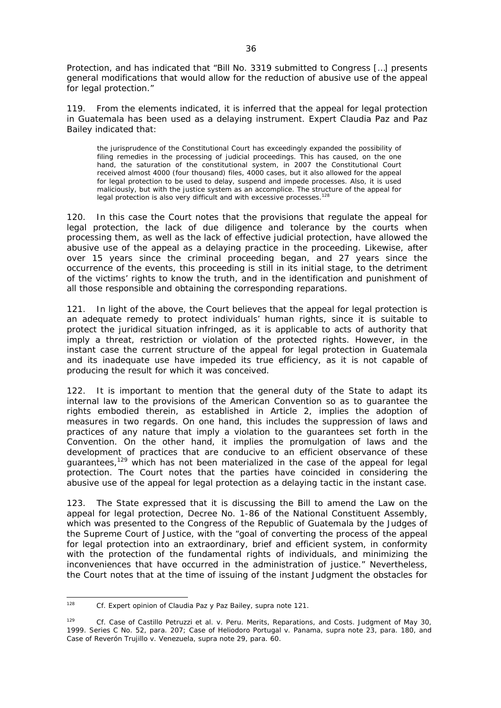Protection, and has indicated that "Bill No. 3319 submitted to Congress […] presents general modifications that would allow for the reduction of abusive use of the appeal for legal protection."

119. From the elements indicated, it is inferred that the appeal for legal protection in Guatemala has been used as a delaying instrument. Expert Claudia Paz and Paz Bailey indicated that:

the jurisprudence of the Constitutional Court has exceedingly expanded the possibility of filing remedies in the processing of judicial proceedings. This has caused, on the one hand, the saturation of the constitutional system, in 2007 the Constitutional Court received almost 4000 (four thousand) files, 4000 cases, but it also allowed for the appeal for legal protection to be used to delay, suspend and impede processes. Also, it is used maliciously, but with the justice system as an accomplice. The structure of the appeal for legal protection is also very difficult and with excessive processes.<sup>128</sup>

120. In this case the Court notes that the provisions that regulate the appeal for legal protection, the lack of due diligence and tolerance by the courts when processing them, as well as the lack of effective judicial protection, have allowed the abusive use of the appeal as a delaying practice in the proceeding. Likewise, after over 15 years since the criminal proceeding began, and 27 years since the occurrence of the events, this proceeding is still in its initial stage, to the detriment of the victims' rights to know the truth, and in the identification and punishment of all those responsible and obtaining the corresponding reparations.

121. In light of the above, the Court believes that the appeal for legal protection is an adequate remedy to protect individuals' human rights, since it is suitable to protect the juridical situation infringed, as it is applicable to acts of authority that imply a threat, restriction or violation of the protected rights. However, in the instant case the current structure of the appeal for legal protection in Guatemala and its inadequate use have impeded its true efficiency, as it is not capable of producing the result for which it was conceived.

122. It is important to mention that the general duty of the State to adapt its internal law to the provisions of the American Convention so as to guarantee the rights embodied therein, as established in Article 2, implies the adoption of measures in two regards. On one hand, this includes the suppression of laws and practices of any nature that imply a violation to the guarantees set forth in the Convention. On the other hand, it implies the promulgation of laws and the development of practices that are conducive to an efficient observance of these guarantees,<sup>129</sup> which has not been materialized in the case of the appeal for legal protection. The Court notes that the parties have coincided in considering the abusive use of the appeal for legal protection as a delaying tactic in the instant case.

123. The State expressed that it is discussing the Bill to amend the Law on the appeal for legal protection, Decree No. 1-86 of the National Constituent Assembly, which was presented to the Congress of the Republic of Guatemala by the Judges of the Supreme Court of Justice, with the "goal of converting the process of the appeal for legal protection into an extraordinary, brief and efficient system, in conformity with the protection of the fundamental rights of individuals, and minimizing the inconveniences that have occurred in the administration of justice." Nevertheless, the Court notes that at the time of issuing of the instant Judgment the obstacles for

 $128$ <sup>128</sup> *Cf.* Expert opinion of Claudia Paz y Paz Bailey, *supra* note 121.

<sup>129</sup> *Cf. Case of Castillo Petruzzi et al. v. Peru*. Merits, Reparations, and Costs. Judgment of May 30, 1999. Series C No. 52, para. 207; *Case of Heliodoro Portugal v. Panama, supra* note 23*,* para. 180, and *Case of Reverón Trujillo v. Venezuela, supra* note 29, para. 60.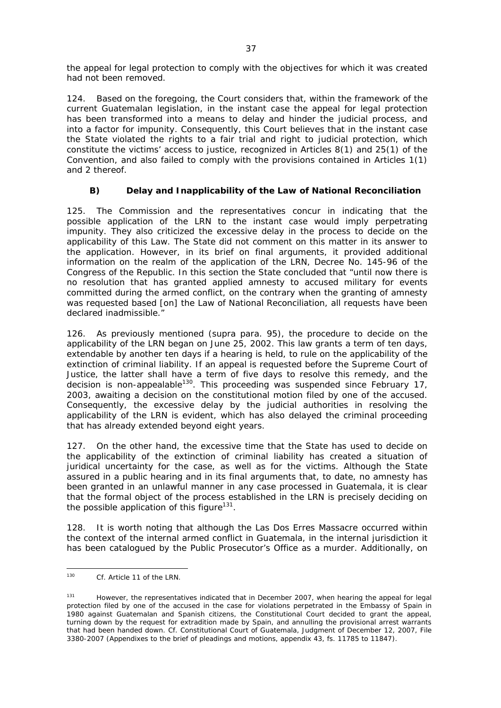the appeal for legal protection to comply with the objectives for which it was created had not been removed.

124. Based on the foregoing, the Court considers that, within the framework of the current Guatemalan legislation, in the instant case the appeal for legal protection has been transformed into a means to delay and hinder the judicial process, and into a factor for impunity. Consequently, this Court believes that in the instant case the State violated the rights to a fair trial and right to judicial protection, which constitute the victims' access to justice, recognized in Articles 8(1) and 25(1) of the Convention, and also failed to comply with the provisions contained in Articles 1(1) and 2 thereof.

# *B) Delay and Inapplicability of the Law of National Reconciliation*

125. The Commission and the representatives concur in indicating that the possible application of the LRN to the instant case would imply perpetrating impunity. They also criticized the excessive delay in the process to decide on the applicability of this Law. The State did not comment on this matter in its answer to the application. However, in its brief on final arguments, it provided additional information on the realm of the application of the LRN, Decree No. 145-96 of the Congress of the Republic. In this section the State concluded that "until now there is no resolution that has granted applied amnesty to accused military for events committed during the armed conflict, on the contrary when the granting of amnesty was requested based [on] the Law of National Reconciliation, all requests have been declared inadmissible."

126. As previously mentioned (*supra* para. 95), the procedure to decide on the applicability of the LRN began on June 25, 2002. This law grants a term of ten days, extendable by another ten days if a hearing is held, to rule on the applicability of the extinction of criminal liability. If an appeal is requested before the Supreme Court of Justice, the latter shall have a term of five days to resolve this remedy, and the decision is non-appealable<sup>130</sup>. This proceeding was suspended since February 17, 2003, awaiting a decision on the constitutional motion filed by one of the accused. Consequently, the excessive delay by the judicial authorities in resolving the applicability of the LRN is evident, which has also delayed the criminal proceeding that has already extended beyond eight years.

127. On the other hand, the excessive time that the State has used to decide on the applicability of the extinction of criminal liability has created a situation of juridical uncertainty for the case, as well as for the victims. Although the State assured in a public hearing and in its final arguments that, to date, no amnesty has been granted in an unlawful manner in any case processed in Guatemala, it is clear that the formal object of the process established in the LRN is precisely deciding on the possible application of this figure<sup>131</sup>.

128. It is worth noting that although the Las Dos Erres Massacre occurred within the context of the internal armed conflict in Guatemala, in the internal jurisdiction it has been catalogued by the Public Prosecutor's Office as a murder. Additionally, on

<sup>130</sup> Cf. Article 11 of the LRN.

<sup>&</sup>lt;sup>131</sup> However, the representatives indicated that in December 2007, when hearing the appeal for legal protection filed by one of the accused in the case for violations perpetrated in the Embassy of Spain in 1980 against Guatemalan and Spanish citizens, the Constitutional Court decided to grant the appeal, turning down by the request for extradition made by Spain, and annulling the provisional arrest warrants that had been handed down. *Cf.* Constitutional Court of Guatemala, Judgment of December 12, 2007, File 3380-2007 (Appendixes to the brief of pleadings and motions, appendix 43, fs. 11785 to 11847).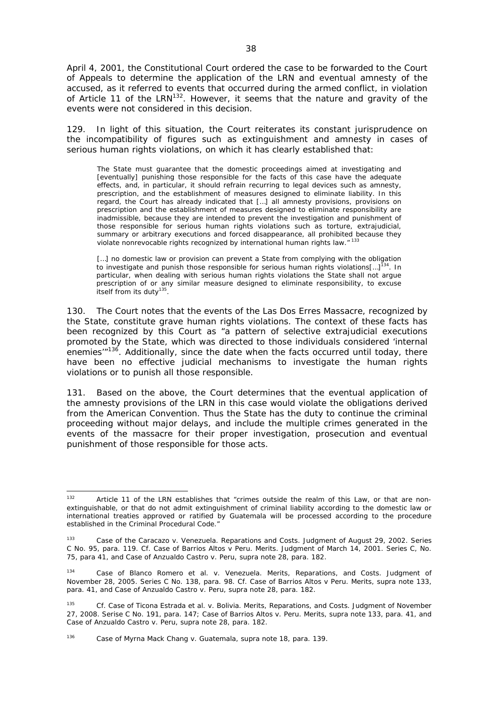April 4, 2001, the Constitutional Court ordered the case to be forwarded to the Court of Appeals to determine the application of the LRN and eventual amnesty of the accused, as it referred to events that occurred during the armed conflict, in violation of Article 11 of the LRN<sup>132</sup>. However, it seems that the nature and gravity of the events were not considered in this decision.

129. In light of this situation, the Court reiterates its constant jurisprudence on the incompatibility of figures such as extinguishment and amnesty in cases of serious human rights violations, on which it has clearly established that:

The State must guarantee that the domestic proceedings aimed at investigating and [eventually] punishing those responsible for the facts of this case have the adequate effects, and, in particular, it should refrain recurring to legal devices such as amnesty, prescription, and the establishment of measures designed to eliminate liability. In this regard, the Court has already indicated that […] all amnesty provisions, provisions on prescription and the establishment of measures designed to eliminate responsibility are inadmissible, because they are intended to prevent the investigation and punishment of those responsible for serious human rights violations such as torture, extrajudicial, summary or arbitrary executions and forced disappearance, all prohibited because they violate nonrevocable rights recognized by international human rights law."<sup>133</sup>

[...] no domestic law or provision can prevent a State from complying with the obligation to investigate and punish those responsible for serious human rights violations $\left[...]^{134}$ . In particular, when dealing with serious human rights violations the State shall not argue prescription of or any similar measure designed to eliminate responsibility, to excuse itself from its duty<sup>135</sup>.

130. The Court notes that the events of the Las Dos Erres Massacre, recognized by the State, constitute grave human rights violations. The context of these facts has been recognized by this Court as "a pattern of selective extrajudicial executions promoted by the State, which was directed to those individuals considered 'internal enemies<sup> $m136$ </sup>. Additionally, since the date when the facts occurred until today, there have been no effective judicial mechanisms to investigate the human rights violations or to punish all those responsible.

131. Based on the above, the Court determines that the eventual application of the amnesty provisions of the LRN in this case would violate the obligations derived from the American Convention. Thus the State has the duty to continue the criminal proceeding without major delays, and include the multiple crimes generated in the events of the massacre for their proper investigation, prosecution and eventual punishment of those responsible for those acts.

<sup>132</sup> Article 11 of the LRN establishes that "crimes outside the realm of this Law, or that are nonextinguishable, or that do not admit extinguishment of criminal liability according to the domestic law or international treaties approved or ratified by Guatemala will be processed according to the procedure established in the Criminal Procedural Code."

<sup>133</sup> *Case of the Caracazo v. Venezuela.* Reparations and Costs. Judgment of August 29, 2002. Series C No. 95, para. 119*. Cf. Case of Barrios Altos v Peru. Merits.* Judgment of March 14, 2001. Series C, No. 75, para 41, and *Case of Anzualdo Castro v. Peru, supra* note 28, para. 182.

<sup>134</sup> *Case of Blanco Romero et al. v. Venezuela.* Merits, Reparations, and Costs. Judgment of November 28, 2005. Series C No. 138, para. 98*. Cf. Case of Barrios Altos v Peru.* Merits*, supra* note 133, para. 41, and *Case of Anzualdo Castro v. Peru, supra* note 28, para. 182.

<sup>135</sup> *Cf. Case of Ticona Estrada et al. v. Bolivia.* Merits, Reparations, and Costs. Judgment of November 27, 2008. Serise C No. 191, para. 147; Case of Barrios Altos *v.* Peru. Merits*, supra* note 133, para. 41, and *Case of Anzualdo Castro v. Peru*, *supra* note 28, para. 182.

<sup>136</sup> *Case of Myrna Mack Chang v. Guatemala, supra* note 18, para. 139.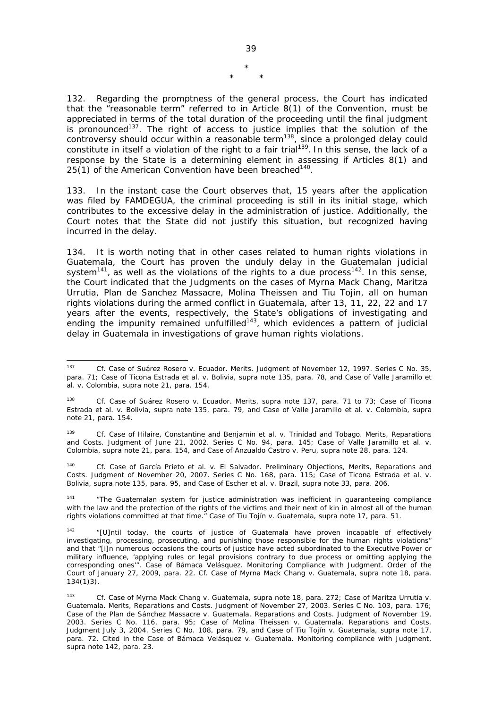\* \* \*

132. Regarding the promptness of the general process, the Court has indicated that the "reasonable term" referred to in Article 8(1) of the Convention, must be appreciated in terms of the total duration of the proceeding until the final judgment is pronounced<sup>137</sup>. The right of access to justice implies that the solution of the controversy should occur within a reasonable term<sup>138</sup>, since a prolonged delay could constitute in itself a violation of the right to a fair trial<sup>139</sup>. In this sense, the lack of a response by the State is a determining element in assessing if Articles 8(1) and 25(1) of the American Convention have been breached<sup>140</sup>.

133. In the instant case the Court observes that, 15 years after the application was filed by FAMDEGUA, the criminal proceeding is still in its initial stage, which contributes to the excessive delay in the administration of justice. Additionally, the Court notes that the State did not justify this situation, but recognized having incurred in the delay.

134. It is worth noting that in other cases related to human rights violations in Guatemala, the Court has proven the unduly delay in the Guatemalan judicial system<sup>141</sup>, as well as the violations of the rights to a due process<sup>142</sup>. In this sense, the Court indicated that the Judgments on the cases of Myrna Mack Chang, Maritza Urrutia, Plan de Sanchez Massacre, Molina Theissen and Tiu Tojin, all on human rights violations during the armed conflict in Guatemala, after 13, 11, 22, 22 and 17 years after the events, respectively, the State's obligations of investigating and years are the events, respectively, the state of salgement of yudicial ending the impunity remained unfulfilled<sup>143</sup>, which evidences a pattern of judicial delay in Guatemala in investigations of grave human rights violations.

<sup>140</sup> *Cf. Case of García Prieto et al. v. El Salvador.* Preliminary Objections, Merits, Reparations and Costs. Judgment of November 20, 2007. Series C No. 168, para. 115; *Case of Ticona Estrada et al. v. Bolivia*, *supra* note 135, para. 95, and *Case of Escher et al. v. Brazil*, *supra* note 33, para. 206.

<sup>141</sup> "The Guatemalan system for justice administration was inefficient in quaranteeing compliance with the law and the protection of the rights of the victims and their next of kin in almost all of the human rights violations committed at that time." *Case of Tiu Tojín v.* Guatemala, *supra* note 17, para. 51.

 $127$ <sup>137</sup> *Cf. Case of Suárez Rosero v. Ecuador.* Merits. Judgment of November 12, 1997. Series C No. 35, para. 71; *Case of Ticona Estrada et al. v. Bolivia, supra* note 135, para. 78, and *Case of Valle Jaramillo et al. v. Colombia, supra* note 21, para. 154.

<sup>138</sup> *Cf. Case of Suárez Rosero v. Ecuador.* Merits, *supra* note 137, para. 71 to 73; *Case of Ticona Estrada et al. v. Bolivia, supra* note 135, para. 79, and *Case of Valle Jaramillo et al. v. Colombia, supra*  note 21, para. 154.

<sup>139</sup> *Cf. Case of Hilaire, Constantine and Benjamín et al. v. Trinidad and Tobago*. Merits, Reparations and Costs. Judgment of June 21, 2002. Series C No. 94, para. 145; *Case of Valle Jaramillo et al. v. Colombia, supra* note 21, para. 154, and *Case of Anzualdo Castro v. Peru, supra* note 28, para. 124.

 $142$  "[U]ntil today, the courts of justice of Guatemala have proven incapable of effectively investigating, processing, prosecuting, and punishing those responsible for the human rights violations" and that "[i]n numerous occasions the courts of justice have acted subordinated to the Executive Power or military influence, 'applying rules or legal provisions contrary to due process or omitting applying the corresponding ones'". *Case of Bámaca Velásquez*. Monitoring Compliance with Judgment. Order of the Court of January 27, 2009, para. 22. *Cf. Case of Myrna Mack Chang v. Guatemala*, *supra* note 18, para. 134(1)3).

<sup>143</sup> *Cf. Case of Myrna Mack Chang v. Guatemala*, *supra* note 18, para. 272; *Case of Maritza Urrutia v. Guatemala*. Merits, Reparations and Costs. Judgment of November 27, 2003. Series C No. 103, para. 176; *Case of the Plan de Sánchez Massacre v. Guatemala.* Reparations and Costs. Judgment of November 19, 2003. Series C No. 116, para. 95; *Case of Molina Theissen v. Guatemala.* Reparations and Costs. Judgment July 3, 2004. Series C No. 108, para. 79, and *Case of Tiu Tojín v. Guatemala*, *supra* note 17, para. 72. Cited in the *Case of Bámaca Velásquez v. Guatemala.* Monitoring compliance with Judgment, *supra* note 142, para. 23.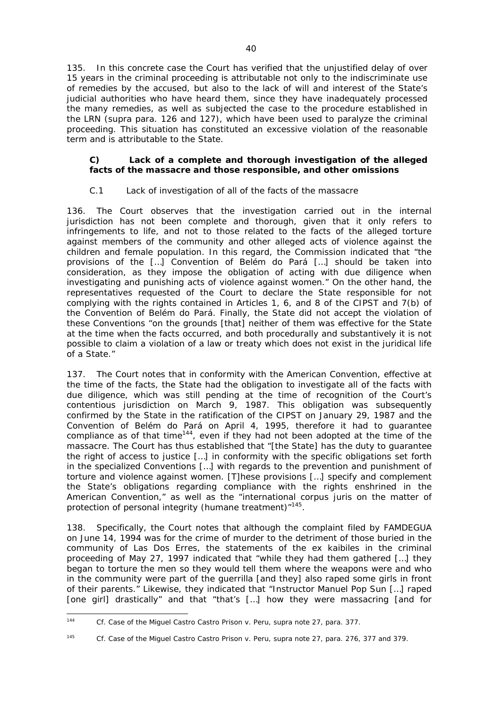135. In this concrete case the Court has verified that the unjustified delay of over 15 years in the criminal proceeding is attributable not only to the indiscriminate use of remedies by the accused, but also to the lack of will and interest of the State's judicial authorities who have heard them, since they have inadequately processed the many remedies, as well as subjected the case to the procedure established in the LRN (supra para. 126 and 127), which have been used to paralyze the criminal proceeding. This situation has constituted an excessive violation of the reasonable term and is attributable to the State.

# *C) Lack of a complete and thorough investigation of the alleged facts of the massacre and those responsible, and other omissions*

# *C.1 Lack of investigation of all of the facts of the massacre*

136. The Court observes that the investigation carried out in the internal jurisdiction has not been complete and thorough, given that it only refers to infringements to life, and not to those related to the facts of the alleged torture against members of the community and other alleged acts of violence against the children and female population. In this regard, the Commission indicated that "the provisions of the […] Convention of Belém do Pará […] should be taken into consideration, as they impose the obligation of acting with due diligence when investigating and punishing acts of violence against women." On the other hand, the representatives requested of the Court to declare the State responsible for not complying with the rights contained in Articles 1, 6, and 8 of the CIPST and 7(b) of the Convention of Belém do Pará. Finally, the State did not accept the violation of these Conventions "on the grounds [that] neither of them was effective for the State at the time when the facts occurred, and both procedurally and substantively it is not possible to claim a violation of a law or treaty which does not exist in the juridical life of a State."

137. The Court notes that in conformity with the American Convention, effective at the time of the facts, the State had the obligation to investigate all of the facts with due diligence, which was still pending at the time of recognition of the Court's contentious jurisdiction on March 9, 1987. This obligation was subsequently confirmed by the State in the ratification of the CIPST on January 29, 1987 and the Convention of Belém do Pará on April 4, 1995, therefore it had to guarantee compliance as of that time<sup>144</sup>, even if they had not been adopted at the time of the massacre. The Court has thus established that "[the State] has the duty to guarantee the right of access to justice […] in conformity with the specific obligations set forth in the specialized Conventions […] with regards to the prevention and punishment of torture and violence against women. [T]hese provisions […] specify and complement the State's obligations regarding compliance with the rights enshrined in the American Convention," as well as the "international *corpus juris* on the matter of protection of personal integrity (humane treatment)<sup>"145</sup>.

138. Specifically, the Court notes that although the complaint filed by FAMDEGUA on June 14, 1994 was for the crime of murder to the detriment of those buried in the community of Las Dos Erres, the statements of the ex kaibiles in the criminal proceeding of May 27, 1997 indicated that "while they had them gathered […] they began to torture the men so they would tell them where the weapons were and who in the community were part of the guerrilla [and they] also raped some girls in front of their parents." Likewise, they indicated that "Instructor Manuel Pop Sun […] raped [one girl] drastically" and that "that's […] how they were massacring [and for

 $144$ <sup>144</sup> *Cf. Case of the Miguel Castro Castro Prison v. Peru, supra* note 27, para. 377.

<sup>&</sup>lt;sup>145</sup> *Cf. Case of the Miguel Castro Castro Prison v. Peru, supra* note 27, para. 276, 377 and 379.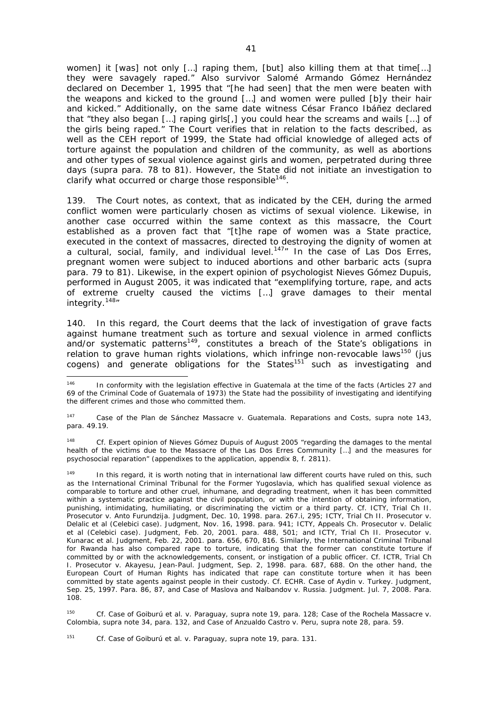women] it [was] not only […] raping them, [but] also killing them at that time[…] they were savagely raped." Also survivor Salomé Armando Gómez Hernández declared on December 1, 1995 that "[he had seen] that the men were beaten with the weapons and kicked to the ground […] and women were pulled [b]y their hair and kicked." Additionally, on the same date witness César Franco Ibáñez declared that "they also began […] raping girls[,] you could hear the screams and wails […] of the girls being raped." The Court verifies that in relation to the facts described, as well as the CEH report of 1999, the State had official knowledge of alleged acts of torture against the population and children of the community, as well as abortions and other types of sexual violence against girls and women, perpetrated during three days (*supra* para. 78 to 81). However, the State did not initiate an investigation to clarify what occurred or charge those responsible<sup>146</sup>.

139. The Court notes, as context, that as indicated by the CEH, during the armed conflict women were particularly chosen as victims of sexual violence. Likewise, in another case occurred within the same context as this massacre, the Court established as a proven fact that "[t]he rape of women was a State practice, executed in the context of massacres, directed to destroying the dignity of women at a cultural, social, family, and individual level.<sup>147</sup> In the case of Las Dos Erres, pregnant women were subject to induced abortions and other barbaric acts (*supra* para. 79 to 81). Likewise, in the expert opinion of psychologist Nieves Gómez Dupuis, performed in August 2005, it was indicated that "exemplifying torture, rape, and acts of extreme cruelty caused the victims […] grave damages to their mental integrity.<sup>148</sup>"

140. In this regard, the Court deems that the lack of investigation of grave facts against humane treatment such as torture and sexual violence in armed conflicts and/or systematic patterns<sup>149</sup>, constitutes a breach of the State's obligations in relation to grave human rights violations, which infringe non-revocable laws<sup>150</sup> (*jus cogens*) and generate obligations for the States<sup>151</sup> such as investigating and

<sup>148</sup> *Cf.* Expert opinion of Nieves Gómez Dupuis of August 2005 "regarding the damages to the mental health of the victims due to the Massacre of the Las Dos Erres Community […] and the measures for psychosocial reparation" (appendixes to the application, appendix 8, f. 2811).

<sup>149</sup> In this regard, it is worth noting that in international law different courts have ruled on this, such as the International Criminal Tribunal for the Former Yugoslavia, which has qualified sexual violence as comparable to torture and other cruel, inhumane, and degrading treatment, when it has been committed within a systematic practice against the civil population, or with the intention of obtaining information, punishing, intimidating, humiliating, or discriminating the victim or a third party. *Cf. ICTY, Trial Ch II. Prosecutor v. Anto Furundzija.* Judgment, Dec. 10, 1998. para. 267.i, 295; *ICTY, Trial Ch II. Prosecutor v. Delalic et al (Celebici case).* Judgment, No*v.* 16, 1998. para. 941; *ICTY, Appeals Ch. Prosecutor v. Delalic et al (Celebici case)*. Judgment, Feb. 20, 2001. para. 488, 501; and *ICTY, Trial Ch II. Prosecutor v. Kunarac et al.* Judgment, Feb. 22, 2001. para. 656, 670, 816. Similarly, the International Criminal Tribunal for Rwanda has also compared rape to torture, indicating that the former can constitute torture if committed by or with the acknowledgements, consent, or instigation of a public officer. *Cf. ICTR, Trial Ch I. Prosecutor v. Akayesu, Jean-Paul*. Judgment, Sep. 2, 1998. para. 687, 688. On the other hand, the European Court of Human Rights has indicated that rape can constitute torture when it has been committed by state agents against people in their custody. *Cf. ECHR. Case of Aydin v. Turkey.* Judgment, Sep. 25, 1997. Para. 86, 87, and *Case of Maslova and Nalbandov v. Russia.* Judgment. Jul. 7, 2008. Para. 108.

<sup>150</sup> *Cf. Case of Goiburú et al. v. Paraguay, supra* note 19, para. 128; *Case of the Rochela Massacre v. Colombia, supra* note 34, para. 132, and *Case of Anzualdo Castro v. Peru*, *supra* note 28, para. 59.

<sup>151</sup> *Cf. Case of Goiburú et al. v. Paraguay, supra* note 19, para. 131.

 $146$ In conformity with the legislation effective in Guatemala at the time of the facts (Articles 27 and 69 of the Criminal Code of Guatemala of 1973) the State had the possibility of investigating and identifying the different crimes and those who committed them.

<sup>147</sup> *Case of the Plan de Sánchez Massacre v. Guatemala*. Reparations and Costs, *supra* note 143, para. 49.19.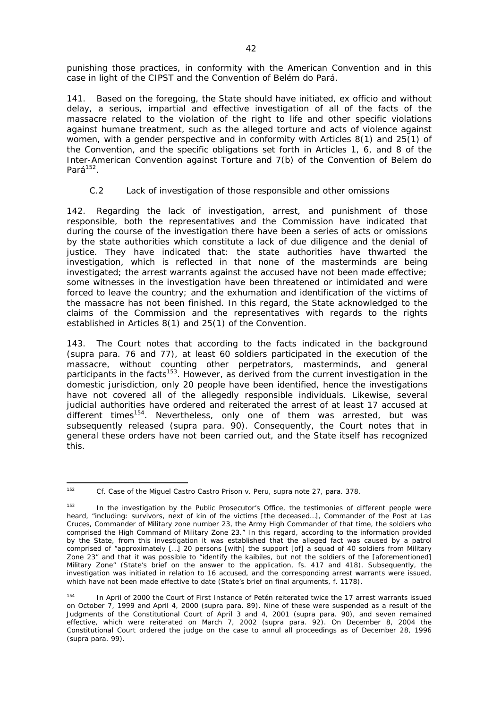punishing those practices, in conformity with the American Convention and in this case in light of the CIPST and the Convention of Belém do Pará.

141. Based on the foregoing, the State should have initiated, *ex officio* and without delay, a serious, impartial and effective investigation of all of the facts of the massacre related to the violation of the right to life and other specific violations against humane treatment, such as the alleged torture and acts of violence against women, with a gender perspective and in conformity with Articles 8(1) and 25(1) of the Convention, and the specific obligations set forth in Articles 1, 6, and 8 of the Inter-American Convention against Torture and 7(b) of the Convention of Belem do Pará<sup>152</sup>.

## *C.2 Lack of investigation of those responsible and other omissions*

142. Regarding the lack of investigation, arrest, and punishment of those responsible, both the representatives and the Commission have indicated that during the course of the investigation there have been a series of acts or omissions by the state authorities which constitute a lack of due diligence and the denial of justice. They have indicated that: the state authorities have thwarted the investigation, which is reflected in that none of the masterminds are being investigated; the arrest warrants against the accused have not been made effective; some witnesses in the investigation have been threatened or intimidated and were forced to leave the country; and the exhumation and identification of the victims of the massacre has not been finished. In this regard, the State acknowledged to the claims of the Commission and the representatives with regards to the rights established in Articles 8(1) and 25(1) of the Convention.

143. The Court notes that according to the facts indicated in the background (*supra* para. 76 and 77), at least 60 soldiers participated in the execution of the massacre, without counting other perpetrators, masterminds, and general participants in the facts<sup>153</sup>. However, as derived from the current investigation in the domestic jurisdiction, only 20 people have been identified, hence the investigations have not covered all of the allegedly responsible individuals. Likewise, several judicial authorities have ordered and reiterated the arrest of at least 17 accused at different times<sup>154</sup>. Nevertheless, only one of them was arrested, but was subsequently released (*supra* para. 90). Consequently, the Court notes that in general these orders have not been carried out, and the State itself has recognized this.

<sup>152</sup> *Cf. Case of the Miguel Castro Castro Prison v. Peru*, *supra* note 27, para. 378.

<sup>&</sup>lt;sup>153</sup> In the investigation by the Public Prosecutor's Office, the testimonies of different people were heard, "including: survivors, next of kin of the victims [the deceased…], Commander of the Post at Las Cruces, Commander of Military zone number 23, the Army High Commander of that time, the soldiers who comprised the High Command of Military Zone 23." In this regard, according to the information provided by the State, from this investigation it was established that the alleged fact was caused by a patrol comprised of "approximately […] 20 persons [with] the support [of] a squad of 40 soldiers from Military Zone 23" and that it was possible to "identify the kaibiles, but not the soldiers of the [aforementioned] Military Zone" (State's brief on the answer to the application, fs. 417 and 418). Subsequently, the investigation was initiated in relation to 16 accused, and the corresponding arrest warrants were issued, which have not been made effective to date (State's brief on final arguments, f. 1178).

<sup>&</sup>lt;sup>154</sup> In April of 2000 the Court of First Instance of Petén reiterated twice the 17 arrest warrants issued on October 7, 1999 and April 4, 2000 (*supra* para. 89). Nine of these were suspended as a result of the Judgments of the Constitutional Court of April 3 and 4, 2001 (*supra* para. 90), and seven remained effective, which were reiterated on March 7, 2002 (*supra* para. 92). On December 8, 2004 the Constitutional Court ordered the judge on the case to annul all proceedings as of December 28, 1996 (*supra* para. 99).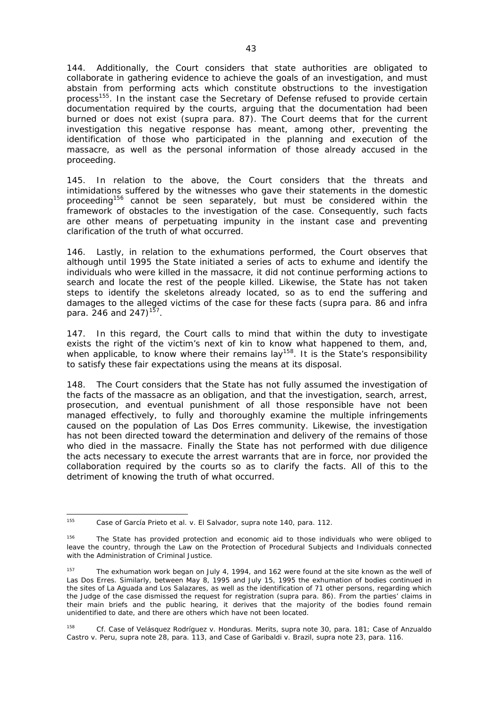144. Additionally, the Court considers that state authorities are obligated to collaborate in gathering evidence to achieve the goals of an investigation, and must abstain from performing acts which constitute obstructions to the investigation process<sup>155</sup>. In the instant case the Secretary of Defense refused to provide certain documentation required by the courts, arguing that the documentation had been burned or does not exist (*supra* para. 87). The Court deems that for the current investigation this negative response has meant, among other, preventing the identification of those who participated in the planning and execution of the massacre, as well as the personal information of those already accused in the proceeding.

145. In relation to the above, the Court considers that the threats and intimidations suffered by the witnesses who gave their statements in the domestic proceeding<sup>156</sup> cannot be seen separately, but must be considered within the framework of obstacles to the investigation of the case. Consequently, such facts are other means of perpetuating impunity in the instant case and preventing clarification of the truth of what occurred.

146. Lastly, in relation to the exhumations performed, the Court observes that although until 1995 the State initiated a series of acts to exhume and identify the individuals who were killed in the massacre, it did not continue performing actions to search and locate the rest of the people killed. Likewise, the State has not taken steps to identify the skeletons already located, so as to end the suffering and damages to the alleged victims of the case for these facts (*supra* para. 86 and *infra* para. 246 and 247)<sup>157</sup>.

147. In this regard, the Court calls to mind that within the duty to investigate exists the right of the victim's next of kin to know what happened to them, and, when applicable, to know where their remains lay<sup>158</sup>. It is the State's responsibility to satisfy these fair expectations using the means at its disposal.

148. The Court considers that the State has not fully assumed the investigation of the facts of the massacre as an obligation, and that the investigation, search, arrest, prosecution, and eventual punishment of all those responsible have not been managed effectively, to fully and thoroughly examine the multiple infringements caused on the population of Las Dos Erres community. Likewise, the investigation has not been directed toward the determination and delivery of the remains of those who died in the massacre. Finally the State has not performed with due diligence the acts necessary to execute the arrest warrants that are in force, nor provided the collaboration required by the courts so as to clarify the facts. All of this to the detriment of knowing the truth of what occurred.

<sup>155</sup> <sup>155</sup> *Case of García Prieto et al. v. El Salvador*, *supra* note 140, para. 112.

<sup>&</sup>lt;sup>156</sup> The State has provided protection and economic aid to those individuals who were obliged to leave the country, through the Law on the Protection of Procedural Subjects and Individuals connected with the Administration of Criminal Justice.

<sup>&</sup>lt;sup>157</sup> The exhumation work began on July 4, 1994, and 162 were found at the site known as the well of Las Dos Erres. Similarly, between May 8, 1995 and July 15, 1995 the exhumation of bodies continued in the sites of La Aguada and Los Salazares, as well as the identification of 71 other persons, regarding which the Judge of the case dismissed the request for registration (*supra* para. 86). From the parties' claims in their main briefs and the public hearing, it derives that the majority of the bodies found remain unidentified to date, and there are others which have not been located.

<sup>158</sup> *Cf. Case of Velásquez Rodríguez v. Honduras*. Merits, *supra* note 30, para. 181; *Case of Anzualdo Castro v. Peru, supra* note 28, para. 113, and *Case of Garibaldi v. Brazil*, *supra* note 23, para. 116.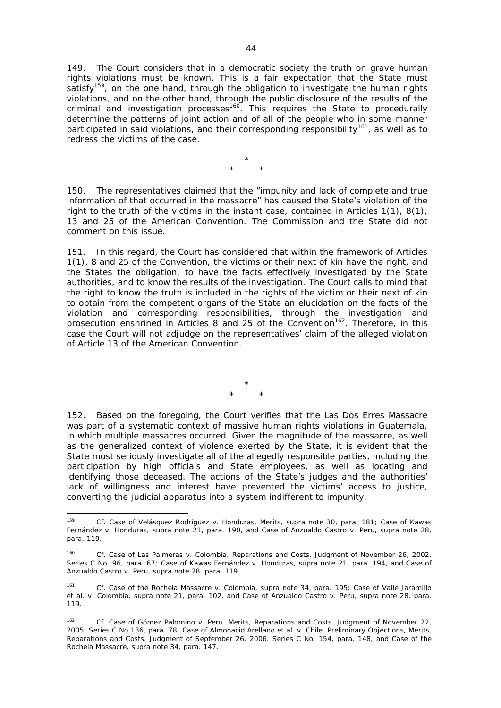149. The Court considers that in a democratic society the truth on grave human rights violations must be known. This is a fair expectation that the State must satisfy<sup>159</sup>, on the one hand, through the obligation to investigate the human rights violations, and on the other hand, through the public disclosure of the results of the criminal and investigation processes160. This requires the State to procedurally determine the patterns of joint action and of all of the people who in some manner participated in said violations, and their corresponding responsibility<sup>161</sup>, as well as to redress the victims of the case.

> \* \* \*

150. The representatives claimed that the "impunity and lack of complete and true information of that occurred in the massacre" has caused the State's violation of the right to the truth of the victims in the instant case, contained in Articles 1(1), 8(1), 13 and 25 of the American Convention. The Commission and the State did not comment on this issue.

151. In this regard, the Court has considered that within the framework of Articles 1(1), 8 and 25 of the Convention, the victims or their next of kin have the right, and the States the obligation, to have the facts effectively investigated by the State authorities, and to know the results of the investigation. The Court calls to mind that the right to know the truth is included in the rights of the victim or their next of kin to obtain from the competent organs of the State an elucidation on the facts of the violation and corresponding responsibilities, through the investigation and prosecution enshrined in Articles 8 and 25 of the Convention<sup>162</sup>. Therefore, in this case the Court will not adjudge on the representatives' claim of the alleged violation of Article 13 of the American Convention.

> \* \* \*

152. Based on the foregoing, the Court verifies that the Las Dos Erres Massacre was part of a systematic context of massive human rights violations in Guatemala, in which multiple massacres occurred. Given the magnitude of the massacre, as well as the generalized context of violence exerted by the State, it is evident that the State must seriously investigate all of the allegedly responsible parties, including the participation by high officials and State employees, as well as locating and identifying those deceased. The actions of the State's judges and the authorities' lack of willingness and interest have prevented the victims' access to justice, converting the judicial apparatus into a system indifferent to impunity.

<sup>159</sup> *Cf. Case of Velásquez Rodríguez v. Honduras.* Merits*, supra* note 30, para. 181; *Case of Kawas Fernández v. Honduras, supra* note 21, para. 190, and *Case of Anzualdo Castro v. Peru*, *supra* note 28, para. 119.

<sup>160</sup> *Cf. Case of Las Palmeras v. Colombia.* Reparations and Costs. Judgment of November 26, 2002. Series C No. 96, para. 67; *Case of Kawas Fernández v. Honduras*, *supra* note 21, para. 194, and *Case of Anzualdo Castro v. Peru, supra* note 28, para. 119.

<sup>161</sup> *Cf. Case of the Rochela Massacre v. Colombia, supra* note 34, para. 195; *Case of Valle Jaramillo et al. v. Colombia*, *supra* note 21, para. 102, and *Case of Anzualdo Castro v. Peru, supra* note 28, para. 119.

<sup>162</sup> *Cf. Case of Gómez Palomino v. Peru.* Merits, Reparations and Costs. Judgment of November 22, 2005. Series C No 136, para. 78; *Case of Almonacid Arellano et al. v. Chile*. Preliminary Objections, Merits, Reparations and Costs. Judgment of September 26, 2006. Series C No. 154, para. 148, and *Case of the Rochela Massacre*, *supra* note 34, para. 147.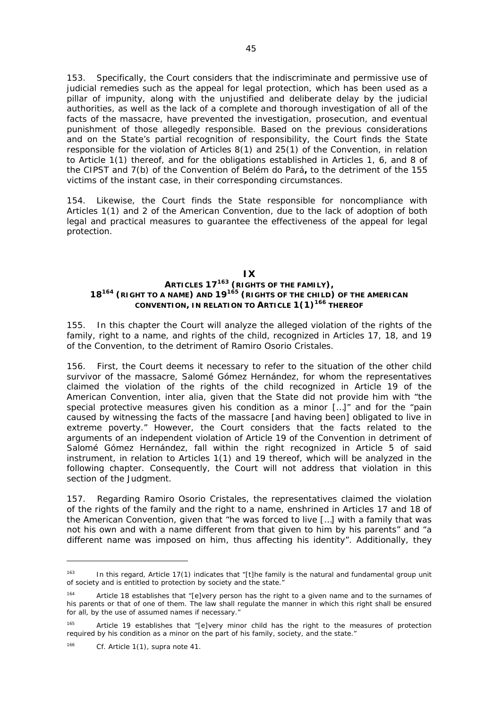153. Specifically, the Court considers that the indiscriminate and permissive use of judicial remedies such as the appeal for legal protection, which has been used as a pillar of impunity, along with the unjustified and deliberate delay by the judicial authorities, as well as the lack of a complete and thorough investigation of all of the facts of the massacre, have prevented the investigation, prosecution, and eventual punishment of those allegedly responsible. Based on the previous considerations and on the State's partial recognition of responsibility, the Court finds the State responsible for the violation of Articles 8(1) and 25(1) of the Convention, in relation to Article 1(1) thereof, and for the obligations established in Articles 1, 6, and 8 of the CIPST and 7(b) of the Convention of Belém do Pará**,** to the detriment of the 155 victims of the instant case, in their corresponding circumstances.

154. Likewise, the Court finds the State responsible for noncompliance with Articles 1(1) and 2 of the American Convention, due to the lack of adoption of both legal and practical measures to guarantee the effectiveness of the appeal for legal protection.

### **IX ARTICLES 17163 (RIGHTS OF THE FAMILY), 18164 (RIGHT TO A NAME) AND 19<sup>165</sup> (RIGHTS OF THE CHILD) OF THE AMERICAN CONVENTION, IN RELATION TO ARTICLE 1(1)166 THEREOF**

155. In this chapter the Court will analyze the alleged violation of the rights of the family, right to a name, and rights of the child, recognized in Articles 17, 18, and 19 of the Convention, to the detriment of Ramiro Osorio Cristales.

156. First, the Court deems it necessary to refer to the situation of the other child survivor of the massacre, Salomé Gómez Hernández, for whom the representatives claimed the violation of the rights of the child recognized in Article 19 of the American Convention, *inter alia*, given that the State did not provide him with "the special protective measures given his condition as a minor […]" and for the "pain caused by witnessing the facts of the massacre [and having been] obligated to live in extreme poverty." However, the Court considers that the facts related to the arguments of an independent violation of Article 19 of the Convention in detriment of Salomé Gómez Hernández, fall within the right recognized in Article 5 of said instrument, in relation to Articles 1(1) and 19 thereof, which will be analyzed in the following chapter. Consequently, the Court will not address that violation in this section of the Judgment.

157. Regarding Ramiro Osorio Cristales, the representatives claimed the violation of the rights of the family and the right to a name, enshrined in Articles 17 and 18 of the American Convention, given that "he was forced to live […] with a family that was not his own and with a name different from that given to him by his parents" and "a different name was imposed on him, thus affecting his identity". Additionally, they

<sup>&</sup>lt;sup>163</sup> In this regard, Article 17(1) indicates that "[t]he family is the natural and fundamental group unit of society and is entitled to protection by society and the state."

<sup>164</sup> Article 18 establishes that "[e]very person has the right to a given name and to the surnames of his parents or that of one of them. The law shall regulate the manner in which this right shall be ensured for all, by the use of assumed names if necessary."

Article 19 establishes that "[e]very minor child has the right to the measures of protection required by his condition as a minor on the part of his family, society, and the state."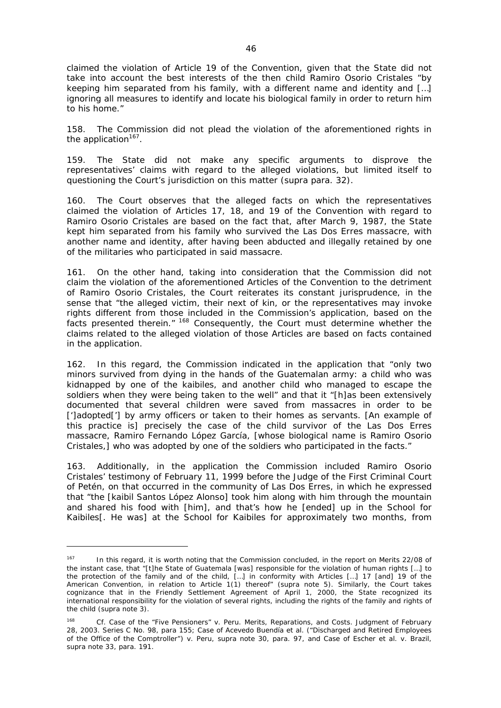claimed the violation of Article 19 of the Convention, given that the State did not take into account the best interests of the then child Ramiro Osorio Cristales "by keeping him separated from his family, with a different name and identity and […] ignoring all measures to identify and locate his biological family in order to return him to his home."

158. The Commission did not plead the violation of the aforementioned rights in the application $167$ .

159. The State did not make any specific arguments to disprove the representatives' claims with regard to the alleged violations, but limited itself to questioning the Court's jurisdiction on this matter (*supra* para. 32).

160. The Court observes that the alleged facts on which the representatives claimed the violation of Articles 17, 18, and 19 of the Convention with regard to Ramiro Osorio Cristales are based on the fact that, after March 9, 1987, the State kept him separated from his family who survived the Las Dos Erres massacre, with another name and identity, after having been abducted and illegally retained by one of the militaries who participated in said massacre.

161. On the other hand, taking into consideration that the Commission did not claim the violation of the aforementioned Articles of the Convention to the detriment of Ramiro Osorio Cristales, the Court reiterates its constant jurisprudence, in the sense that "the alleged victim, their next of kin, or the representatives may invoke rights different from those included in the Commission's application, based on the facts presented therein." <sup>168</sup> Consequently, the Court must determine whether the claims related to the alleged violation of those Articles are based on facts contained in the application.

162. In this regard, the Commission indicated in the application that "only two minors survived from dying in the hands of the Guatemalan army: a child who was kidnapped by one of the kaibiles, and another child who managed to escape the soldiers when they were being taken to the well" and that it "[h]as been extensively documented that several children were saved from massacres in order to be [']adopted['] by army officers or taken to their homes as servants. [An example of this practice is] precisely the case of the child survivor of the Las Dos Erres massacre, Ramiro Fernando López García, [whose biological name is Ramiro Osorio Cristales,] who was adopted by one of the soldiers who participated in the facts."

163. Additionally, in the application the Commission included Ramiro Osorio Cristales' testimony of February 11, 1999 before the Judge of the First Criminal Court of Petén, on that occurred in the community of Las Dos Erres, in which he expressed that "the [kaibil Santos López Alonso] took him along with him through the mountain and shared his food with [him], and that's how he [ended] up in the School for Kaibiles[. He was] at the School for Kaibiles for approximately two months, from

<sup>&</sup>lt;sup>167</sup> In this regard, it is worth noting that the Commission concluded, in the report on Merits 22/08 of the instant case, that "[t]he State of Guatemala [was] responsible for the violation of human rights […] to the protection of the family and of the child, […] in conformity with Articles […] 17 [and] 19 of the American Convention, in relation to Article 1(1) thereof" (*supra* note 5). Similarly, the Court takes cognizance that in the Friendly Settlement Agreement of April 1, 2000, the State recognized its international responsibility for the violation of several rights, including the rights of the family and rights of the child (*supra* note 3).

<sup>168</sup> *Cf. Case of the "Five Pensioners" v. Peru.* Merits, Reparations, and Costs. Judgment of February 28, 2003. Series C No. 98, para 155; *Case of Acevedo Buendía et al. ("Discharged and Retired Employees of the Office of the Comptroller") v. Peru*, *supra* note 30, para. 97, and *Case of Escher et al. v. Brazil, supra* note 33, para. 191.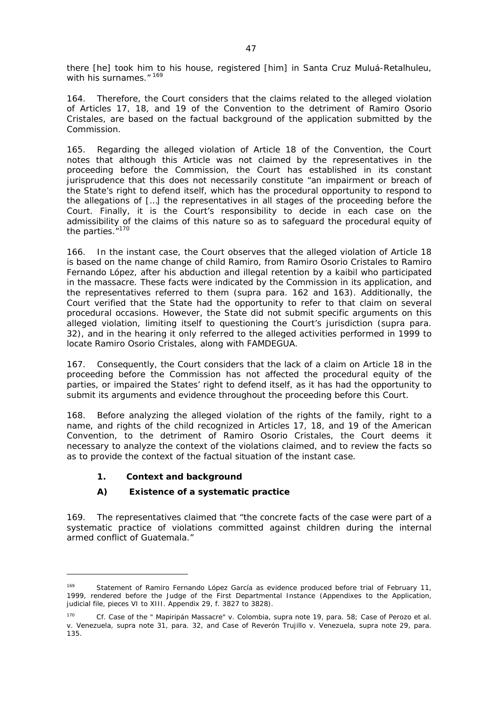there [he] took him to his house, registered [him] in Santa Cruz Muluá-Retalhuleu, with his surnames." 169

164. Therefore, the Court considers that the claims related to the alleged violation of Articles 17, 18, and 19 of the Convention to the detriment of Ramiro Osorio Cristales, are based on the factual background of the application submitted by the Commission.

165. Regarding the alleged violation of Article 18 of the Convention, the Court notes that although this Article was not claimed by the representatives in the proceeding before the Commission, the Court has established in its constant jurisprudence that this does not necessarily constitute "an impairment or breach of the State's right to defend itself, which has the procedural opportunity to respond to the allegations of […] the representatives in all stages of the proceeding before the Court. Finally, it is the Court's responsibility to decide in each case on the admissibility of the claims of this nature so as to safeguard the procedural equity of the parties.<sup>"170</sup>

166. In the instant case, the Court observes that the alleged violation of Article 18 is based on the name change of child Ramiro, from Ramiro Osorio Cristales to Ramiro Fernando López, after his abduction and illegal retention by a kaibil who participated in the massacre. These facts were indicated by the Commission in its application, and the representatives referred to them (*supra* para. 162 and 163). Additionally, the Court verified that the State had the opportunity to refer to that claim on several procedural occasions. However, the State did not submit specific arguments on this alleged violation, limiting itself to questioning the Court's jurisdiction (*supra* para. 32), and in the hearing it only referred to the alleged activities performed in 1999 to locate Ramiro Osorio Cristales, along with FAMDEGUA.

167. Consequently, the Court considers that the lack of a claim on Article 18 in the proceeding before the Commission has not affected the procedural equity of the parties, or impaired the States' right to defend itself, as it has had the opportunity to submit its arguments and evidence throughout the proceeding before this Court.

168. Before analyzing the alleged violation of the rights of the family, right to a name, and rights of the child recognized in Articles 17, 18, and 19 of the American Convention, to the detriment of Ramiro Osorio Cristales, the Court deems it necessary to analyze the context of the violations claimed, and to review the facts so as to provide the context of the factual situation of the instant case.

# **1.** *Context and background*

1

# *A) Existence of a systematic practice*

169. The representatives claimed that "the concrete facts of the case were part of a systematic practice of violations committed against children during the internal armed conflict of Guatemala."

Statement of Ramiro Fernando López García as evidence produced before trial of February 11, 1999, rendered before the Judge of the First Departmental Instance (Appendixes to the Application, judicial file, pieces VI to XIII. Appendix 29, f. 3827 to 3828).

<sup>170</sup> *Cf. Case of the " Mapiripán Massacre" v. Colombia, supra* note 19, para. 58; *Case of Perozo et al. v. Venezuela, supra* note 31, para. 32, and *Case of Reverón Trujillo v. Venezuela*, *supra* note 29, para. 135.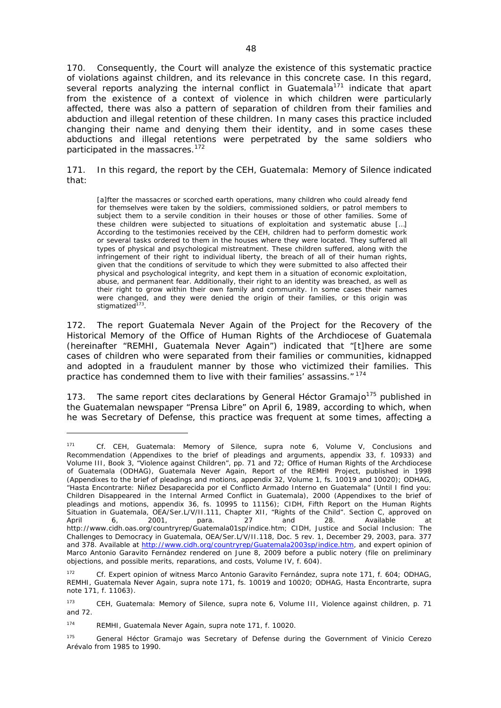170. Consequently, the Court will analyze the existence of this systematic practice of violations against children, and its relevance in this concrete case. In this regard, several reports analyzing the internal conflict in Guatemala<sup>171</sup> indicate that apart from the existence of a context of violence in which children were particularly affected, there was also a pattern of separation of children from their families and abduction and illegal retention of these children. In many cases this practice included changing their name and denying them their identity, and in some cases these abductions and illegal retentions were perpetrated by the same soldiers who participated in the massacres.<sup>172</sup>

### 171. In this regard, the report by the CEH, *Guatemala: Memory of Silence* indicated that:

[a]fter the massacres or scorched earth operations, many children who could already fend for themselves were taken by the soldiers, commissioned soldiers, or patrol members to subject them to a servile condition in their houses or those of other families. Some of these children were subjected to situations of exploitation and systematic abuse […] According to the testimonies received by the CEH, children had to perform domestic work or several tasks ordered to them in the houses where they were located. They suffered all types of physical and psychological mistreatment. These children suffered, along with the infringement of their right to individual liberty, the breach of all of their human rights, given that the conditions of servitude to which they were submitted to also affected their physical and psychological integrity, and kept them in a situation of economic exploitation, abuse, and permanent fear. Additionally, their right to an identity was breached, as well as their right to grow within their own family and community. In some cases their names were changed, and they were denied the origin of their families, or this origin was stigmatized<sup>173</sup>.

172. The report *Guatemala Never Again* of the Project for the Recovery of the Historical Memory of the Office of Human Rights of the Archdiocese of Guatemala (hereinafter "REMHI, *Guatemala Never Again*") indicated that "[t]here are some cases of children who were separated from their families or communities, kidnapped and adopted in a fraudulent manner by those who victimized their families. This practice has condemned them to live with their families' assassins." 174

173. The same report cites declarations by General Héctor Gramajo<sup>175</sup> published in the Guatemalan newspaper "Prensa Libre" on April 6, 1989, according to which, when he was Secretary of Defense, this practice was frequent at some times, affecting a

<sup>171</sup> *Cf.* CEH*, Guatemala: Memory of Silence, supra* note 6, Volume V, Conclusions and Recommendation (Appendixes to the brief of pleadings and arguments, appendix 33, f. 10933) and Volume III, Book 3, "Violence against Children", pp. 71 and 72; Office of Human Rights of the Archdiocese of Guatemala (ODHAG), *Guatemala Never Again,* Report of the REMHI Project, published in 1998 (Appendixes to the brief of pleadings and motions, appendix 32, Volume 1, fs. 10019 and 10020); ODHAG, *"Hasta Encontrarte: Niñez Desaparecida por el Conflicto Armado Interno en Guatemala" (Until I find you: Children Disappeared in the Internal Armed Conflict in Guatemala),* 2000 (Appendixes to the brief of pleadings and motions, appendix 36, fs. 10995 to 11156); CIDH, *Fifth Report on the Human Rights Situation in Guatemala,* OEA/Ser.L/V/II.111, Chapter XII, "Rights of the Child". Section C, approved on April 6, 2001, para. 27 and 28. Available at *http://www.cidh.oas.org/countryrep/Guatemala01sp/indice.htm*; CIDH, *Justice and Social Inclusion: The Challenges to Democracy in Guatemala,* OEA/Ser.L/V/II.118, Doc. 5 re*v.* 1, December 29, 2003, para. 377 and 378. Available at http://www.cidh.org/countryrep/Guatemala2003sp/indice.htm, and expert opinion of Marco Antonio Garavito Fernández rendered on June 8, 2009 before a public notery (file on preliminary objections, and possible merits, reparations, and costs, Volume IV, f. 604).

<sup>172</sup> *Cf.* Expert opinion of witness Marco Antonio Garavito Fernández, *supra* note 171, f. 604; ODHAG, REMHI, *Guatemala Never Again, supra* note 171, fs. 10019 and 10020; ODHAG, *Hasta Encontrarte*, *supra*  note 171, f. 11063).

<sup>173</sup> CEH, *Guatemala: Memory of Silence, supra* note 6, Volume III, Violence against children, p. 71 and 72.

<sup>174</sup> REMHI, *Guatemala Never Again*, *supra* note 171, f. 10020.

<sup>&</sup>lt;sup>175</sup> General Héctor Gramajo was Secretary of Defense during the Government of Vinicio Cerezo Arévalo from 1985 to 1990.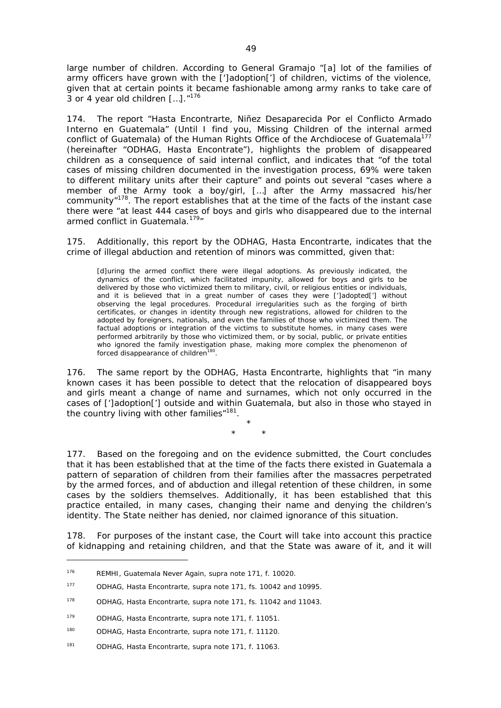large number of children. According to General Gramajo "[a] lot of the families of army officers have grown with the [']adoption['] of children, victims of the violence, given that at certain points it became fashionable among army ranks to take care of 3 or 4 year old children [...]. "<sup>176</sup>

174. The report *"Hasta Encontrarte, Niñez Desaparecida Por el Conflicto Armado Interno en Guatemala"* (Until I find you, Missing Children of the internal armed conflict of Guatemala) of the Human Rights Office of the Archdiocese of Guatemala<sup>177</sup> (hereinafter "ODHAG, *Hasta Encontrate*"), highlights the problem of disappeared children as a consequence of said internal conflict, and indicates that "of the total cases of missing children documented in the investigation process, 69% were taken to different military units after their capture" and points out several "cases where a member of the Army took a boy/girl, […] after the Army massacred his/her community"178. The report establishes that at the time of the facts of the instant case there were "at least 444 cases of boys and girls who disappeared due to the internal armed conflict in Guatemala.<sup>179</sup>"

175. Additionally, this report by the ODHAG, *Hasta Encontrarte,* indicates that the crime of illegal abduction and retention of minors was committed, given that:

[d]uring the armed conflict there were illegal adoptions. As previously indicated, the dynamics of the conflict, which facilitated impunity, allowed for boys and girls to be delivered by those who victimized them to military, civil, or religious entities or individuals, and it is believed that in a great number of cases they were [']adopted['] without observing the legal procedures. Procedural irregularities such as the forging of birth certificates, or changes in identity through new registrations, allowed for children to the adopted by foreigners, nationals, and even the families of those who victimized them. The factual adoptions or integration of the victims to substitute homes, in many cases were performed arbitrarily by those who victimized them, or by social, public, or private entities who ignored the family investigation phase, making more complex the phenomenon of forced disappearance of children<sup>180</sup>.

176. The same report by the ODHAG, *Hasta Encontrarte,* highlights that "in many known cases it has been possible to detect that the relocation of disappeared boys and girls meant a change of name and surnames, which not only occurred in the cases of [']adoption['] outside and within Guatemala, but also in those who stayed in the country living with other families"<sup>181</sup>.

> \* \* \*

177. Based on the foregoing and on the evidence submitted, the Court concludes that it has been established that at the time of the facts there existed in Guatemala a pattern of separation of children from their families after the massacres perpetrated by the armed forces, and of abduction and illegal retention of these children, in some cases by the soldiers themselves. Additionally, it has been established that this practice entailed, in many cases, changing their name and denying the children's identity. The State neither has denied, nor claimed ignorance of this situation.

178. For purposes of the instant case, the Court will take into account this practice of kidnapping and retaining children, and that the State was aware of it, and it will

<sup>176</sup> REMHI, *Guatemala Never Again*, *supra* note 171, f. 10020.

<sup>177</sup> ODHAG, *Hasta Encontrarte, supra* note 171, fs. 10042 and 10995.

<sup>178</sup> ODHAG, *Hasta Encontrarte*, *supra* note 171, fs. 11042 and 11043.

<sup>179</sup> ODHAG, *Hasta Encontrarte, supra* note 171, f. 11051.

<sup>180</sup> ODHAG, *Hasta Encontrarte, supra* note 171, f. 11120.

<sup>181</sup> ODHAG, *Hasta Encontrarte, supra* note 171, f. 11063.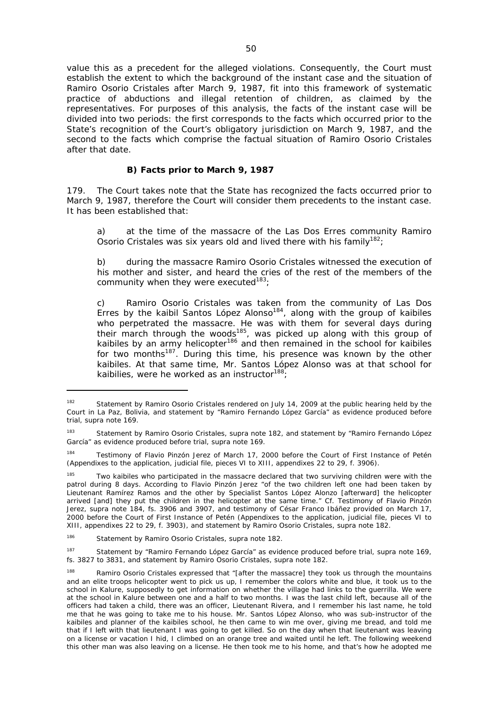value this as a precedent for the alleged violations. Consequently, the Court must establish the extent to which the background of the instant case and the situation of Ramiro Osorio Cristales after March 9, 1987, fit into this framework of systematic practice of abductions and illegal retention of children, as claimed by the representatives. For purposes of this analysis, the facts of the instant case will be divided into two periods: the first corresponds to the facts which occurred prior to the State's recognition of the Court's obligatory jurisdiction on March 9, 1987, and the second to the facts which comprise the factual situation of Ramiro Osorio Cristales after that date.

## *B) Facts prior to March 9, 1987*

179. The Court takes note that the State has recognized the facts occurred prior to March 9, 1987, therefore the Court will consider them precedents to the instant case. It has been established that:

a) at the time of the massacre of the Las Dos Erres community Ramiro Osorio Cristales was six years old and lived there with his family<sup>182</sup>;

b) during the massacre Ramiro Osorio Cristales witnessed the execution of his mother and sister, and heard the cries of the rest of the members of the community when they were executed $183$ :

c) Ramiro Osorio Cristales was taken from the community of Las Dos Erres by the kaibil Santos López Alonso<sup>184</sup>, along with the group of kaibiles who perpetrated the massacre. He was with them for several days during their march through the woods<sup>185</sup>, was picked up along with this group of kaibiles by an army helicopter<sup>186</sup> and then remained in the school for kaibiles for two months<sup>187</sup>. During this time, his presence was known by the other kaibiles. At that same time, Mr. Santos López Alonso was at that school for kaibilies, were he worked as an instructor<sup>188</sup>;

<sup>&</sup>lt;sup>182</sup> Statement by Ramiro Osorio Cristales rendered on July 14, 2009 at the public hearing held by the Court in La Paz, Bolivia, and statement by "Ramiro Fernando López García" as evidence produced before trial, *supra* note 169.

<sup>183</sup> Statement by Ramiro Osorio Cristales, *supra* note 182, and statement by "Ramiro Fernando López García" as evidence produced before trial, *supra* note 169.

Testimony of Flavio Pinzón Jerez of March 17, 2000 before the Court of First Instance of Petén (Appendixes to the application, judicial file, pieces VI to XIII, appendixes 22 to 29, f. 3906).

Two kaibiles who participated in the massacre declared that two surviving children were with the patrol during 8 days. According to Flavio Pinzón Jerez "of the two children left one had been taken by Lieutenant Ramírez Ramos and the other by Specialist Santos López Alonzo [afterward] the helicopter arrived [and] they put the children in the helicopter at the same time." *Cf.* Testimony of Flavio Pinzón Jerez, *supra* note 184, fs. 3906 and 3907, and testimony of César Franco Ibáñez provided on March 17, 2000 before the Court of First Instance of Petén (Appendixes to the application, judicial file, pieces VI to XIII, appendixes 22 to 29, f. 3903), and statement by Ramiro Osorio Cristales, *supra* note 182.

<sup>186</sup> Statement by Ramiro Osorio Cristales, *supra* note 182.

<sup>187</sup> Statement by "Ramiro Fernando López García" as evidence produced before trial, *supra* note 169, fs. 3827 to 3831, and statement by Ramiro Osorio Cristales, *supra* note 182.

<sup>&</sup>lt;sup>188</sup> Ramiro Osorio Cristales expressed that "[after the massacre] they took us through the mountains and an elite troops helicopter went to pick us up, I remember the colors white and blue, it took us to the school in Kalure, supposedly to get information on whether the village had links to the guerrilla. We were at the school in Kalure between one and a half to two months. I was the last child left, because all of the officers had taken a child, there was an officer, Lieutenant Rivera, and I remember his last name, he told me that he was going to take me to his house. Mr. Santos López Alonso, who was sub-instructor of the kaibiles and planner of the kaibiles school, he then came to win me over, giving me bread, and told me that if I left with that lieutenant I was going to get killed. So on the day when that lieutenant was leaving on a license or vacation I hid, I climbed on an orange tree and waited until he left. The following weekend this other man was also leaving on a license. He then took me to his home, and that's how he adopted me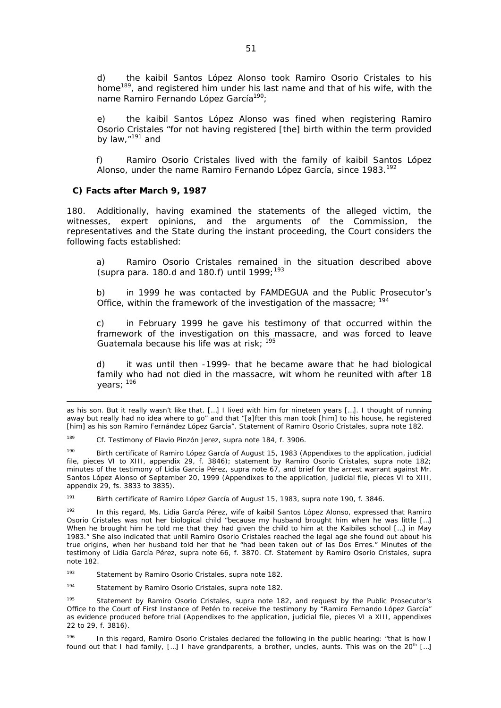d) the kaibil Santos López Alonso took Ramiro Osorio Cristales to his home<sup>189</sup>, and registered him under his last name and that of his wife, with the name Ramiro Fernando López García<sup>190</sup>:

e) the kaibil Santos López Alonso was fined when registering Ramiro Osorio Cristales "for not having registered [the] birth within the term provided by law,"191 and

f) Ramiro Osorio Cristales lived with the family of kaibil Santos López Alonso, under the name Ramiro Fernando López García, since 1983.<sup>192</sup>

### *C) Facts after March 9, 1987*

180. Additionally, having examined the statements of the alleged victim, the witnesses, expert opinions, and the arguments of the Commission, the representatives and the State during the instant proceeding, the Court considers the following facts established:

a) Ramiro Osorio Cristales remained in the situation described above (*supra* para. 180.d and 180.f) until 1999;<sup>193</sup>

b) in 1999 he was contacted by FAMDEGUA and the Public Prosecutor's Office, within the framework of the investigation of the massacre; <sup>194</sup>

c) in February 1999 he gave his testimony of that occurred within the framework of the investigation on this massacre, and was forced to leave Guatemala because his life was at risk:  $195$ 

d) it was until then -1999- that he became aware that he had biological family who had not died in the massacre, wit whom he reunited with after 18 years; 196

as his son. But it really wasn't like that. […] I lived with him for nineteen years […]. I thought of running away but really had no idea where to go" and that "[a]fter this man took [him] to his house, he registered [him] as his son Ramiro Fernández López García". Statement of Ramiro Osorio Cristales, *supra* note 182.

<sup>189</sup> *Cf.* Testimony of Flavio Pinzón Jerez, *supra* note 184, f. 3906.

Birth certifícate of Ramiro López García of August 15, 1983 (Appendixes to the application, judicial file, pieces VI to XIII, appendix 29, f. 3846); statement by Ramiro Osorio Cristales, *supra* note 182; minutes of the testimony of Lidia García Pérez, *supra* note 67, and brief for the arrest warrant against Mr. Santos López Alonso of September 20, 1999 (Appendixes to the application, judicial file, pieces VI to XIII, appendix 29, fs. 3833 to 3835).

<sup>191</sup> Birth certifícate of Ramiro López García of August 15, 1983, *supra* note 190, f. 3846.

<sup>192</sup> In this regard, Ms. Lidia García Pérez, wife of kaibil Santos López Alonso, expressed that Ramiro Osorio Cristales was not her biological child "because my husband brought him when he was little […] When he brought him he told me that they had given the child to him at the Kaibiles school […] in May 1983." She also indicated that until Ramiro Osorio Cristales reached the legal age she found out about his true origins, when her husband told her that he "had been taken out of las Dos Erres." Minutes of the testimony of Lidia García Pérez, *supra* note 66, f. 3870. *Cf*. Statement by Ramiro Osorio Cristales, *supra*  note 182.

193 Statement by Ramiro Osorio Cristales, *supra* note 182.

194 Statement by Ramiro Osorio Cristales, *supra* note 182.

195 Statement by Ramiro Osorio Cristales, *supra* note 182, and request by the Public Prosecutor's Office to the Court of First Instance of Petén to receive the testimony by "Ramiro Fernando López García" as evidence produced before trial (Appendixes to the application, judicial file, pieces VI a XIII, appendixes 22 to 29, f. 3816).

In this regard, Ramiro Osorio Cristales declared the following in the public hearing: "that is how I found out that I had family, [...] I have grandparents, a brother, uncles, aunts. This was on the 20<sup>th</sup> [...]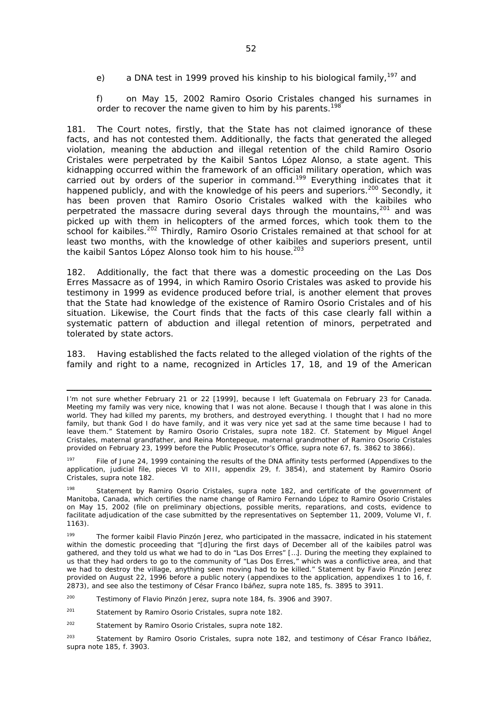e) a DNA test in 1999 proved his kinship to his biological family,  $197$  and

f) on May 15, 2002 Ramiro Osorio Cristales changed his surnames in order to recover the name given to him by his parents.<sup>198</sup>

181. The Court notes, firstly, that the State has not claimed ignorance of these facts, and has not contested them. Additionally, the facts that generated the alleged violation, meaning the abduction and illegal retention of the child Ramiro Osorio Cristales were perpetrated by the Kaibil Santos López Alonso, a state agent. This kidnapping occurred within the framework of an official military operation, which was carried out by orders of the superior in command.<sup>199</sup> Everything indicates that it happened publicly, and with the knowledge of his peers and superiors.<sup>200</sup> Secondly, it has been proven that Ramiro Osorio Cristales walked with the kaibiles who perpetrated the massacre during several days through the mountains,<sup>201</sup> and was picked up with them in helicopters of the armed forces, which took them to the school for kaibiles.<sup>202</sup> Thirdly, Ramiro Osorio Cristales remained at that school for at least two months, with the knowledge of other kaibiles and superiors present, until the kaibil Santos López Alonso took him to his house.<sup>203</sup>

182. Additionally, the fact that there was a domestic proceeding on the Las Dos Erres Massacre as of 1994, in which Ramiro Osorio Cristales was asked to provide his testimony in 1999 as evidence produced before trial, is another element that proves that the State had knowledge of the existence of Ramiro Osorio Cristales and of his situation. Likewise, the Court finds that the facts of this case clearly fall within a systematic pattern of abduction and illegal retention of minors, perpetrated and tolerated by state actors.

183. Having established the facts related to the alleged violation of the rights of the family and right to a name, recognized in Articles 17, 18, and 19 of the American

I'm not sure whether February 21 or 22 [1999], because I left Guatemala on February 23 for Canada. Meeting my family was very nice, knowing that I was not alone. Because I though that I was alone in this world. They had killed my parents, my brothers, and destroyed everything. I thought that I had no more family, but thank God I do have family, and it was very nice yet sad at the same time because I had to leave them." Statement by Ramiro Osorio Cristales, *supra* note 182. *Cf.* Statement by Miguel Ángel Cristales, maternal grandfather, and Reina Montepeque, maternal grandmother of Ramiro Osorio Cristales provided on February 23, 1999 before the Public Prosecutor's Office, *supra* note 67, fs. 3862 to 3866).

<sup>&</sup>lt;sup>197</sup> File of June 24, 1999 containing the results of the DNA affinity tests performed (Appendixes to the application, judicial file, pieces VI to XIII, appendix 29, f. 3854), and statement by Ramiro Osorio Cristales, *supra* note 182.

<sup>198</sup> Statement by Ramiro Osorio Cristales, *supra* note 182, and certifícate of the government of Manitoba, Canada, which certifies the name change of Ramiro Fernando López to Ramiro Osorio Cristales on May 15, 2002 (file on preliminary objections, possible merits, reparations, and costs, evidence to facilitate adjudication of the case submitted by the representatives on September 11, 2009, Volume VI, f. 1163).

<sup>&</sup>lt;sup>199</sup> The former kaibil Flavio Pinzón Jerez, who participated in the massacre, indicated in his statement within the domestic proceeding that "[d]uring the first days of December all of the kaibiles patrol was gathered, and they told us what we had to do in "Las Dos Erres" […]. During the meeting they explained to us that they had orders to go to the community of "Las Dos Erres," which was a conflictive area, and that we had to destroy the village, anything seen moving had to be killed." Statement by Favio Pinzón Jerez provided on August 22, 1996 before a public notery (appendixes to the application, appendixes 1 to 16, f. 2873), and see also the testimony of César Franco Ibáñez, *supra* note 185, fs. 3895 to 3911.

<sup>200</sup> Testimony of Flavio Pinzón Jerez, *supra* note 184, fs. 3906 and 3907.

<sup>201</sup> Statement by Ramiro Osorio Cristales, *supra* note 182.

<sup>202</sup> Statement by Ramiro Osorio Cristales, *supra* note 182.

<sup>203</sup> Statement by Ramiro Osorio Cristales, *supra* note 182, and testimony of César Franco Ibáñez, *supra* note 185, f. 3903.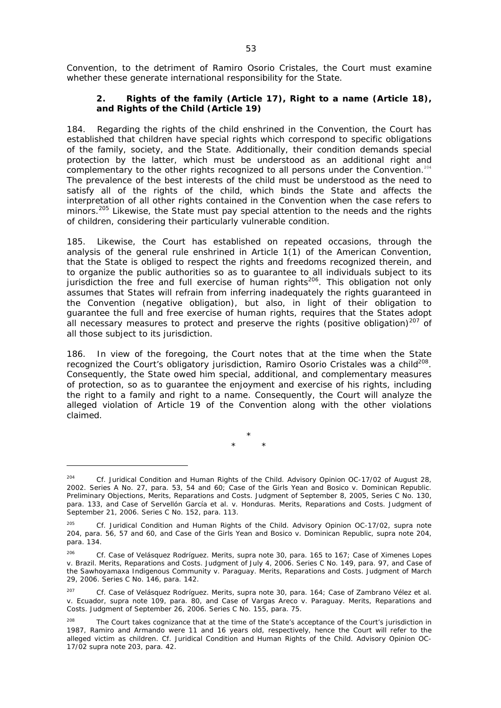Convention, to the detriment of Ramiro Osorio Cristales, the Court must examine whether these generate international responsibility for the State.

### **2. Rights of the family (Article 17), Right to a name (Article 18), and Rights of the Child (Article 19)**

184. Regarding the rights of the child enshrined in the Convention, the Court has established that children have special rights which correspond to specific obligations of the family, society, and the State. Additionally, their condition demands special protection by the latter, which must be understood as an additional right and complementary to the other rights recognized to all persons under the Convention.<sup>204</sup> The prevalence of the best interests of the child must be understood as the need to satisfy all of the rights of the child, which binds the State and affects the interpretation of all other rights contained in the Convention when the case refers to minors.<sup>205</sup> Likewise, the State must pay special attention to the needs and the rights of children, considering their particularly vulnerable condition.

185. Likewise, the Court has established on repeated occasions, through the analysis of the general rule enshrined in Article 1(1) of the American Convention, that the State is obliged to respect the rights and freedoms recognized therein, and to organize the public authorities so as to guarantee to all individuals subject to its jurisdiction the free and full exercise of human rights<sup>206</sup>. This obligation not only assumes that States will refrain from inferring inadequately the rights guaranteed in the Convention (negative obligation), but also, in light of their obligation to guarantee the full and free exercise of human rights, requires that the States adopt all necessary measures to protect and preserve the rights (positive obligation) $207$  of all those subject to its jurisdiction.

186. In view of the foregoing, the Court notes that at the time when the State recognized the Court's obligatory jurisdiction, Ramiro Osorio Cristales was a child<sup>208</sup>. Consequently, the State owed him special, additional, and complementary measures of protection, so as to guarantee the enjoyment and exercise of his rights, including the right to a family and right to a name. Consequently, the Court will analyze the alleged violation of Article 19 of the Convention along with the other violations claimed.

> \* \* \*

<sup>&</sup>lt;sup>204</sup> *Cf. Juridical Condition and Human Rights of the Child.* Advisory Opinion OC-17/02 of August 28, 2002. Series A No. 27, para. 53, 54 and 60; *Case of the Girls Yean and Bosico v. Dominican Republic.*  Preliminary Objections, Merits, Reparations and Costs. Judgment of September 8, 2005, Series C No. 130, para. 133, and *Case of Servellón García et al. v. Honduras*. Merits, Reparations and Costs. Judgment of September 21, 2006. Series C No. 152, para. 113.

<sup>205</sup>*Cf. Juridical Condition and Human Rights of the Child.* Advisory Opinion OC-17/02, *supra* note 204, para. 56, 57 and 60, and *Case of the Girls Yean and Bosico v. Dominican Republic*, *supra* note 204, para. 134.

<sup>206</sup> *Cf. Case of Velásquez Rodríguez.* Merits, *supra* note 30, para. 165 to 167; *Case of Ximenes Lopes v. Brazil*. Merits, Reparations and Costs. Judgment of July 4, 2006. Series C No. 149, para. 97, and *Case of the Sawhoyamaxa Indigenous Community v. Paraguay.* Merits, Reparations and Costs. Judgment of March 29, 2006. Series C No. 146, para. 142.

<sup>207</sup> *Cf. Case of Velásquez Rodríguez.* Merits, *supra* note 30, para. 164; *Case of Zambrano Vélez et al. v. Ecuador, supra* note 109, para. 80, and *Case of Vargas Areco v. Paraguay.* Merits, Reparations and Costs. Judgment of September 26, 2006. Series C No. 155, para. 75.

<sup>&</sup>lt;sup>208</sup> The Court takes cognizance that at the time of the State's acceptance of the Court's jurisdiction in 1987, Ramiro and Armando were 11 and 16 years old, respectively, hence the Court will refer to the alleged victim as children. *Cf. Juridical Condition and Human Rights of the Child.* Advisory Opinion OC-17/02 *supra* note 203, para. 42.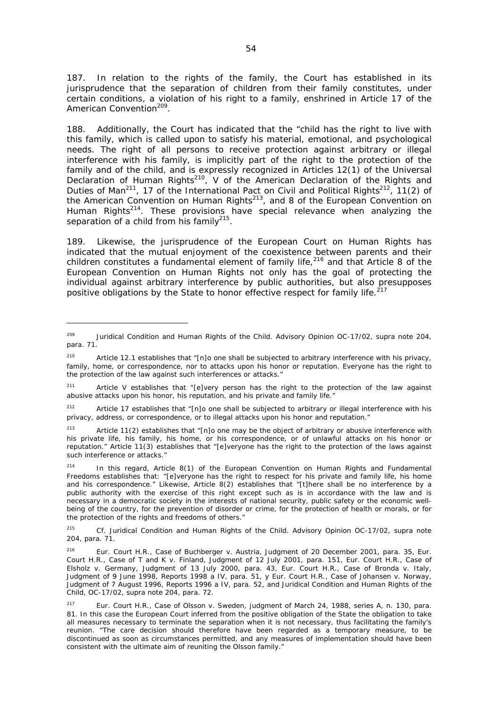187. In relation to the rights of the family, the Court has established in its jurisprudence that the separation of children from their family constitutes, under certain conditions, a violation of his right to a family, enshrined in Article 17 of the American Convention<sup>209</sup>

188. Additionally, the Court has indicated that the "child has the right to live with this family, which is called upon to satisfy his material, emotional, and psychological needs. The right of all persons to receive protection against arbitrary or illegal interference with his family, is implicitly part of the right to the protection of the family and of the child, and is expressly recognized in Articles 12(1) of the Universal Declaration of Human Rights<sup>210</sup>, V of the American Declaration of the Rights and Duties of Man<sup>211</sup>, 17 of the International Pact on Civil and Political Rights<sup>212</sup>, 11(2) of the American Convention on Human Rights<sup>213</sup>, and 8 of the European Convention on Human Rights<sup>214</sup>. These provisions have special relevance when analyzing the separation of a child from his family $215$ .

189. Likewise, the jurisprudence of the European Court on Human Rights has indicated that the mutual enjoyment of the coexistence between parents and their children constitutes a fundamental element of family life, $216$  and that Article 8 of the European Convention on Human Rights not only has the goal of protecting the individual against arbitrary interference by public authorities, but also presupposes positive obligations by the State to honor effective respect for family life.<sup>217</sup>

<sup>209</sup> *Juridical Condition and Human Rights of the Child.* Advisory Opinion OC-17/02, *supra* note 204, para. 71.

<sup>&</sup>lt;sup>210</sup> Article 12.1 establishes that "[n]o one shall be subjected to arbitrary interference with his privacy, family, home, or correspondence, nor to attacks upon his honor or reputation. Everyone has the right to the protection of the law against such interferences or attacks."

<sup>&</sup>lt;sup>211</sup> Article V establishes that "[e]very person has the right to the protection of the law against abusive attacks upon his honor, his reputation, and his private and family life."

<sup>&</sup>lt;sup>212</sup> Article 17 establishes that "[n]o one shall be subjected to arbitrary or illegal interference with his privacy, address, or correspondence, or to illegal attacks upon his honor and reputation."

 $213$  Article 11(2) establishes that "[n]o one may be the object of arbitrary or abusive interference with his private life, his family, his home, or his correspondence, or of unlawful attacks on his honor or reputation." Article 11(3) establishes that "[e]veryone has the right to the protection of the laws against such interference or attacks."

 $214$  In this regard, Article 8(1) of the European Convention on Human Rights and Fundamental Freedoms establishes that: "[e]veryone has the right to respect for his private and family life, his home and his correspondence." Likewise, Article 8(2) establishes that "[t]here shall be no interference by a public authority with the exercise of this right except such as is in accordance with the law and is necessary in a democratic society in the interests of national security, public safety or the economic wellbeing of the country, for the prevention of disorder or crime, for the protection of health or morals, or for the protection of the rights and freedoms of others."

<sup>215</sup> *Cf. Juridical Condition and Human Rights of the Child.* Advisory Opinion OC-17/02, *supra* note 204, para. 71.

<sup>216</sup> Eur. Court H.R., Case of Buchberger *v.* Austria, Judgment of 20 December 2001, para. 35, Eur. Court H.R., Case of T and K *v.* Finland, Judgment of 12 July 2001, para. 151, Eur. Court H.R., Case of Elsholz *v.* Germany, Judgment of 13 July 2000, para. 43, Eur. Court H.R., Case of Bronda *v.* Italy, Judgment of 9 June 1998, Reports 1998 a IV, para. 51, y Eur. Court H.R., Case of Johansen *v.* Norway, Judgment of 7 August 1996, Reports 1996 a IV, para. 52, and *Juridical Condition and Human Rights of the Child,* OC-17/02, *supra* note 204, para. 72.

<sup>217</sup> Eur. Court H.R., Case of Olsson *v.* Sweden, judgment of March 24, 1988, series A, n. 130, para. 81. In this case the European Court inferred from the positive obligation of the State the obligation to take all measures necessary to terminate the separation when it is not necessary, thus facilitating the family's reunion. "*The care decision should therefore have been regarded as a temporary measure, to be discontinued as soon as circumstances permitted, and any measures of implementation should have been consistent with the ultimate aim of reuniting the Olsson family."*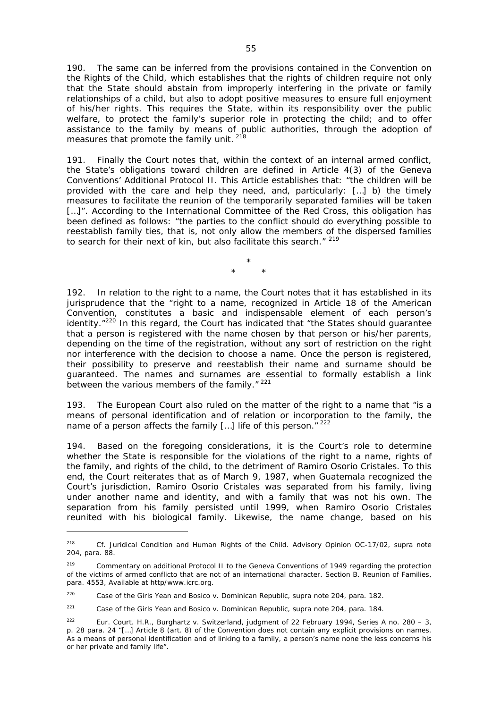190. The same can be inferred from the provisions contained in the Convention on the Rights of the Child, which establishes that the rights of children require not only that the State should abstain from improperly interfering in the private or family relationships of a child, but also to adopt positive measures to ensure full enjoyment of his/her rights. This requires the State, within its responsibility over the public welfare, to protect the family's superior role in protecting the child; and to offer assistance to the family by means of public authorities, through the adoption of measures that promote the family unit.<sup>218</sup>

191. Finally the Court notes that, within the context of an internal armed conflict, the State's obligations toward children are defined in Article 4(3) of the Geneva Conventions' Additional Protocol II. This Article establishes that: "the children will be provided with the care and help they need, and, particularly: […] b) the timely measures to facilitate the reunion of the temporarily separated families will be taken [...]". According to the International Committee of the Red Cross, this obligation has been defined as follows: "the parties to the conflict should do everything possible to reestablish family ties, that is, not only allow the members of the dispersed families to search for their next of kin, but also facilitate this search." 219

> \* \* \*

192. In relation to the right to a name, the Court notes that it has established in its jurisprudence that the "right to a name, recognized in Article 18 of the American Convention, constitutes a basic and indispensable element of each person's identity."<sup>220</sup> In this regard, the Court has indicated that "the States should guarantee that a person is registered with the name chosen by that person or his/her parents, depending on the time of the registration, without any sort of restriction on the right nor interference with the decision to choose a name. Once the person is registered, their possibility to preserve and reestablish their name and surname should be guaranteed. The names and surnames are essential to formally establish a link between the various members of the family."<sup>221</sup>

193. The European Court also ruled on the matter of the right to a name that "is a means of personal identification and of relation or incorporation to the family, the name of a person affects the family  $[...]$  life of this person."  $222$ 

194. Based on the foregoing considerations, it is the Court's role to determine whether the State is responsible for the violations of the right to a name, rights of the family, and rights of the child, to the detriment of Ramiro Osorio Cristales. To this end, the Court reiterates that as of March 9, 1987, when Guatemala recognized the Court's jurisdiction, Ramiro Osorio Cristales was separated from his family, living under another name and identity, and with a family that was not his own. The separation from his family persisted until 1999, when Ramiro Osorio Cristales reunited with his biological family. Likewise, the name change, based on his

<sup>218</sup>*Cf. Juridical Condition and Human Rights of the Child.* Advisory Opinion OC-17/02, *supra* note 204, para. 88.

<sup>&</sup>lt;sup>219</sup> Commentary on additional Protocol II to the Geneva Conventions of 1949 regarding the protection of the victims of armed conflicto that are not of an international character. Section B. Reunion of Families, para. 4553, *Available at http/www.icrc.org.*

<sup>220</sup> *Case of the Girls Yean and Bosico v. Dominican Republic, supra* note 204, para. 182.

<sup>&</sup>lt;sup>221</sup> *Case of the Girls Yean and Bosico v. Dominican Republic, supra* note 204, para. 184.

<sup>222</sup> Eur. Court. H.R., Burghartz *v.* Switzerland, judgment of 22 February 1994, Series A no. 280 – 3, p. 28 para. 24 *"[…] Article 8 (art. 8) of the Convention does not contain any explicit provisions on names. As a means of personal identification and of linking to a family, a person's name none the less concerns his or her private and family life*".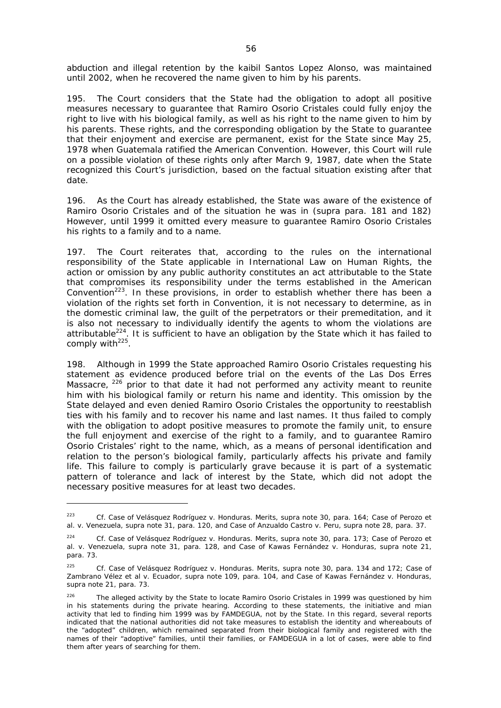abduction and illegal retention by the kaibil Santos Lopez Alonso, was maintained until 2002, when he recovered the name given to him by his parents.

195. The Court considers that the State had the obligation to adopt all positive measures necessary to guarantee that Ramiro Osorio Cristales could fully enjoy the right to live with his biological family, as well as his right to the name given to him by his parents. These rights, and the corresponding obligation by the State to guarantee that their enjoyment and exercise are permanent, exist for the State since May 25, 1978 when Guatemala ratified the American Convention. However, this Court will rule on a possible violation of these rights only after March 9, 1987, date when the State recognized this Court's jurisdiction, based on the factual situation existing after that date.

196. As the Court has already established, the State was aware of the existence of Ramiro Osorio Cristales and of the situation he was in (*supra* para. 181 and 182) However, until 1999 it omitted every measure to guarantee Ramiro Osorio Cristales his rights to a family and to a name.

197. The Court reiterates that, according to the rules on the international responsibility of the State applicable in International Law on Human Rights, the action or omission by any public authority constitutes an act attributable to the State that compromises its responsibility under the terms established in the American Convention<sup>223</sup>. In these provisions, in order to establish whether there has been a violation of the rights set forth in Convention, it is not necessary to determine, as in the domestic criminal law, the guilt of the perpetrators or their premeditation, and it is also not necessary to individually identify the agents to whom the violations are attributable $^{224}$ . It is sufficient to have an obligation by the State which it has failed to comply with $225$ .

198. Although in 1999 the State approached Ramiro Osorio Cristales requesting his statement as evidence produced before trial on the events of the Las Dos Erres Massacre, <sup>226</sup> prior to that date it had not performed any activity meant to reunite him with his biological family or return his name and identity. This omission by the State delayed and even denied Ramiro Osorio Cristales the opportunity to reestablish ties with his family and to recover his name and last names. It thus failed to comply with the obligation to adopt positive measures to promote the family unit, to ensure the full enjoyment and exercise of the right to a family, and to guarantee Ramiro Osorio Cristales' right to the name, which, as a means of personal identification and relation to the person's biological family, particularly affects his private and family life. This failure to comply is particularly grave because it is part of a systematic pattern of tolerance and lack of interest by the State, which did not adopt the necessary positive measures for at least two decades.

-

<sup>223</sup> *Cf. Case of Velásquez Rodríguez v. Honduras.* Merits, *supra* note 30, para. 164*; Case of Perozo et al. v. Venezuela, supra* note 31, para. 120, and *Case of Anzualdo Castro v. Peru*, *supra* note 28, para. 37.

<sup>224</sup> *Cf. Case of Velásquez Rodríguez v. Honduras.* Merits*, supra* note 30, para. 173*; Case of Perozo et al. v. Venezuela, supra* note 31*,* para. 128, and *Case of Kawas Fernández v. Honduras, supra* note 21, para. 73.

<sup>225</sup> *Cf. Case of Velásquez Rodríguez v. Honduras.* Merits, *supra* note 30, para. 134 and 172*; Case of Zambrano Vélez et al v. Ecuador, supra* note 109, para. 104, and *Case of Kawas Fernández v. Honduras, supra* note 21, para. 73.

<sup>&</sup>lt;sup>226</sup> The alleged activity by the State to locate Ramiro Osorio Cristales in 1999 was questioned by him in his statements during the private hearing. According to these statements, the initiative and mian activity that led to finding him 1999 was by FAMDEGUA, not by the State. In this regard, several reports indicated that the national authorities did not take measures to establish the identity and whereabouts of the "adopted" children, which remained separated from their biological family and registered with the names of their "adoptive" families, until their families, or FAMDEGUA in a lot of cases, were able to find them after years of searching for them.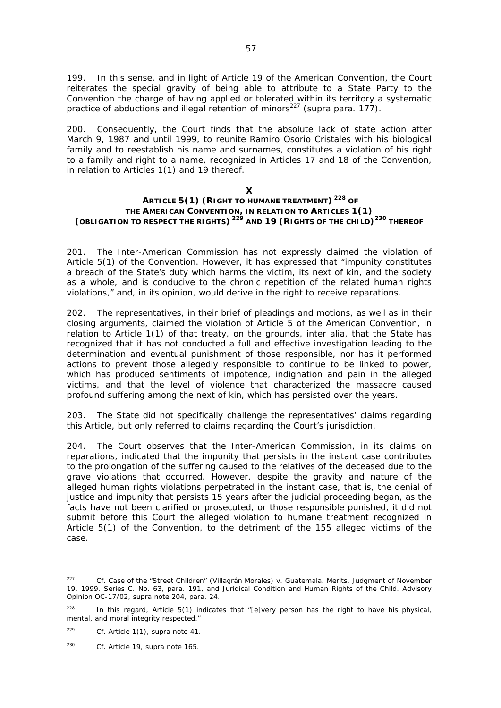199. In this sense, and in light of Article 19 of the American Convention, the Court reiterates the special gravity of being able to attribute to a State Party to the Convention the charge of having applied or tolerated within its territory a systematic practice of abductions and illegal retention of minors227 (*supra* para. 177).

200. Consequently, the Court finds that the absolute lack of state action after March 9, 1987 and until 1999, to reunite Ramiro Osorio Cristales with his biological family and to reestablish his name and surnames, constitutes a violation of his right to a family and right to a name, recognized in Articles 17 and 18 of the Convention, in relation to Articles 1(1) and 19 thereof.

### **X ARTICLE 5(1) (RIGHT TO HUMANE TREATMENT) 228 OF THE AMERICAN CONVENTION, IN RELATION TO ARTICLES 1(1) (OBLIGATION TO RESPECT THE RIGHTS) 229 AND 19 (RIGHTS OF THE CHILD)230 THEREOF**

201. The Inter-American Commission has not expressly claimed the violation of Article 5(1) of the Convention. However, it has expressed that "impunity constitutes a breach of the State's duty which harms the victim, its next of kin, and the society as a whole, and is conducive to the chronic repetition of the related human rights violations," and, in its opinion, would derive in the right to receive reparations.

202. The representatives, in their brief of pleadings and motions, as well as in their closing arguments, claimed the violation of Article 5 of the American Convention, in relation to Article 1(1) of that treaty, on the grounds, *inter alia*, that the State has recognized that it has not conducted a full and effective investigation leading to the determination and eventual punishment of those responsible, nor has it performed actions to prevent those allegedly responsible to continue to be linked to power, which has produced sentiments of impotence, indignation and pain in the alleged victims, and that the level of violence that characterized the massacre caused profound suffering among the next of kin, which has persisted over the years.

203. The State did not specifically challenge the representatives' claims regarding this Article, but only referred to claims regarding the Court's jurisdiction.

204. The Court observes that the Inter-American Commission, in its claims on reparations, indicated that the impunity that persists in the instant case contributes to the prolongation of the suffering caused to the relatives of the deceased due to the grave violations that occurred. However, despite the gravity and nature of the alleged human rights violations perpetrated in the instant case, that is, the denial of justice and impunity that persists 15 years after the judicial proceeding began, as the facts have not been clarified or prosecuted, or those responsible punished, it did not submit before this Court the alleged violation to humane treatment recognized in Article 5(1) of the Convention, to the detriment of the 155 alleged victims of the case.

-

<sup>227</sup> *Cf. Case of the "Street Children" (Villagrán Morales) v. Guatemala.* Merits. Judgment of November 19, 1999. Series C. No. 63, para. 191, and *Juridical Condition and Human Rights of the Child.* Advisory Opinion OC-17/02, *supra* note 204, para. 24.

 $228$  In this regard, Article 5(1) indicates that "[e]very person has the right to have his physical, mental, and moral integrity respected."

<sup>229</sup> *Cf.* Article 1(1)*, supra* note 41.

<sup>230</sup> *Cf.* Article 19, *supra* note 165.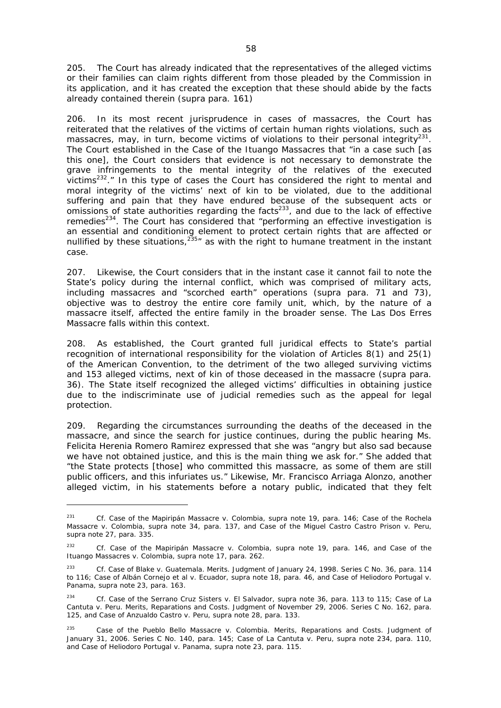205. The Court has already indicated that the representatives of the alleged victims or their families can claim rights different from those pleaded by the Commission in its application, and it has created the exception that these should abide by the facts already contained therein (*supra* para. 161)

206. In its most recent jurisprudence in cases of massacres, the Court has reiterated that the relatives of the victims of certain human rights violations, such as massacres, may, in turn, become victims of violations to their personal integrity<sup>231</sup>. The Court established in the *Case of the Ituango Massacres* that "in a case such [as this one], the Court considers that evidence is not necessary to demonstrate the grave infringements to the mental integrity of the relatives of the executed victims<sup>232</sup>." In this type of cases the Court has considered the right to mental and moral integrity of the victims' next of kin to be violated, due to the additional suffering and pain that they have endured because of the subsequent acts or omissions of state authorities regarding the facts<sup>233</sup>, and due to the lack of effective remedies<sup>234</sup>. The Court has considered that "performing an effective investigation is an essential and conditioning element to protect certain rights that are affected or nullified by these situations,  $235''$  as with the right to humane treatment in the instant case.

207. Likewise, the Court considers that in the instant case it cannot fail to note the State's policy during the internal conflict, which was comprised of military acts, including massacres and "scorched earth" operations (*supra* para. 71 and 73), objective was to destroy the entire core family unit, which, by the nature of a massacre itself, affected the entire family in the broader sense. The Las Dos Erres Massacre falls within this context.

208. As established, the Court granted full juridical effects to State's partial recognition of international responsibility for the violation of Articles 8(1) and 25(1) of the American Convention, to the detriment of the two alleged surviving victims and 153 alleged victims, next of kin of those deceased in the massacre (supra para. 36). The State itself recognized the alleged victims' difficulties in obtaining justice due to the indiscriminate use of judicial remedies such as the appeal for legal protection.

209. Regarding the circumstances surrounding the deaths of the deceased in the massacre, and since the search for justice continues, during the public hearing Ms. Felicita Herenia Romero Ramirez expressed that she was "angry but also sad because we have not obtained justice, and this is the main thing we ask for." She added that "the State protects [those] who committed this massacre, as some of them are still public officers, and this infuriates us." Likewise, Mr. Francisco Arriaga Alonzo, another alleged victim, in his statements before a notary public, indicated that they felt

<sup>231</sup> *Cf. Case of the Mapiripán Massacre v. Colombia, supra* note 19, para. 146; *Case of the Rochela Massacre v. Colombia*, *supra* note 34, para. 137, and *Case of the Miguel Castro Castro Prison v. Peru*, *supra* note 27, para. 335.

<sup>232</sup> *Cf. Case of the Mapiripán Massacre v. Colombia*, *supra* note 19, para. 146, and *Case of the Ituango Massacres v. Colombia*, *supra* note 17, para. 262.

<sup>233</sup> *Cf. Case of Blake v. Guatemala.* Merits. Judgment of January 24, 1998. Series C No. 36, para. 114 to 116; *Case of Albán Cornejo et al v. Ecuador, supra* note 18, para. 46, and *Case of Heliodoro Portugal v. Panama, supra* note 23, para. 163.

<sup>&</sup>lt;sup>234</sup> *Cf. Case of the Serrano Cruz Sisters v. El Salvador, supra note 36, para. 113 to 115; Case of La Cantuta v. Peru.* Merits, Reparations and Costs. Judgment of November 29, 2006. Series C No. 162, para. 125, and *Case of Anzualdo Castro v. Peru*, *supra* note 28, para. 133.

<sup>235</sup> *Case of the Pueblo Bello Massacre v. Colombia.* Merits, Reparations and Costs. Judgment of January 31, 2006. Series C No. 140, para. 145; *Case of La Cantuta v. Peru*, *supra* note 234, para. 110, and *Case of Heliodoro Portugal v. Panama, supra* note 23, para. 115.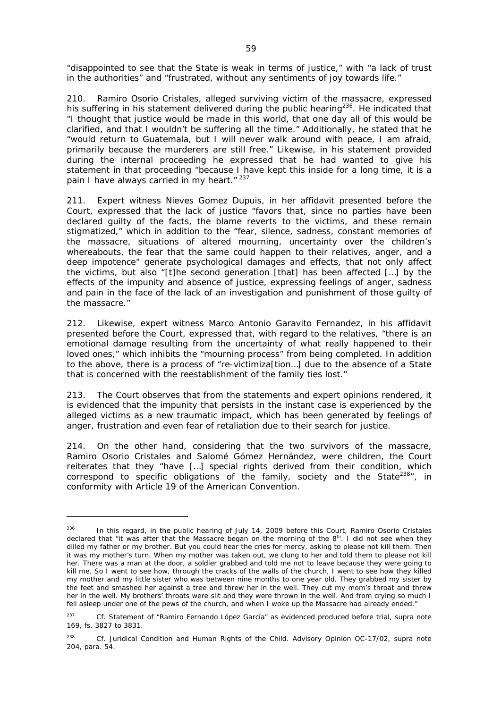"disappointed to see that the State is weak in terms of justice," with "a lack of trust in the authorities" and "frustrated, without any sentiments of joy towards life."

210. Ramiro Osorio Cristales, alleged surviving victim of the massacre, expressed his suffering in his statement delivered during the public hearing<sup>236</sup>. He indicated that "I thought that justice would be made in this world, that one day all of this would be clarified, and that I wouldn't be suffering all the time." Additionally, he stated that he "would return to Guatemala, but I will never walk around with peace, I am afraid, primarily because the murderers are still free." Likewise, in his statement provided during the internal proceeding he expressed that he had wanted to give his statement in that proceeding "because I have kept this inside for a long time, it is a pain I have always carried in my heart."<sup>237</sup>

211. Expert witness Nieves Gomez Dupuis, in her affidavit presented before the Court, expressed that the lack of justice "favors that, since no parties have been declared guilty of the facts, the blame reverts to the victims, and these remain stigmatized," which in addition to the "fear, silence, sadness, constant memories of the massacre, situations of altered mourning, uncertainty over the children's whereabouts, the fear that the same could happen to their relatives, anger, and a deep impotence" generate psychological damages and effects, that not only affect the victims, but also "[t]he second generation [that] has been affected […] by the effects of the impunity and absence of justice, expressing feelings of anger, sadness and pain in the face of the lack of an investigation and punishment of those guilty of the massacre."

212. Likewise, expert witness Marco Antonio Garavito Fernandez, in his affidavit presented before the Court, expressed that, with regard to the relatives, "there is an emotional damage resulting from the uncertainty of what really happened to their loved ones," which inhibits the "mourning process" from being completed. In addition to the above, there is a process of "re-victimiza[tion…] due to the absence of a State that is concerned with the reestablishment of the family ties lost."

213. The Court observes that from the statements and expert opinions rendered, it is evidenced that the impunity that persists in the instant case is experienced by the alleged victims as a new traumatic impact, which has been generated by feelings of anger, frustration and even fear of retaliation due to their search for justice.

214. On the other hand, considering that the two survivors of the massacre, Ramiro Osorio Cristales and Salomé Gómez Hernández, were children, the Court reiterates that they "have […] special rights derived from their condition, which correspond to specific obligations of the family, society and the State $238n$ , in conformity with Article 19 of the American Convention.

In this regard, in the public hearing of July 14, 2009 before this Court, Ramiro Osorio Cristales declared that "it was after that the Massacre began on the morning of the 8<sup>th</sup>. I did not see when they dilled my father or my brother. But you could hear the cries for mercy, asking to please not kill them. Then it was my mother's turn. When my mother was taken out, we clung to her and told them to please not kill her. There was a man at the door, a soldier grabbed and told me not to leave because they were going to kill me. So I went to see how, through the cracks of the walls of the church, I went to see how they killed my mother and my little sister who was between nine months to one year old. They grabbed my sister by the feet and smashed her against a tree and threw her in the well. They cut my mom's throat and threw her in the well. My brothers' throats were slit and they were thrown in the well. And from crying so much I fell asleep under one of the pews of the church, and when I woke up the Massacre had already ended."

<sup>237</sup>*Cf.* Statement of "Ramiro Fernando López García" as evidenced produced before trial, *supra* note 169, fs. 3827 to 3831.

<sup>238</sup> *Cf. Juridical* C*ondition and Human Rights of the Child.* Advisory Opinion OC-17/02, *supra* note 204, para. 54.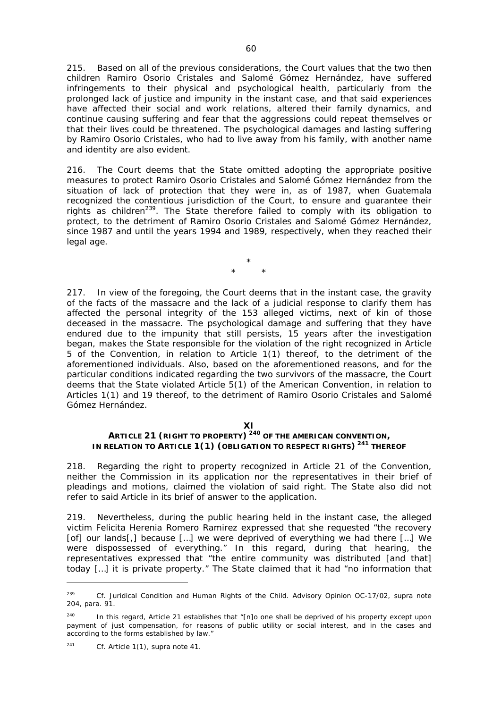215. Based on all of the previous considerations, the Court values that the two then children Ramiro Osorio Cristales and Salomé Gómez Hernández, have suffered infringements to their physical and psychological health, particularly from the prolonged lack of justice and impunity in the instant case, and that said experiences have affected their social and work relations, altered their family dynamics, and continue causing suffering and fear that the aggressions could repeat themselves or that their lives could be threatened. The psychological damages and lasting suffering by Ramiro Osorio Cristales, who had to live away from his family, with another name and identity are also evident.

216. The Court deems that the State omitted adopting the appropriate positive measures to protect Ramiro Osorio Cristales and Salomé Gómez Hernández from the situation of lack of protection that they were in, as of 1987, when Guatemala recognized the contentious jurisdiction of the Court, to ensure and guarantee their rights as children<sup>239</sup>. The State therefore failed to comply with its obligation to protect, to the detriment of Ramiro Osorio Cristales and Salomé Gómez Hernández, since 1987 and until the years 1994 and 1989, respectively, when they reached their legal age.

> \* \* \*

217. In view of the foregoing, the Court deems that in the instant case, the gravity of the facts of the massacre and the lack of a judicial response to clarify them has affected the personal integrity of the 153 alleged victims, next of kin of those deceased in the massacre. The psychological damage and suffering that they have endured due to the impunity that still persists, 15 years after the investigation began, makes the State responsible for the violation of the right recognized in Article 5 of the Convention, in relation to Article 1(1) thereof, to the detriment of the aforementioned individuals. Also, based on the aforementioned reasons, and for the particular conditions indicated regarding the two survivors of the massacre, the Court deems that the State violated Article 5(1) of the American Convention, in relation to Articles 1(1) and 19 thereof, to the detriment of Ramiro Osorio Cristales and Salomé Gómez Hernández.

#### **XI**

# **ARTICLE 21 (RIGHT TO PROPERTY) 240 OF THE AMERICAN CONVENTION, IN RELATION TO ARTICLE 1(1) (OBLIGATION TO RESPECT RIGHTS) 241 THEREOF**

218. Regarding the right to property recognized in Article 21 of the Convention, neither the Commission in its application nor the representatives in their brief of pleadings and motions, claimed the violation of said right. The State also did not refer to said Article in its brief of answer to the application.

219. Nevertheless, during the public hearing held in the instant case, the alleged victim Felicita Herenia Romero Ramirez expressed that she requested "the recovery [of] our lands[,] because […] we were deprived of everything we had there […] We were dispossessed of everything." In this regard, during that hearing, the representatives expressed that "the entire community was distributed [and that] today […] it is private property." The State claimed that it had "no information that

<sup>239</sup> *Cf. Juridical* C*ondition and Human Rights of the Child.* Advisory Opinion OC-17/02, *supra* note 204, para. 91.

<sup>&</sup>lt;sup>240</sup> In this regard, Article 21 establishes that "[n]o one shall be deprived of his property except upon payment of just compensation, for reasons of public utility or social interest, and in the cases and according to the forms established by law."

<sup>241</sup> *Cf.* Article 1(1), *supra* note 41.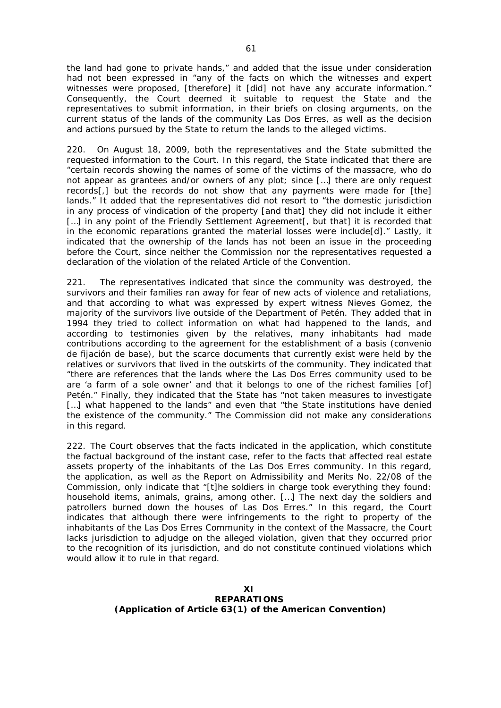the land had gone to private hands," and added that the issue under consideration had not been expressed in "any of the facts on which the witnesses and expert witnesses were proposed, [therefore] it [did] not have any accurate information." Consequently, the Court deemed it suitable to request the State and the representatives to submit information, in their briefs on closing arguments, on the current status of the lands of the community Las Dos Erres, as well as the decision and actions pursued by the State to return the lands to the alleged victims.

220. On August 18, 2009, both the representatives and the State submitted the requested information to the Court. In this regard, the State indicated that there are "certain records showing the names of some of the victims of the massacre, who do not appear as grantees and/or owners of any plot; since […] there are only request records[,] but the records do not show that any payments were made for [the] lands." It added that the representatives did not resort to "the domestic jurisdiction in any process of vindication of the property [and that] they did not include it either [...] in any point of the Friendly Settlement Agreement [, but that] it is recorded that in the economic reparations granted the material losses were include[d]." Lastly, it indicated that the ownership of the lands has not been an issue in the proceeding before the Court, since neither the Commission nor the representatives requested a declaration of the violation of the related Article of the Convention.

221. The representatives indicated that since the community was destroyed, the survivors and their families ran away for fear of new acts of violence and retaliations, and that according to what was expressed by expert witness Nieves Gomez, the majority of the survivors live outside of the Department of Petén. They added that in 1994 they tried to collect information on what had happened to the lands, and according to testimonies given by the relatives, many inhabitants had made contributions according to the agreement for the establishment of a basis (convenio de fijación de base), but the scarce documents that currently exist were held by the relatives or survivors that lived in the outskirts of the community. They indicated that "there are references that the lands where the Las Dos Erres community used to be are 'a farm of a sole owner' and that it belongs to one of the richest families [of] Petén." Finally, they indicated that the State has "not taken measures to investigate [...] what happened to the lands" and even that "the State institutions have denied the existence of the community." The Commission did not make any considerations in this regard.

222. The Court observes that the facts indicated in the application, which constitute the factual background of the instant case, refer to the facts that affected real estate assets property of the inhabitants of the Las Dos Erres community. In this regard, the application, as well as the Report on Admissibility and Merits No. 22/08 of the Commission, only indicate that "[t]he soldiers in charge took everything they found: household items, animals, grains, among other. […] The next day the soldiers and patrollers burned down the houses of Las Dos Erres." In this regard, the Court indicates that although there were infringements to the right to property of the inhabitants of the Las Dos Erres Community in the context of the Massacre, the Court lacks jurisdiction to adjudge on the alleged violation, given that they occurred prior to the recognition of its jurisdiction, and do not constitute continued violations which would allow it to rule in that regard.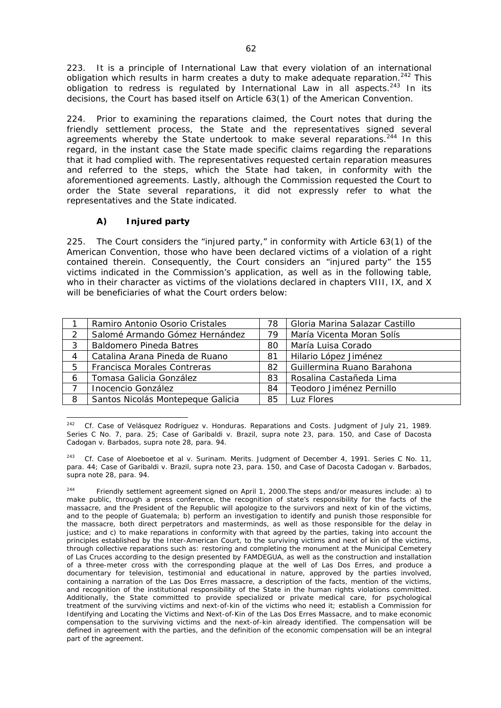223. It is a principle of International Law that every violation of an international obligation which results in harm creates a duty to make adequate reparation.<sup>242</sup> This obligation to redress is regulated by International Law in all aspects. $243$  In its decisions, the Court has based itself on Article 63(1) of the American Convention.

224. Prior to examining the reparations claimed, the Court notes that during the friendly settlement process, the State and the representatives signed several agreements whereby the State undertook to make several reparations.<sup>244</sup> In this regard, in the instant case the State made specific claims regarding the reparations that it had complied with. The representatives requested certain reparation measures and referred to the steps, which the State had taken, in conformity with the aforementioned agreements. Lastly, although the Commission requested the Court to order the State several reparations, it did not expressly refer to what the representatives and the State indicated.

# *A) Injured party*

225. The Court considers the "injured party," in conformity with Article 63(1) of the American Convention, those who have been declared victims of a violation of a right contained therein. Consequently, the Court considers an "injured party" the 155 victims indicated in the Commission's application, as well as in the following table, who in their character as victims of the violations declared in chapters VIII, IX, and X will be beneficiaries of what the Court orders below:

|   | Ramiro Antonio Osorio Cristales   | 78 | Gloria Marina Salazar Castillo |
|---|-----------------------------------|----|--------------------------------|
|   | Salomé Armando Gómez Hernández    | 79 | María Vicenta Moran Solís      |
| 3 | <b>Baldomero Pineda Batres</b>    | 80 | María Luisa Corado             |
|   | Catalina Arana Pineda de Ruano    | 81 | Hilario López Jiménez          |
| 5 | Francisca Morales Contreras       | 82 | Guillermina Ruano Barahona     |
| 6 | Tomasa Galicia González           | 83 | Rosalina Castañeda Lima        |
|   | Inocencio González                | 84 | Teodoro Jiménez Pernillo       |
| 8 | Santos Nicolás Montepeque Galicia | 85 | Luz Flores                     |

<sup>242</sup> 242 *Cf. Case of Velásquez Rodríguez v. Honduras.* Reparations and Costs. Judgment of July 21, 1989. Series C No. 7, para. 25; *Case of Garibaldi v. Brazil, supra* note 23, para. 150, and *Case of Dacosta Cadogan v. Barbados, supra* note 28, para. 94.

<sup>243</sup> *Cf. Case of Aloeboetoe et al v. Surinam.* Merits. Judgment of December 4, 1991. Series C No. 11, para. 44; *Case of Garibaldi v. Brazil*, *supra* note 23, para. 150, and *Case of Dacosta Cadogan v. Barbados*, *supra* note 28, para. 94.

<sup>&</sup>lt;sup>244</sup> Friendly settlement agreement signed on April 1, 2000. The steps and/or measures include: a) to make public, through a press conference, the recognition of state's responsibility for the facts of the massacre, and the President of the Republic will apologize to the survivors and next of kin of the victims, and to the people of Guatemala; b) perform an investigation to identify and punish those responsible for the massacre, both direct perpetrators and masterminds, as well as those responsible for the delay in justice; and c) to make reparations in conformity with that agreed by the parties, taking into account the principles established by the Inter-American Court, to the surviving victims and next of kin of the victims, through collective reparations such as: restoring and completing the monument at the Municipal Cemetery of Las Cruces according to the design presented by FAMDEGUA, as well as the construction and installation of a three-meter cross with the corresponding plaque at the well of Las Dos Erres, and produce a documentary for television, testimonial and educational in nature, approved by the parties involved, containing a narration of the Las Dos Erres massacre, a description of the facts, mention of the victims, and recognition of the institutional responsibility of the State in the human rights violations committed. Additionally, the State committed to provide specialized or private medical care, for psychological treatment of the surviving victims and next-of-kin of the victims who need it; establish a Commission for Identifying and Locating the Victims and Next-of-Kin of the Las Dos Erres Massacre, and to make economic compensation to the surviving victims and the next-of-kin already identified. The compensation will be defined in agreement with the parties, and the definition of the economic compensation will be an integral part of the agreement.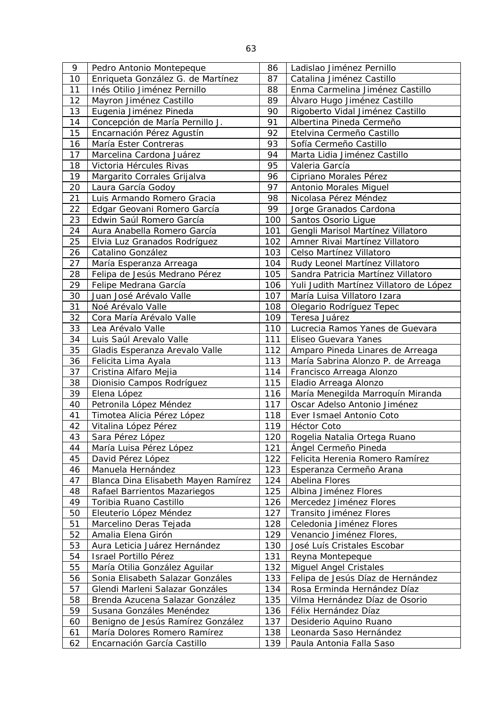| 9  | Pedro Antonio Montepeque            | 86  | Ladislao Jiménez Pernillo               |
|----|-------------------------------------|-----|-----------------------------------------|
| 10 | Enriqueta González G. de Martínez   | 87  | Catalina Jiménez Castillo               |
| 11 | Inés Otilio Jiménez Pernillo        | 88  | Enma Carmelina Jiménez Castillo         |
| 12 | Mayron Jiménez Castillo             | 89  | Álvaro Hugo Jiménez Castillo            |
| 13 | Eugenia Jiménez Pineda              | 90  | Rigoberto Vidal Jiménez Castillo        |
| 14 | Concepción de María Pernillo J.     | 91  | Albertina Pineda Cermeño                |
| 15 | Encarnación Pérez Agustín           | 92  | Etelvina Cermeño Castillo               |
| 16 | María Ester Contreras               | 93  | Sofía Cermeño Castillo                  |
| 17 | Marcelina Cardona Juárez            | 94  | Marta Lidia Jiménez Castillo            |
| 18 | Victoria Hércules Rivas             | 95  | Valeria García                          |
| 19 | Margarito Corrales Grijalva         | 96  | Cipriano Morales Pérez                  |
| 20 | Laura García Godoy                  | 97  | Antonio Morales Miguel                  |
| 21 | Luis Armando Romero Gracia          | 98  | Nicolasa Pérez Méndez                   |
| 22 | Edgar Geovani Romero García         | 99  | Jorge Granados Cardona                  |
| 23 | Edwin Saúl Romero García            | 100 | Santos Osorio Ligue                     |
| 24 | Aura Anabella Romero García         | 101 | Gengli Marisol Martínez Villatoro       |
| 25 | Elvia Luz Granados Rodríguez        | 102 | Amner Rivai Martínez Villatoro          |
| 26 | Catalino González                   | 103 | Celso Martínez Villatoro                |
| 27 | María Esperanza Arreaga             | 104 | Rudy Leonel Martínez Villatoro          |
| 28 | Felipa de Jesús Medrano Pérez       | 105 | Sandra Patricia Martínez Villatoro      |
| 29 | Felipe Medrana García               | 106 | Yuli Judith Martínez Villatoro de López |
| 30 | Juan José Arévalo Valle             | 107 | María Luisa Villatoro Izara             |
| 31 | Noé Arévalo Valle                   | 108 | Olegario Rodríguez Tepec                |
| 32 | Cora María Arévalo Valle            | 109 | Teresa Juárez                           |
| 33 | Lea Arévalo Valle                   | 110 | Lucrecia Ramos Yanes de Guevara         |
| 34 | Luis Saúl Arevalo Valle             | 111 | Eliseo Guevara Yanes                    |
| 35 | Gladis Esperanza Arevalo Valle      | 112 | Amparo Pineda Linares de Arreaga        |
| 36 | Felicita Lima Ayala                 | 113 | María Sabrina Alonzo P. de Arreaga      |
| 37 | Cristina Alfaro Mejia               | 114 | Francisco Arreaga Alonzo                |
| 38 | Dionisio Campos Rodríguez           | 115 | Eladio Arreaga Alonzo                   |
| 39 | Elena López                         | 116 | María Menegilda Marroquín Miranda       |
| 40 | Petronila López Méndez              | 117 | Oscar Adelso Antonio Jiménez            |
| 41 | Timotea Alicia Pérez López          | 118 | Ever Ismael Antonio Coto                |
| 42 | Vitalina López Pérez                | 119 | Héctor Coto                             |
| 43 | Sara Pérez López                    | 120 | Rogelia Natalia Ortega Ruano            |
| 44 | María Luisa Pérez López             | 121 | Ángel Cermeño Pineda                    |
| 45 | David Pérez López                   | 122 | Felicita Herenia Romero Ramírez         |
| 46 | Manuela Hernández                   | 123 | Esperanza Cermeño Arana                 |
| 47 | Blanca Dina Elisabeth Mayen Ramírez | 124 | Abelina Flores                          |
| 48 | Rafael Barrientos Mazariegos        | 125 | Albina Jiménez Flores                   |
| 49 | Toribia Ruano Castillo              | 126 | Mercedez Jiménez Flores                 |
| 50 | Eleuterio López Méndez              | 127 | Transito Jiménez Flores                 |
| 51 | Marcelino Deras Tejada              | 128 | Celedonia Jiménez Flores                |
| 52 | Amalia Elena Girón                  | 129 | Venancio Jiménez Flores,                |
| 53 | Aura Leticia Juárez Hernández       | 130 | José Luís Cristales Escobar             |
| 54 | Israel Portillo Pérez               | 131 | Reyna Montepeque                        |
| 55 | María Otilia González Aguilar       | 132 | <b>Miguel Angel Cristales</b>           |
| 56 | Sonia Elisabeth Salazar Gonzáles    | 133 | Felipa de Jesús Díaz de Hernández       |
| 57 | Glendi Marleni Salazar Gonzáles     | 134 | Rosa Erminda Hernández Díaz             |
| 58 | Brenda Azucena Salazar González     | 135 | Vilma Hernández Díaz de Osorio          |
| 59 | Susana Gonzáles Menéndez            | 136 | Félix Hernández Díaz                    |
| 60 | Benigno de Jesús Ramírez González   | 137 | Desiderio Aquino Ruano                  |
| 61 | María Dolores Romero Ramírez        | 138 | Leonarda Saso Hernández                 |
| 62 | Encarnación García Castillo         | 139 | Paula Antonia Falla Saso                |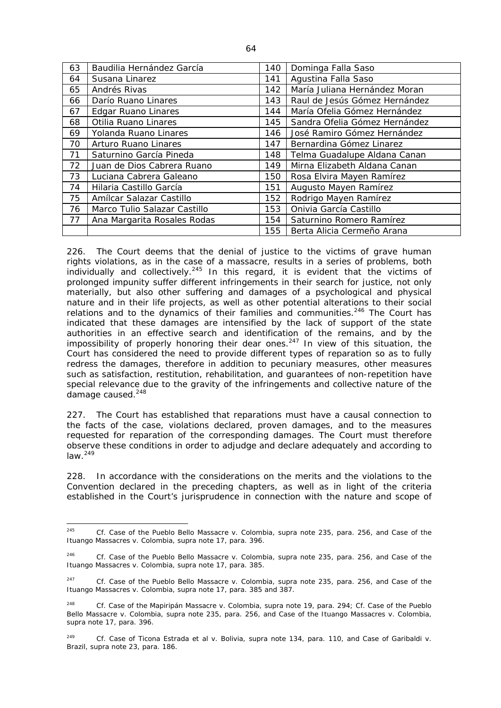| 63 | Baudilia Hernández García    | 140 | Dominga Falla Saso            |
|----|------------------------------|-----|-------------------------------|
| 64 | Susana Linarez               | 141 | Agustina Falla Saso           |
| 65 | Andrés Rivas                 | 142 | María Juliana Hernández Moran |
| 66 | Darío Ruano Linares          | 143 | Raul de Jesús Gómez Hernández |
| 67 | <b>Edgar Ruano Linares</b>   | 144 | María Ofelia Gómez Hernández  |
| 68 | Otilia Ruano Linares         | 145 | Sandra Ofelia Gómez Hernández |
| 69 | Yolanda Ruano Linares        | 146 | José Ramiro Gómez Hernández   |
| 70 | Arturo Ruano Linares         | 147 | Bernardina Gómez Linarez      |
| 71 | Saturnino García Pineda      | 148 | Telma Guadalupe Aldana Canan  |
| 72 | Juan de Dios Cabrera Ruano   | 149 | Mirna Elizabeth Aldana Canan  |
| 73 | Luciana Cabrera Galeano      | 150 | Rosa Elvira Mayen Ramírez     |
| 74 | Hilaria Castillo García      | 151 | Augusto Mayen Ramírez         |
| 75 | Amílcar Salazar Castillo     | 152 | Rodrigo Mayen Ramírez         |
| 76 | Marco Tulio Salazar Castillo | 153 | Onivia García Castillo        |
| 77 | Ana Margarita Rosales Rodas  | 154 | Saturnino Romero Ramírez      |
|    |                              | 155 | Berta Alicia Cermeño Arana    |

226. The Court deems that the denial of justice to the victims of grave human rights violations, as in the case of a massacre, results in a series of problems, both individually and collectively.<sup>245</sup> In this regard, it is evident that the victims of prolonged impunity suffer different infringements in their search for justice, not only materially, but also other suffering and damages of a psychological and physical nature and in their life projects, as well as other potential alterations to their social relations and to the dynamics of their families and communities. $246$  The Court has indicated that these damages are intensified by the lack of support of the state authorities in an effective search and identification of the remains, and by the impossibility of properly honoring their dear ones. $247$  In view of this situation, the Court has considered the need to provide different types of reparation so as to fully redress the damages, therefore in addition to pecuniary measures, other measures such as satisfaction, restitution, rehabilitation, and guarantees of non-repetition have special relevance due to the gravity of the infringements and collective nature of the damage caused. $248$ 

227. The Court has established that reparations must have a causal connection to the facts of the case, violations declared, proven damages, and to the measures requested for reparation of the corresponding damages. The Court must therefore observe these conditions in order to adjudge and declare adequately and according to  $law.<sup>249</sup>$ 

228. In accordance with the considerations on the merits and the violations to the Convention declared in the preceding chapters, as well as in light of the criteria established in the Court's jurisprudence in connection with the nature and scope of

<sup>245</sup> 245 *Cf. Case of the Pueblo Bello Massacre v. Colombia*, *supra* note 235, para. 256, and *Case of the Ituango Massacres v. Colombia, supra* note 17, para. 396.

<sup>246</sup> *Cf. Case of the Pueblo Bello Massacre v. Colombia, supra* note 235, para. 256, and *Case of the Ituango Massacres v. Colombia, supra* note 17, para. 385.

<sup>247</sup> *Cf. Case of the Pueblo Bello Massacre v. Colombia*, *supra* note 235, para. 256, and *Case of the Ituango Massacres v. Colombia, supra* note 17, para. 385 and 387.

<sup>248</sup> *Cf. Case of the Mapiripán Massacre v. Colombia*, *supra* note 19, para. 294; *Cf. Case of the Pueblo Bello Massacre v. Colombia*, *supra* note 235, para. 256, and *Case of the Ituango Massacres v. Colombia, supra* note 17, para. 396.

<sup>249</sup> *Cf. Case of Ticona Estrada et al v. Bolivia*, *supra* note 134, para. 110, and *Case of Garibaldi v. Brazil, supra* note 23, para. 186.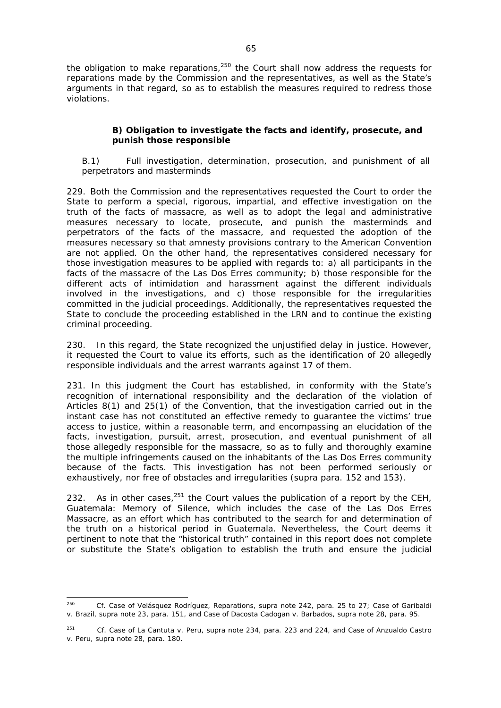the obligation to make reparations, $250$  the Court shall now address the requests for reparations made by the Commission and the representatives, as well as the State's arguments in that regard, so as to establish the measures required to redress those violations.

# *B) Obligation to investigate the facts and identify, prosecute, and punish those responsible*

### *B.1) Full investigation, determination, prosecution, and punishment of all perpetrators and masterminds*

229. Both the Commission and the representatives requested the Court to order the State to perform a special, rigorous, impartial, and effective investigation on the truth of the facts of massacre, as well as to adopt the legal and administrative measures necessary to locate, prosecute, and punish the masterminds and perpetrators of the facts of the massacre, and requested the adoption of the measures necessary so that amnesty provisions contrary to the American Convention are not applied. On the other hand, the representatives considered necessary for those investigation measures to be applied with regards to: a) all participants in the facts of the massacre of the Las Dos Erres community; b) those responsible for the different acts of intimidation and harassment against the different individuals involved in the investigations, and c) those responsible for the irregularities committed in the judicial proceedings. Additionally, the representatives requested the State to conclude the proceeding established in the LRN and to continue the existing criminal proceeding.

230. In this regard, the State recognized the unjustified delay in justice. However, it requested the Court to value its efforts, such as the identification of 20 allegedly responsible individuals and the arrest warrants against 17 of them.

231. In this judgment the Court has established, in conformity with the State's recognition of international responsibility and the declaration of the violation of Articles 8(1) and 25(1) of the Convention, that the investigation carried out in the instant case has not constituted an effective remedy to guarantee the victims' true access to justice, within a reasonable term, and encompassing an elucidation of the facts, investigation, pursuit, arrest, prosecution, and eventual punishment of all those allegedly responsible for the massacre, so as to fully and thoroughly examine the multiple infringements caused on the inhabitants of the Las Dos Erres community because of the facts. This investigation has not been performed seriously or exhaustively, nor free of obstacles and irregularities (*supra* para. 152 and 153).

232. As in other cases,  $251$  the Court values the publication of a report by the CEH, *Guatemala: Memory of Silence,* which includes the case of the Las Dos Erres Massacre, as an effort which has contributed to the search for and determination of the truth on a historical period in Guatemala. Nevertheless, the Court deems it pertinent to note that the "historical truth" contained in this report does not complete or substitute the State's obligation to establish the truth and ensure the judicial

<sup>250</sup> *Cf. Case of Velásquez Rodríguez*, Reparations, *supra* note 242, para. 25 to 27; *Case of Garibaldi v. Brazil, supra* note 23, para. 151, and *Case of Dacosta Cadogan v. Barbados, supra* note 28, para. 95.

<sup>251</sup> *Cf. Case of La Cantuta v. Peru, supra* note 234, para. 223 and 224, and *Case of Anzualdo Castro v. Peru*, *supra* note 28, para. 180.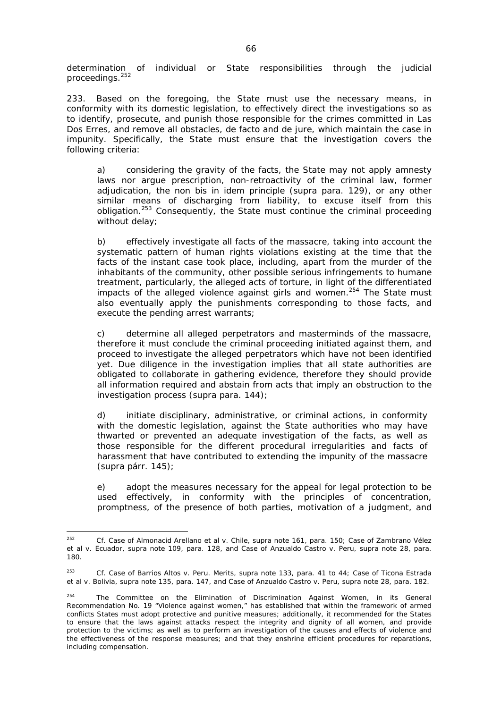determination of individual or State responsibilities through the judicial proceedings.<sup>252</sup>

233. Based on the foregoing, the State must use the necessary means, in conformity with its domestic legislation, to effectively direct the investigations so as to identify, prosecute, and punish those responsible for the crimes committed in Las Dos Erres, and remove all obstacles, *de facto* and *de jure*, which maintain the case in impunity. Specifically, the State must ensure that the investigation covers the following criteria:

a) considering the gravity of the facts, the State may not apply amnesty laws nor argue prescription, non-retroactivity of the criminal law, former adjudication, the *non bis in idem* principle (*supra* para. 129), or any other similar means of discharging from liability, to excuse itself from this obligation.<sup>253</sup> Consequently, the State must continue the criminal proceeding without delay;

b) effectively investigate all facts of the massacre, taking into account the systematic pattern of human rights violations existing at the time that the facts of the instant case took place, including, apart from the murder of the inhabitants of the community, other possible serious infringements to humane treatment, particularly, the alleged acts of torture, in light of the differentiated impacts of the alleged violence against girls and women.<sup>254</sup> The State must also eventually apply the punishments corresponding to those facts, and execute the pending arrest warrants;

c) determine all alleged perpetrators and masterminds of the massacre, therefore it must conclude the criminal proceeding initiated against them, and proceed to investigate the alleged perpetrators which have not been identified yet. Due diligence in the investigation implies that all state authorities are obligated to collaborate in gathering evidence, therefore they should provide all information required and abstain from acts that imply an obstruction to the investigation process (*supra* para. 144);

d) initiate disciplinary, administrative, or criminal actions, in conformity with the domestic legislation, against the State authorities who may have thwarted or prevented an adequate investigation of the facts, as well as those responsible for the different procedural irregularities and facts of harassment that have contributed to extending the impunity of the massacre (*supra* párr. 145);

e) adopt the measures necessary for the appeal for legal protection to be used effectively, in conformity with the principles of concentration, promptness, of the presence of both parties, motivation of a judgment, and

<sup>252</sup> 252 *Cf. Case of Almonacid Arellano et al v. Chile*, *supra* note 161, para. 150; *Case of Zambrano Vélez et al v. Ecuador, supra* note 109, para. 128, and *Case of Anzualdo Castro v. Peru, supra* note 28, para. 180.

<sup>253</sup> *Cf. Case of Barrios Altos v. Peru.* Merits, *supra* note 133, para. 41 to 44; *Case of Ticona Estrada et al v. Bolivia, supra* note 135, para. 147, and *Case of Anzualdo Castro v. Peru*, *supra* note 28, para. 182.

 $254$  The Committee on the Elimination of Discrimination Against Women, in its General Recommendation No. 19 "Violence against women," has established that within the framework of armed conflicts States must adopt protective and punitive measures; additionally, it recommended for the States to ensure that the laws against attacks respect the integrity and dignity of all women, and provide protection to the victims; as well as to perform an investigation of the causes and effects of violence and the effectiveness of the response measures; and that they enshrine efficient procedures for reparations, including compensation.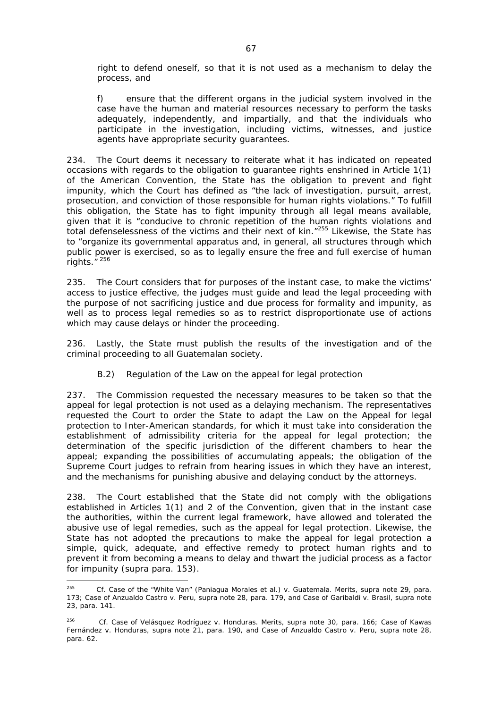right to defend oneself, so that it is not used as a mechanism to delay the process, and

f) ensure that the different organs in the judicial system involved in the case have the human and material resources necessary to perform the tasks adequately, independently, and impartially, and that the individuals who participate in the investigation, including victims, witnesses, and justice agents have appropriate security guarantees.

234. The Court deems it necessary to reiterate what it has indicated on repeated occasions with regards to the obligation to guarantee rights enshrined in Article 1(1) of the American Convention, the State has the obligation to prevent and fight impunity, which the Court has defined as "the lack of investigation, pursuit, arrest, prosecution, and conviction of those responsible for human rights violations." To fulfill this obligation, the State has to fight impunity through all legal means available, given that it is "conducive to chronic repetition of the human rights violations and total defenselessness of the victims and their next of kin."255 Likewise, the State has to "organize its governmental apparatus and, in general, all structures through which public power is exercised, so as to legally ensure the free and full exercise of human rights."<sup>256</sup>

235. The Court considers that for purposes of the instant case, to make the victims' access to justice effective, the judges must guide and lead the legal proceeding with the purpose of not sacrificing justice and due process for formality and impunity, as well as to process legal remedies so as to restrict disproportionate use of actions which may cause delays or hinder the proceeding.

236. Lastly, the State must publish the results of the investigation and of the criminal proceeding to all Guatemalan society.

## B.2) *Regulation of the Law on the appeal for legal protection*

237. The Commission requested the necessary measures to be taken so that the appeal for legal protection is not used as a delaying mechanism. The representatives requested the Court to order the State to adapt the Law on the Appeal for legal protection to Inter-American standards, for which it must take into consideration the establishment of admissibility criteria for the appeal for legal protection; the determination of the specific jurisdiction of the different chambers to hear the appeal; expanding the possibilities of accumulating appeals; the obligation of the Supreme Court judges to refrain from hearing issues in which they have an interest, and the mechanisms for punishing abusive and delaying conduct by the attorneys.

238. The Court established that the State did not comply with the obligations established in Articles 1(1) and 2 of the Convention, given that in the instant case the authorities, within the current legal framework, have allowed and tolerated the abusive use of legal remedies, such as the appeal for legal protection. Likewise, the State has not adopted the precautions to make the appeal for legal protection a simple, quick, adequate, and effective remedy to protect human rights and to prevent it from becoming a means to delay and thwart the judicial process as a factor for impunity (*supra* para. 153).

 $255$ 255 *Cf. Case of the "White Van" (Paniagua Morales et al.) v. Guatemala*. Merits, *supra* note 29, para. 173; *Case of Anzualdo Castro v. Peru*, *supra* note 28, para. 179, and *Case of Garibaldi v. Brasil*, *supra* note 23, para. 141.

<sup>256</sup> *Cf.* Case of *Velásquez Rodríguez v. Honduras*. Merits, *supra* note 30, para. 166; *Case of Kawas Fernández v. Honduras*, *supra* note 21, para. 190, and *Case of Anzualdo Castro v. Peru, supra* note 28, para. 62.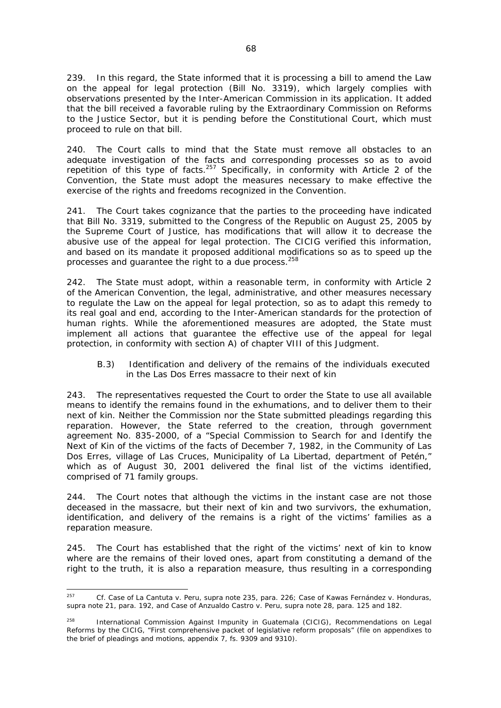239. In this regard, the State informed that it is processing a bill to amend the Law on the appeal for legal protection (Bill No. 3319), which largely complies with observations presented by the Inter-American Commission in its application. It added that the bill received a favorable ruling by the Extraordinary Commission on Reforms to the Justice Sector, but it is pending before the Constitutional Court, which must proceed to rule on that bill.

240. The Court calls to mind that the State must remove all obstacles to an adequate investigation of the facts and corresponding processes so as to avoid repetition of this type of facts.<sup>257</sup> Specifically, in conformity with Article 2 of the Convention, the State must adopt the measures necessary to make effective the exercise of the rights and freedoms recognized in the Convention.

241. The Court takes cognizance that the parties to the proceeding have indicated that Bill No. 3319, submitted to the Congress of the Republic on August 25, 2005 by the Supreme Court of Justice, has modifications that will allow it to decrease the abusive use of the appeal for legal protection. The CICIG verified this information, and based on its mandate it proposed additional modifications so as to speed up the processes and guarantee the right to a due process.<sup>258</sup>

242. The State must adopt, within a reasonable term, in conformity with Article 2 of the American Convention, the legal, administrative, and other measures necessary to regulate the Law on the appeal for legal protection, so as to adapt this remedy to its real goal and end, according to the Inter-American standards for the protection of human rights. While the aforementioned measures are adopted, the State must implement all actions that guarantee the effective use of the appeal for legal protection, in conformity with section A) of chapter VIII of this Judgment.

### *B.3) Identification and delivery of the remains of the individuals executed in the Las Dos Erres massacre to their next of kin*

243. The representatives requested the Court to order the State to use all available means to identify the remains found in the exhumations, and to deliver them to their next of kin. Neither the Commission nor the State submitted pleadings regarding this reparation. However, the State referred to the creation, through government agreement No. 835-2000, of a "Special Commission to Search for and Identify the Next of Kin of the victims of the facts of December 7, 1982, in the Community of Las Dos Erres, village of Las Cruces, Municipality of La Libertad, department of Petén," which as of August 30, 2001 delivered the final list of the victims identified, comprised of 71 family groups.

244. The Court notes that although the victims in the instant case are not those deceased in the massacre, but their next of kin and two survivors, the exhumation, identification, and delivery of the remains is a right of the victims' families as a reparation measure.

245. The Court has established that the right of the victims' next of kin to know where are the remains of their loved ones, apart from constituting a demand of the right to the truth, it is also a reparation measure, thus resulting in a corresponding

<sup>257</sup> 257 *Cf. Case of La Cantuta v. Peru, supra* note 235, para. 226; *Case of Kawas Fernández v. Honduras*, *supra* note 21, para. 192, and *Case of Anzualdo Castro v. Peru*, *supra* note 28, para. 125 and 182.

<sup>&</sup>lt;sup>258</sup> International Commission Against Impunity in Guatemala (CICIG), Recommendations on Legal Reforms by the CICIG, "First comprehensive packet of legislative reform proposals" (file on appendixes to the brief of pleadings and motions, appendix 7, fs. 9309 and 9310).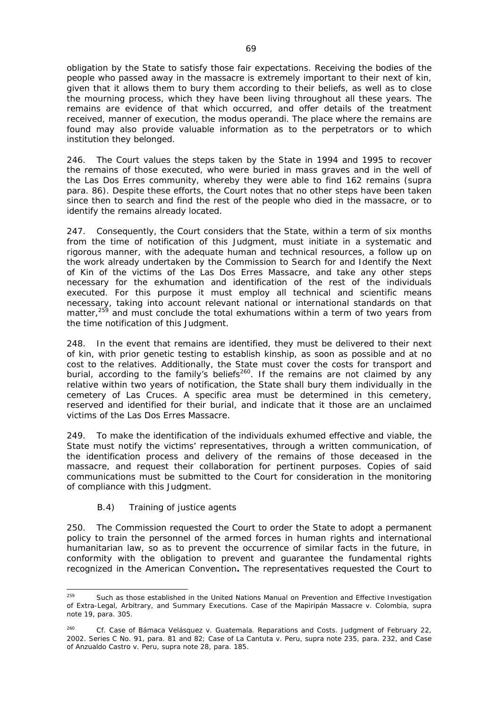obligation by the State to satisfy those fair expectations. Receiving the bodies of the people who passed away in the massacre is extremely important to their next of kin, given that it allows them to bury them according to their beliefs, as well as to close the mourning process, which they have been living throughout all these years. The remains are evidence of that which occurred, and offer details of the treatment received, manner of execution, the *modus operandi*. The place where the remains are found may also provide valuable information as to the perpetrators or to which institution they belonged.

246. The Court values the steps taken by the State in 1994 and 1995 to recover the remains of those executed, who were buried in mass graves and in the well of the Las Dos Erres community, whereby they were able to find 162 remains (*supra* para. 86). Despite these efforts, the Court notes that no other steps have been taken since then to search and find the rest of the people who died in the massacre, or to identify the remains already located.

247. Consequently, the Court considers that the State, within a term of six months from the time of notification of this Judgment, must initiate in a systematic and rigorous manner, with the adequate human and technical resources, a follow up on the work already undertaken by the Commission to Search for and Identify the Next of Kin of the victims of the Las Dos Erres Massacre, and take any other steps necessary for the exhumation and identification of the rest of the individuals executed. For this purpose it must employ all technical and scientific means necessary, taking into account relevant national or international standards on that matter,<sup>259</sup> and must conclude the total exhumations within a term of two years from the time notification of this Judgment.

248. In the event that remains are identified, they must be delivered to their next of kin, with prior genetic testing to establish kinship, as soon as possible and at no cost to the relatives. Additionally, the State must cover the costs for transport and burial, according to the family's beliefs<sup>260</sup>. If the remains are not claimed by any relative within two years of notification, the State shall bury them individually in the cemetery of Las Cruces. A specific area must be determined in this cemetery, reserved and identified for their burial, and indicate that it those are an unclaimed victims of the Las Dos Erres Massacre.

249. To make the identification of the individuals exhumed effective and viable, the State must notify the victims' representatives, through a written communication, of the identification process and delivery of the remains of those deceased in the massacre, and request their collaboration for pertinent purposes. Copies of said communications must be submitted to the Court for consideration in the monitoring of compliance with this Judgment.

## *B.4) Training of justice agents*

250. The Commission requested the Court to order the State to adopt a permanent policy to train the personnel of the armed forces in human rights and international humanitarian law, so as to prevent the occurrence of similar facts in the future, in conformity with the obligation to prevent and guarantee the fundamental rights recognized in the American Convention**.** The representatives requested the Court to

<sup>259</sup> Such as those established in the United Nations Manual on Prevention and Effective Investigation of Extra-Legal, Arbitrary, and Summary Executions. *Case of the Mapiripán Massacre v. Colombia, supra*  note 19, para. 305.

<sup>260</sup> *Cf. Case of Bámaca Velásquez v. Guatemala*. Reparations and Costs. Judgment of February 22, 2002. Series C No. 91, para. 81 and 82; *Case of La Cantuta v. Peru*, *supra* note 235, para. 232, and *Case of Anzualdo Castro v. Peru*, *supra* note 28, para. 185.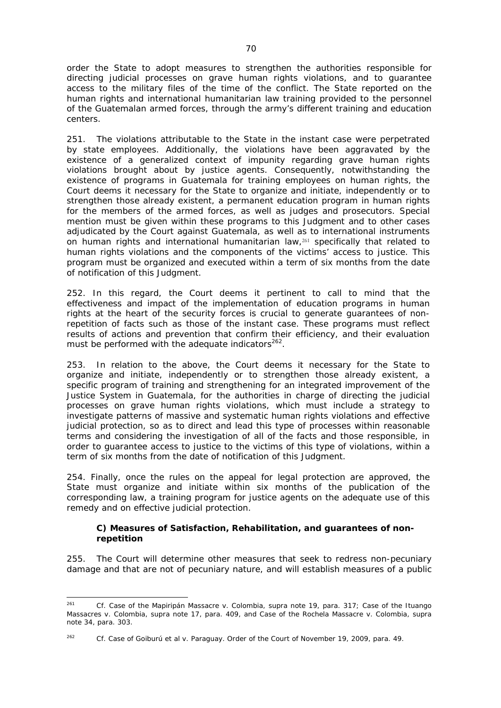order the State to adopt measures to strengthen the authorities responsible for directing judicial processes on grave human rights violations, and to guarantee access to the military files of the time of the conflict. The State reported on the human rights and international humanitarian law training provided to the personnel of the Guatemalan armed forces, through the army's different training and education centers.

251. The violations attributable to the State in the instant case were perpetrated by state employees. Additionally, the violations have been aggravated by the existence of a generalized context of impunity regarding grave human rights violations brought about by justice agents. Consequently, notwithstanding the existence of programs in Guatemala for training employees on human rights, the Court deems it necessary for the State to organize and initiate, independently or to strengthen those already existent, a permanent education program in human rights for the members of the armed forces, as well as judges and prosecutors. Special mention must be given within these programs to this Judgment and to other cases adjudicated by the Court against Guatemala, as well as to international instruments on human rights and international humanitarian law,<sup>261</sup> specifically that related to human rights violations and the components of the victims' access to justice. This program must be organized and executed within a term of six months from the date of notification of this Judgment.

252. In this regard, the Court deems it pertinent to call to mind that the effectiveness and impact of the implementation of education programs in human rights at the heart of the security forces is crucial to generate guarantees of nonrepetition of facts such as those of the instant case. These programs must reflect results of actions and prevention that confirm their efficiency, and their evaluation must be performed with the adequate indicators<sup>262</sup>.

253. In relation to the above, the Court deems it necessary for the State to organize and initiate, independently or to strengthen those already existent, a specific program of training and strengthening for an integrated improvement of the Justice System in Guatemala, for the authorities in charge of directing the judicial processes on grave human rights violations, which must include a strategy to investigate patterns of massive and systematic human rights violations and effective judicial protection, so as to direct and lead this type of processes within reasonable terms and considering the investigation of all of the facts and those responsible, in order to guarantee access to justice to the victims of this type of violations, within a term of six months from the date of notification of this Judgment.

254. Finally, once the rules on the appeal for legal protection are approved, the State must organize and initiate within six months of the publication of the corresponding law, a training program for justice agents on the adequate use of this remedy and on effective judicial protection.

### *C) Measures of Satisfaction, Rehabilitation, and guarantees of nonrepetition*

255. The Court will determine other measures that seek to redress non-pecuniary damage and that are not of pecuniary nature, and will establish measures of a public

<sup>1</sup> 261 *Cf. Case of the Mapiripán Massacre v. Colombia*, *supra* note 19, para. 317; *Case of the Ituango Massacres v. Colombia, supra* note 17, para. 409, and *Case of the Rochela Massacre v. Colombia, supra*  note 34, para. 303.

<sup>262</sup> *Cf. Case of Goiburú et al v. Paraguay.* Order of the Court of November 19, 2009, para. 49.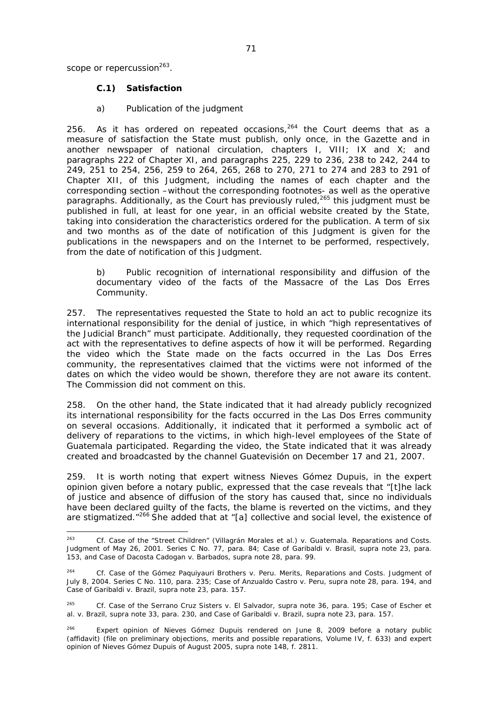scope or repercussion $263$ .

## *C.1) Satisfaction*

### *a) Publication of the judgment*

256. As it has ordered on repeated occasions,  $264$  the Court deems that as a measure of satisfaction the State must publish, only once, in the Gazette and in another newspaper of national circulation, chapters I, VIII; IX and X; and paragraphs 222 of Chapter XI, and paragraphs 225, 229 to 236, 238 to 242, 244 to 249, 251 to 254, 256, 259 to 264, 265, 268 to 270, 271 to 274 and 283 to 291 of Chapter XII, of this Judgment, including the names of each chapter and the corresponding section –without the corresponding footnotes- as well as the operative paragraphs. Additionally, as the Court has previously ruled,  $265$  this judgment must be published in full, at least for one year, in an official website created by the State, taking into consideration the characteristics ordered for the publication. A term of six and two months as of the date of notification of this Judgment is given for the publications in the newspapers and on the Internet to be performed, respectively, from the date of notification of this Judgment.

### *b) Public recognition of international responsibility and diffusion of the documentary video of the facts of the Massacre of the Las Dos Erres Community.*

257. The representatives requested the State to hold an act to public recognize its international responsibility for the denial of justice, in which "high representatives of the Judicial Branch" must participate. Additionally, they requested coordination of the act with the representatives to define aspects of how it will be performed. Regarding the video which the State made on the facts occurred in the Las Dos Erres community, the representatives claimed that the victims were not informed of the dates on which the video would be shown, therefore they are not aware its content. The Commission did not comment on this.

258. On the other hand, the State indicated that it had already publicly recognized its international responsibility for the facts occurred in the Las Dos Erres community on several occasions. Additionally, it indicated that it performed a symbolic act of delivery of reparations to the victims, in which high-level employees of the State of Guatemala participated. Regarding the video, the State indicated that it was already created and broadcasted by the channel Guatevisión on December 17 and 21, 2007.

259. It is worth noting that expert witness Nieves Gómez Dupuis, in the expert opinion given before a notary public, expressed that the case reveals that "[t]he lack of justice and absence of diffusion of the story has caused that, since no individuals have been declared guilty of the facts, the blame is reverted on the victims, and they are stigmatized. $"^{266}$  She added that at "[a] collective and social level, the existence of

<sup>263</sup> *Cf. Case of the "Street Children" (Villagrán Morales et al.) v. Guatemala*. Reparations and Costs. Judgment of May 26, 2001. Series C No. 77, para. 84; *Case of Garibaldi v. Brasil, supra* note 23, para. 153, and *Case of Dacosta Cadogan v. Barbados, supra* note 28, para. 99.

<sup>264</sup> *Cf. Case of the Gómez Paquiyauri Brothers v. Peru.* Merits, Reparations and Costs. Judgment of July 8, 2004. Series C No. 110, para. 235; *Case of Anzualdo Castro v. Peru*, *supra* note 28, para. 194, and *Case of Garibaldi v. Brazil, supra* note 23, para. 157.

<sup>265</sup> *Cf. Case of the Serrano Cruz Sisters v. El Salvador, supra* note 36, para. 195; *Case of Escher et al. v. Brazil, supra* note 33, para. 230, and *Case of Garibaldi v. Brazil, supra* note 23, para. 157.

<sup>&</sup>lt;sup>266</sup> Expert opinion of Nieves Gómez Dupuis rendered on June 8, 2009 before a notary public (affidavit) (file on preliminary objections, merits and possible reparations, Volume IV, f. 633) and expert opinion of Nieves Gómez Dupuis of August 2005, *supra* note 148, f. 2811.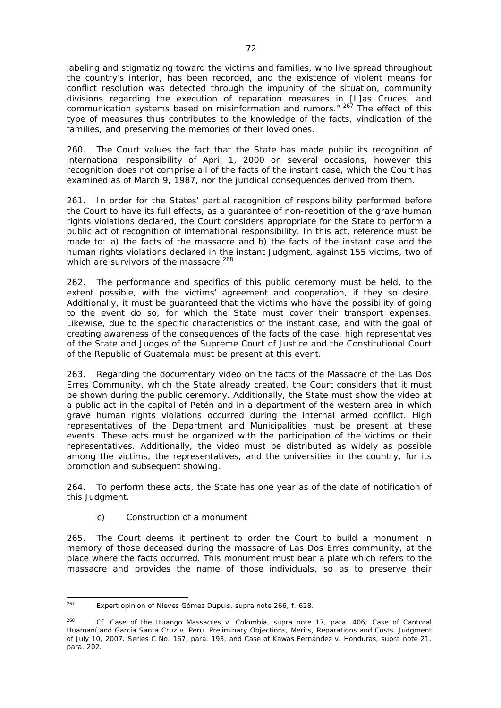labeling and stigmatizing toward the victims and families, who live spread throughout the country's interior, has been recorded, and the existence of violent means for conflict resolution was detected through the impunity of the situation, community divisions regarding the execution of reparation measures in [L]as Cruces, and communication systems based on misinformation and rumors."<sup>267</sup> The effect of this type of measures thus contributes to the knowledge of the facts, vindication of the families, and preserving the memories of their loved ones.

260. The Court values the fact that the State has made public its recognition of international responsibility of April 1, 2000 on several occasions, however this recognition does not comprise all of the facts of the instant case, which the Court has examined as of March 9, 1987, nor the juridical consequences derived from them.

261. In order for the States' partial recognition of responsibility performed before the Court to have its full effects, as a guarantee of non-repetition of the grave human rights violations declared, the Court considers appropriate for the State to perform a public act of recognition of international responsibility. In this act, reference must be made to: a) the facts of the massacre and b) the facts of the instant case and the human rights violations declared in the instant Judgment, against 155 victims, two of which are survivors of the massacre.<sup>268</sup>

262. The performance and specifics of this public ceremony must be held, to the extent possible, with the victims' agreement and cooperation, if they so desire. Additionally, it must be guaranteed that the victims who have the possibility of going to the event do so, for which the State must cover their transport expenses. Likewise, due to the specific characteristics of the instant case, and with the goal of creating awareness of the consequences of the facts of the case, high representatives of the State and Judges of the Supreme Court of Justice and the Constitutional Court of the Republic of Guatemala must be present at this event.

263. Regarding the documentary video on the facts of the Massacre of the Las Dos Erres Community, which the State already created, the Court considers that it must be shown during the public ceremony. Additionally, the State must show the video at a public act in the capital of Petén and in a department of the western area in which grave human rights violations occurred during the internal armed conflict. High representatives of the Department and Municipalities must be present at these events. These acts must be organized with the participation of the victims or their representatives. Additionally, the video must be distributed as widely as possible among the victims, the representatives, and the universities in the country, for its promotion and subsequent showing.

264. To perform these acts, the State has one year as of the date of notification of this Judgment.

## *c) Construction of a monument*

265. The Court deems it pertinent to order the Court to build a monument in memory of those deceased during the massacre of Las Dos Erres community, at the place where the facts occurred. This monument must bear a plate which refers to the massacre and provides the name of those individuals, so as to preserve their

<sup>267</sup> 267 Expert opinion of Nieves Gómez Dupuis, *supra* note 266, f. 628.

<sup>268</sup> *Cf. Case of the Ituango Massacres v. Colombia, supra* note 17, para. 406; *Case of Cantoral Huamaní and García Santa Cruz v. Peru.* Preliminary Objections, Merits, Reparations and Costs. Judgment of July 10, 2007. Series C No. 167, para. 193, and *Case of Kawas Fernández v. Honduras*, *supra* note 21, para. 202.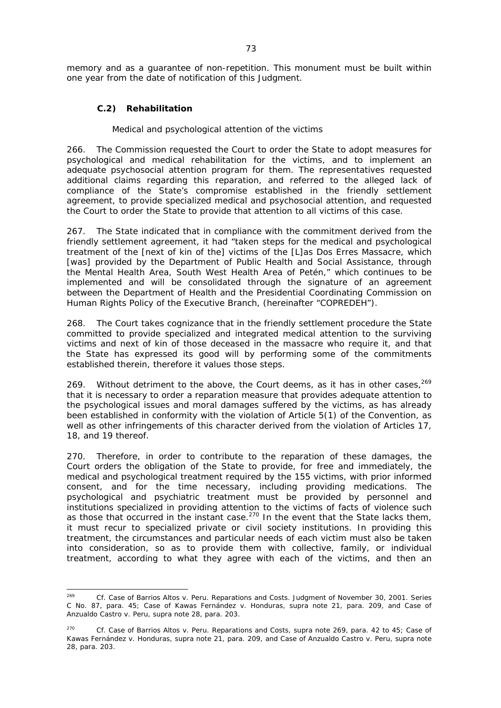memory and as a guarantee of non-repetition. This monument must be built within one year from the date of notification of this Judgment.

# *C.2) Rehabilitation*

#### *Medical and psychological attention of the victims*

266. The Commission requested the Court to order the State to adopt measures for psychological and medical rehabilitation for the victims, and to implement an adequate psychosocial attention program for them. The representatives requested additional claims regarding this reparation, and referred to the alleged lack of compliance of the State's compromise established in the friendly settlement agreement, to provide specialized medical and psychosocial attention, and requested the Court to order the State to provide that attention to all victims of this case.

267. The State indicated that in compliance with the commitment derived from the friendly settlement agreement, it had "taken steps for the medical and psychological treatment of the [next of kin of the] victims of the [L]as Dos Erres Massacre, which [was] provided by the Department of Public Health and Social Assistance, through the Mental Health Area, South West Health Area of Petén," which continues to be implemented and will be consolidated through the signature of an agreement between the Department of Health and the Presidential Coordinating Commission on Human Rights Policy of the Executive Branch, (hereinafter "COPREDEH").

268. The Court takes cognizance that in the friendly settlement procedure the State committed to provide specialized and integrated medical attention to the surviving victims and next of kin of those deceased in the massacre who require it, and that the State has expressed its good will by performing some of the commitments established therein, therefore it values those steps.

269. Without detriment to the above, the Court deems, as it has in other cases,  $269$ that it is necessary to order a reparation measure that provides adequate attention to the psychological issues and moral damages suffered by the victims, as has already been established in conformity with the violation of Article 5(1) of the Convention, as well as other infringements of this character derived from the violation of Articles 17, 18, and 19 thereof.

270. Therefore, in order to contribute to the reparation of these damages, the Court orders the obligation of the State to provide, for free and immediately, the medical and psychological treatment required by the 155 victims, with prior informed consent, and for the time necessary, including providing medications. The psychological and psychiatric treatment must be provided by personnel and institutions specialized in providing attention to the victims of facts of violence such as those that occurred in the instant case.<sup>270</sup> In the event that the State lacks them, it must recur to specialized private or civil society institutions. In providing this treatment, the circumstances and particular needs of each victim must also be taken into consideration, so as to provide them with collective, family, or individual treatment, according to what they agree with each of the victims, and then an

<sup>269</sup> 269 *Cf. Case of Barrios Altos v. Peru.* Reparations and Costs. Judgment of November 30, 2001. Series C No. 87, para. 45; *Case of Kawas Fernández v. Honduras, supra* note 21, para. 209, and *Case of Anzualdo Castro v. Peru, supra* note 28, para. 203.

<sup>270</sup> *Cf. Case of Barrios Altos v. Peru.* Reparations and Costs, *supra* note 269, para. 42 to 45; *Case of Kawas Fernández v. Honduras, supra* note 21, para. 209, and *Case of Anzualdo Castro v. Peru, supra* note 28, para. 203.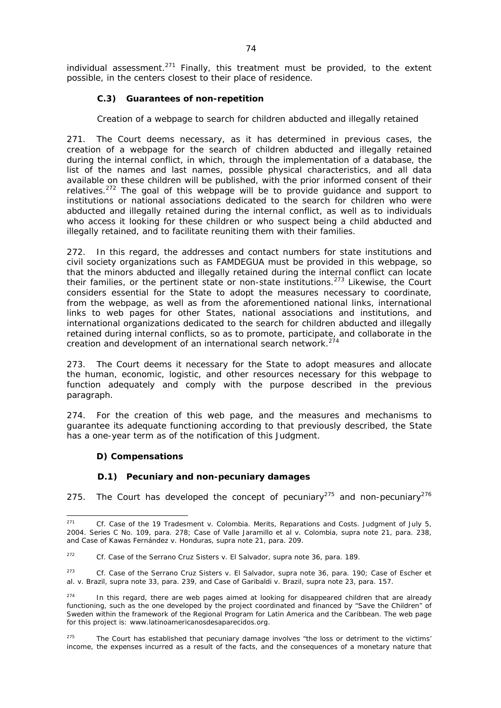individual assessment.<sup>271</sup> Finally, this treatment must be provided, to the extent possible, in the centers closest to their place of residence.

# *C.3) Guarantees of non-repetition*

### *Creation of a webpage to search for children abducted and illegally retained*

271. The Court deems necessary, as it has determined in previous cases, the creation of a webpage for the search of children abducted and illegally retained during the internal conflict, in which, through the implementation of a database, the list of the names and last names, possible physical characteristics, and all data available on these children will be published, with the prior informed consent of their relatives.<sup>272</sup> The goal of this webpage will be to provide guidance and support to institutions or national associations dedicated to the search for children who were abducted and illegally retained during the internal conflict, as well as to individuals who access it looking for these children or who suspect being a child abducted and illegally retained, and to facilitate reuniting them with their families.

272. In this regard, the addresses and contact numbers for state institutions and civil society organizations such as FAMDEGUA must be provided in this webpage, so that the minors abducted and illegally retained during the internal conflict can locate their families, or the pertinent state or non-state institutions.<sup>273</sup> Likewise, the Court considers essential for the State to adopt the measures necessary to coordinate, from the webpage, as well as from the aforementioned national links, international links to web pages for other States, national associations and institutions, and international organizations dedicated to the search for children abducted and illegally retained during internal conflicts, so as to promote, participate, and collaborate in the creation and development of an international search network.<sup>274</sup>

273. The Court deems it necessary for the State to adopt measures and allocate the human, economic, logistic, and other resources necessary for this webpage to function adequately and comply with the purpose described in the previous paragraph.

274. For the creation of this web page, and the measures and mechanisms to guarantee its adequate functioning according to that previously described, the State has a one-year term as of the notification of this Judgment.

### *D) Compensations*

#### *D.1) Pecuniary and non-pecuniary damages*

275. The Court has developed the concept of pecuniary<sup>275</sup> and non-pecuniary<sup>276</sup>

<sup>271</sup> 271 *Cf. Case of the 19 Tradesment v. Colombia*. Merits, Reparations and Costs. Judgment of July 5, 2004. Series C No. 109, para. 278; *Case of Valle Jaramillo et al v. Colombia, supra* note 21, para. 238, and *Case of Kawas Fernández v. Honduras*, *supra* note 21, para. 209.

<sup>272</sup> *Cf. Case of the Serrano Cruz Sisters v. El Salvador, supra* note 36, para. 189.

<sup>273</sup> *Cf. Case of the Serrano Cruz Sisters v. El Salvador, supra* note 36, para. 190; *Case of Escher et al. v. Brazil, supra* note 33, para. 239, and *Case of Garibaldi v. Brazil, supra* note 23, para. 157.

 $274$  In this regard, there are web pages aimed at looking for disappeared children that are already functioning, such as the one developed by the project coordinated and financed by "Save the Children" of Sweden within the framework of the Regional Program for Latin America and the Caribbean. The web page for this project is: www.latinoamericanosdesaparecidos.org.

<sup>&</sup>lt;sup>275</sup> The Court has established that pecuniary damage involves "the loss or detriment to the victims' income, the expenses incurred as a result of the facts, and the consequences of a monetary nature that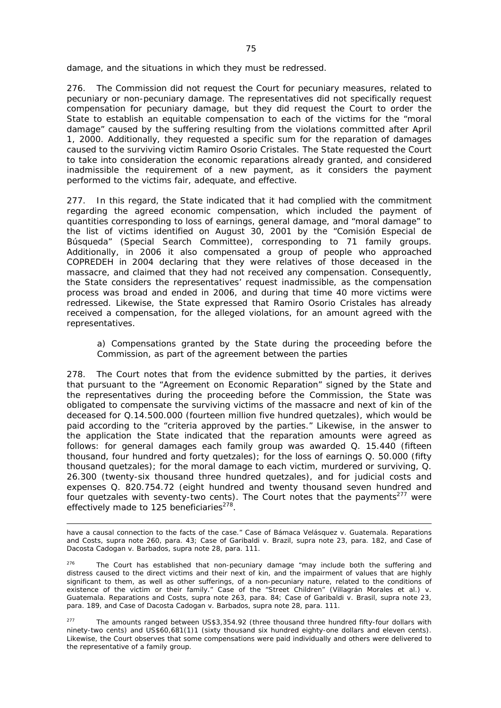damage, and the situations in which they must be redressed.

276. The Commission did not request the Court for pecuniary measures, related to pecuniary or non-pecuniary damage. The representatives did not specifically request compensation for pecuniary damage, but they did request the Court to order the State to establish an equitable compensation to each of the victims for the "moral damage" caused by the suffering resulting from the violations committed after April 1, 2000. Additionally, they requested a specific sum for the reparation of damages caused to the surviving victim Ramiro Osorio Cristales. The State requested the Court to take into consideration the economic reparations already granted, and considered inadmissible the requirement of a new payment, as it considers the payment performed to the victims fair, adequate, and effective.

277. In this regard, the State indicated that it had complied with the commitment regarding the agreed economic compensation, which included the payment of quantities corresponding to loss of earnings, general damage, and "moral damage" to the list of victims identified on August 30, 2001 by the "Comisión Especial de Búsqueda" (Special Search Committee), corresponding to 71 family groups. Additionally, in 2006 it also compensated a group of people who approached COPREDEH in 2004 declaring that they were relatives of those deceased in the massacre, and claimed that they had not received any compensation. Consequently, the State considers the representatives' request inadmissible, as the compensation process was broad and ended in 2006, and during that time 40 more victims were redressed. Likewise, the State expressed that Ramiro Osorio Cristales has already received a compensation, for the alleged violations, for an amount agreed with the representatives.

*a) Compensations granted by the State during the proceeding before the Commission, as part of the agreement between the parties* 

278. The Court notes that from the evidence submitted by the parties, it derives that pursuant to the "Agreement on Economic Reparation" signed by the State and the representatives during the proceeding before the Commission, the State was obligated to compensate the surviving victims of the massacre and next of kin of the deceased for Q.14.500.000 (fourteen million five hundred quetzales), which would be paid according to the "criteria approved by the parties." Likewise, in the answer to the application the State indicated that the reparation amounts were agreed as follows: for general damages each family group was awarded Q. 15.440 (fifteen thousand, four hundred and forty quetzales); for the loss of earnings Q. 50.000 (fifty thousand quetzales); for the moral damage to each victim, murdered or surviving, Q. 26.300 (twenty-six thousand three hundred quetzales), and for judicial costs and expenses Q. 820.754.72 (eight hundred and twenty thousand seven hundred and four quetzales with seventy-two cents). The Court notes that the payments<sup>277</sup> were effectively made to 125 beneficiaries $278$ .

have a causal connection to the facts of the case." *Case of Bámaca Velásquez v. Guatemala.* Reparations and Costs, *supra* note 260, para. 43; *Case of Garibaldi v. Brazil, supra* note 23, para. 182, and *Case of Dacosta Cadogan v. Barbados, supra* note 28, para. 111.

-

 $276$  The Court has established that non-pecuniary damage "may include both the suffering and distress caused to the direct victims and their next of kin, and the impairment of values that are highly significant to them, as well as other sufferings, of a non-pecuniary nature, related to the conditions of existence of the victim or their family." Case of the "Street Children" (Villagrán Morales et al.) v. *Guatemala*. Reparations and Costs, *supra* note 263, para. 84; *Case of Garibaldi v. Brasil*, *supra* note 23, para. 189, and *Case of Dacosta Cadogan v. Barbados*, *supra* note 28, para. 111.

<sup>&</sup>lt;sup>277</sup> The amounts ranged between US\$3,354.92 (three thousand three hundred fifty-four dollars with ninety-two cents) and US\$60,681(1)1 (sixty thousand six hundred eighty-one dollars and eleven cents). Likewise, the Court observes that some compensations were paid individually and others were delivered to the representative of a family group.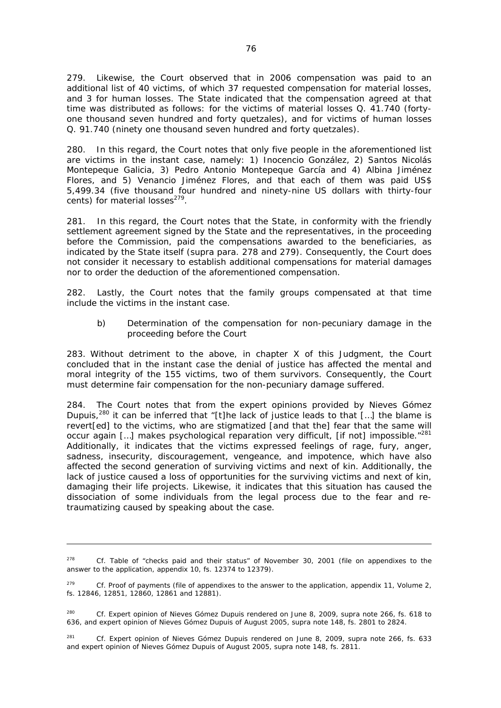279. Likewise, the Court observed that in 2006 compensation was paid to an additional list of 40 victims, of which 37 requested compensation for material losses, and 3 for human losses. The State indicated that the compensation agreed at that time was distributed as follows: for the victims of material losses Q. 41.740 (fortyone thousand seven hundred and forty quetzales), and for victims of human losses Q. 91.740 (ninety one thousand seven hundred and forty quetzales).

280. In this regard, the Court notes that only five people in the aforementioned list are victims in the instant case, namely: 1) Inocencio González, 2) Santos Nicolás Montepeque Galicia, 3) Pedro Antonio Montepeque García and 4) Albina Jiménez Flores, and 5) Venancio Jiménez Flores, and that each of them was paid US\$ 5,499.34 (five thousand four hundred and ninety-nine US dollars with thirty-four cents) for material  $losses<sup>279</sup>$ .

281. In this regard, the Court notes that the State, in conformity with the friendly settlement agreement signed by the State and the representatives, in the proceeding before the Commission, paid the compensations awarded to the beneficiaries, as indicated by the State itself (*supra* para. 278 and 279). Consequently, the Court does not consider it necessary to establish additional compensations for material damages nor to order the deduction of the aforementioned compensation.

282. Lastly, the Court notes that the family groups compensated at that time include the victims in the instant case.

#### *b) Determination of the compensation for non-pecuniary damage in the proceeding before the Court*

283. Without detriment to the above, in chapter X of this Judgment, the Court concluded that in the instant case the denial of justice has affected the mental and moral integrity of the 155 victims, two of them survivors. Consequently, the Court must determine fair compensation for the non-pecuniary damage suffered.

284. The Court notes that from the expert opinions provided by Nieves Gómez Dupuis,<sup>280</sup> it can be inferred that "[t]he lack of justice leads to that  $\lceil \ldots \rceil$  the blame is revert[ed] to the victims, who are stigmatized [and that the] fear that the same will occur again [...] makes psychological reparation very difficult, [if not] impossible."<sup>281</sup> Additionally, it indicates that the victims expressed feelings of rage, fury, anger, sadness, insecurity, discouragement, vengeance, and impotence, which have also affected the second generation of surviving victims and next of kin. Additionally, the lack of justice caused a loss of opportunities for the surviving victims and next of kin, damaging their life projects. Likewise, it indicates that this situation has caused the dissociation of some individuals from the legal process due to the fear and retraumatizing caused by speaking about the case.

<sup>278</sup> *Cf.* Table of "checks paid and their status" of November 30, 2001 (file on appendixes to the answer to the application, appendix 10, fs. 12374 to 12379).

<sup>&</sup>lt;sup>279</sup> *Cf.* Proof of payments (file of appendixes to the answer to the application, appendix 11, Volume 2, fs. 12846, 12851, 12860, 12861 and 12881).

<sup>280</sup> *Cf.* Expert opinion of Nieves Gómez Dupuis rendered on June 8, 2009, *supra* note 266, fs. 618 to 636, and expert opinion of Nieves Gómez Dupuis of August 2005, *supra* note 148, fs. 2801 to 2824.

<sup>281</sup> *Cf.* Expert opinion of Nieves Gómez Dupuis rendered on June 8, 2009, *supra* note 266, fs. 633 and expert opinion of Nieves Gómez Dupuis of August 2005, *supra* note 148, fs. 2811.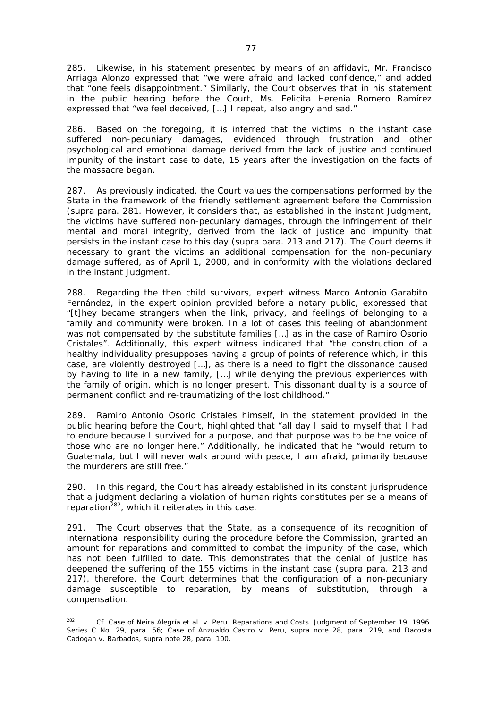285. Likewise, in his statement presented by means of an affidavit, Mr. Francisco Arriaga Alonzo expressed that "we were afraid and lacked confidence," and added that "one feels disappointment." Similarly, the Court observes that in his statement in the public hearing before the Court, Ms. Felicita Herenia Romero Ramírez expressed that "we feel deceived, […] I repeat, also angry and sad."

286. Based on the foregoing, it is inferred that the victims in the instant case suffered non-pecuniary damages, evidenced through frustration and other psychological and emotional damage derived from the lack of justice and continued impunity of the instant case to date, 15 years after the investigation on the facts of the massacre began.

287. As previously indicated, the Court values the compensations performed by the State in the framework of the friendly settlement agreement before the Commission (*supra* para. 281. However, it considers that, as established in the instant Judgment, the victims have suffered non-pecuniary damages, through the infringement of their mental and moral integrity, derived from the lack of justice and impunity that persists in the instant case to this day (*supra* para. 213 and 217). The Court deems it necessary to grant the victims an additional compensation for the non-pecuniary damage suffered, as of April 1, 2000, and in conformity with the violations declared in the instant Judgment.

288. Regarding the then child survivors, expert witness Marco Antonio Garabito Fernández, in the expert opinion provided before a notary public, expressed that "[t]hey became strangers when the link, privacy, and feelings of belonging to a family and community were broken. In a lot of cases this feeling of abandonment was not compensated by the substitute families […] as in the case of Ramiro Osorio Cristales". Additionally, this expert witness indicated that "the construction of a healthy individuality presupposes having a group of points of reference which, in this case, are violently destroyed […], as there is a need to fight the dissonance caused by having to life in a new family, […] while denying the previous experiences with the family of origin, which is no longer present. This dissonant duality is a source of permanent conflict and re-traumatizing of the lost childhood."

289. Ramiro Antonio Osorio Cristales himself, in the statement provided in the public hearing before the Court, highlighted that "all day I said to myself that I had to endure because I survived for a purpose, and that purpose was to be the voice of those who are no longer here." Additionally, he indicated that he "would return to Guatemala, but I will never walk around with peace, I am afraid, primarily because the murderers are still free."

290. In this regard, the Court has already established in its constant jurisprudence that a judgment declaring a violation of human rights constitutes *per se* a means of reparation $^{282}$ , which it reiterates in this case.

291. The Court observes that the State, as a consequence of its recognition of international responsibility during the procedure before the Commission, granted an amount for reparations and committed to combat the impunity of the case, which has not been fulfilled to date. This demonstrates that the denial of justice has deepened the suffering of the 155 victims in the instant case (*supra* para. 213 and 217), therefore, the Court determines that the configuration of a non-pecuniary damage susceptible to reparation, by means of substitution, through a compensation.

 $282$ <sup>282</sup> *Cf. Case of Neira Alegría et al. v. Peru.* Reparations and Costs. Judgment of September 19, 1996. Series C No. 29, para. 56; *Case of Anzualdo Castro v. Peru, supra* note 28, para. 219, and *Dacosta Cadogan v. Barbados*, *supra* note 28, para. 100.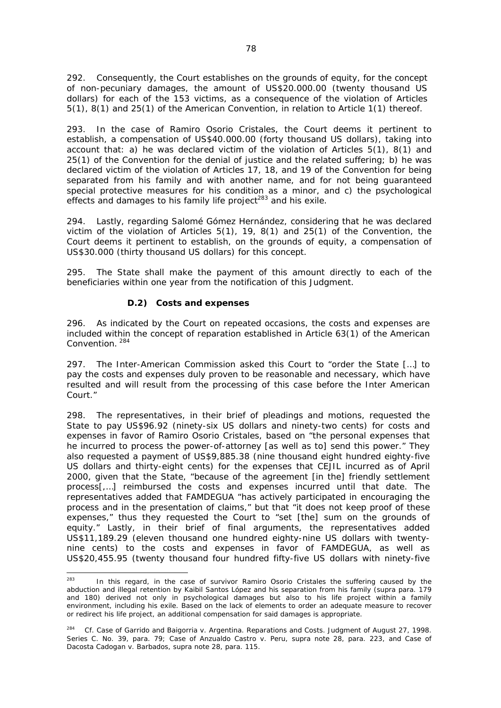292. Consequently, the Court establishes on the grounds of equity, for the concept of non-pecuniary damages, the amount of US\$20.000.00 (twenty thousand US dollars) for each of the 153 victims, as a consequence of the violation of Articles 5(1), 8(1) and 25(1) of the American Convention, in relation to Article 1(1) thereof.

293. In the case of Ramiro Osorio Cristales, the Court deems it pertinent to establish, a compensation of US\$40.000.00 (forty thousand US dollars), taking into account that: a) he was declared victim of the violation of Articles 5(1), 8(1) and 25(1) of the Convention for the denial of justice and the related suffering; b) he was declared victim of the violation of Articles 17, 18, and 19 of the Convention for being separated from his family and with another name, and for not being guaranteed special protective measures for his condition as a minor, and c) the psychological effects and damages to his family life project<sup>283</sup> and his exile.

294. Lastly, regarding Salomé Gómez Hernández, considering that he was declared victim of the violation of Articles 5(1), 19, 8(1) and 25(1) of the Convention, the Court deems it pertinent to establish, on the grounds of equity, a compensation of US\$30.000 (thirty thousand US dollars) for this concept.

295. The State shall make the payment of this amount directly to each of the beneficiaries within one year from the notification of this Judgment.

### *D.2) Costs and expenses*

296. As indicated by the Court on repeated occasions, the costs and expenses are included within the concept of reparation established in Article 63(1) of the American Convention. 284

297. The Inter-American Commission asked this Court to "order the State […] to pay the costs and expenses duly proven to be reasonable and necessary, which have resulted and will result from the processing of this case before the Inter American Court."

298. The representatives, in their brief of pleadings and motions, requested the State to pay US\$96.92 (ninety-six US dollars and ninety-two cents) for costs and expenses in favor of Ramiro Osorio Cristales, based on "the personal expenses that he incurred to process the power-of-attorney [as well as to] send this power." They also requested a payment of US\$9,885.38 (nine thousand eight hundred eighty-five US dollars and thirty-eight cents) for the expenses that CEJIL incurred as of April 2000, given that the State, "because of the agreement [in the] friendly settlement process[,…] reimbursed the costs and expenses incurred until that date. The representatives added that FAMDEGUA "has actively participated in encouraging the process and in the presentation of claims," but that "it does not keep proof of these expenses," thus they requested the Court to "set [the] sum on the grounds of equity." Lastly, in their brief of final arguments, the representatives added US\$11,189.29 (eleven thousand one hundred eighty-nine US dollars with twentynine cents) to the costs and expenses in favor of FAMDEGUA, as well as US\$20,455.95 (twenty thousand four hundred fifty-five US dollars with ninety-five

 $283$ In this regard, in the case of survivor Ramiro Osorio Cristales the suffering caused by the abduction and illegal retention by Kaibil Santos López and his separation from his family (*supra* para. 179 and 180) derived not only in psychological damages but also to his life project within a family environment, including his exile. Based on the lack of elements to order an adequate measure to recover or redirect his life project, an additional compensation for said damages is appropriate.

<sup>284</sup> *Cf. Case of Garrido and Baigorria v. Argentina.* Reparations and Costs. Judgment of August 27, 1998. Series C. No. 39, para. 79; *Case of Anzualdo Castro v. Peru, supra* note 28, para. 223, and *Case of Dacosta Cadogan v. Barbados, supra* note 28, para. 115.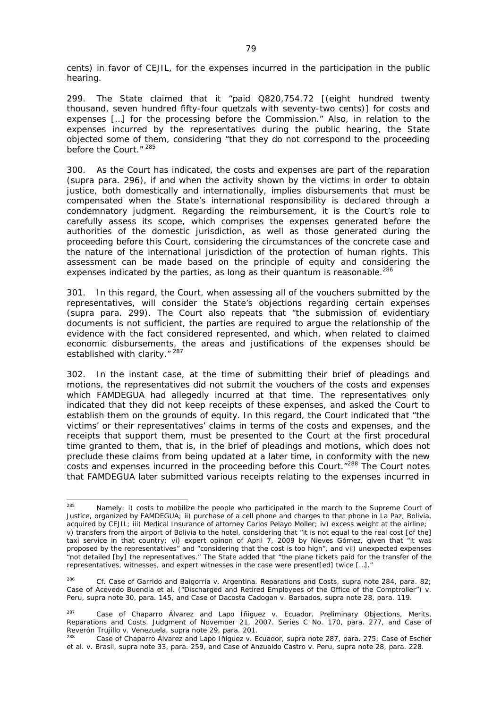cents) in favor of CEJIL, for the expenses incurred in the participation in the public hearing.

299. The State claimed that it "paid Q820,754.72 [(eight hundred twenty thousand, seven hundred fifty-four quetzals with seventy-two cents)] for costs and expenses […] for the processing before the Commission." Also, in relation to the expenses incurred by the representatives during the public hearing, the State objected some of them, considering "that they do not correspond to the proceeding before the Court."<sup>285</sup>

300. As the Court has indicated, the costs and expenses are part of the reparation (*supra* para. 296), if and when the activity shown by the victims in order to obtain justice, both domestically and internationally, implies disbursements that must be compensated when the State's international responsibility is declared through a condemnatory judgment. Regarding the reimbursement, it is the Court's role to carefully assess its scope, which comprises the expenses generated before the authorities of the domestic jurisdiction, as well as those generated during the proceeding before this Court, considering the circumstances of the concrete case and the nature of the international jurisdiction of the protection of human rights. This assessment can be made based on the principle of equity and considering the expenses indicated by the parties, as long as their *quantum* is reasonable.<sup>286</sup>

301. In this regard, the Court, when assessing all of the vouchers submitted by the representatives, will consider the State's objections regarding certain expenses (*supra* para. 299). The Court also repeats that "the submission of evidentiary documents is not sufficient, the parties are required to argue the relationship of the evidence with the fact considered represented, and which, when related to claimed economic disbursements, the areas and justifications of the expenses should be established with clarity." 287

302. In the instant case, at the time of submitting their brief of pleadings and motions, the representatives did not submit the vouchers of the costs and expenses which FAMDEGUA had allegedly incurred at that time. The representatives only indicated that they did not keep receipts of these expenses, and asked the Court to establish them on the grounds of equity. In this regard, the Court indicated that "the victims' or their representatives' claims in terms of the costs and expenses, and the receipts that support them, must be presented to the Court at the first procedural time granted to them, that is, in the brief of pleadings and motions, which does not preclude these claims from being updated at a later time, in conformity with the new costs and expenses incurred in the proceeding before this Court."<sup>288</sup> The Court notes that FAMDEGUA later submitted various receipts relating to the expenses incurred in

 $285$ Namely: i) costs to mobilize the people who participated in the march to the Supreme Court of Justice, organized by FAMDEGUA; ii) purchase of a cell phone and charges to that phone in La Paz, Bolivia, acquired by CEJIL; iii) Medical Insurance of attorney Carlos Pelayo Moller; iv) excess weight at the airline; v) transfers from the airport of Bolivia to the hotel, considering that "it is not equal to the real cost [of the] taxi service in that country; vi) expert opinon of April 7, 2009 by Nieves Gómez, given that "it was proposed by the representatives" and "considering that the cost is too high", and vii) unexpected expenses "not detailed [by] the representatives." The State added that "the plane tickets paid for the transfer of the representatives, witnesses, and expert witnesses in the case were present[ed] twice […]."

<sup>286</sup> *Cf. Case of Garrido and Baigorria v. Argentina.* Reparations and Costs, *supra* note 284, para. 82; *Case of Acevedo Buendía et al. ("Discharged and Retired Employees of the Office of the Comptroller") v. Peru*, *supra* note 30, para. 145, and *Case of Dacosta Cadogan v. Barbados*, *supra* note 28, para. 119.

<sup>287</sup> *Case of Chaparro Álvarez and Lapo Íñiguez v. Ecuador*. Preliminary Objections, Merits, Reparations and Costs. Judgment of November 21, 2007. Series C No. 170, para. 277, and *Case of Reverón Trujillo v. Venezuela*, *supra* note 29, para. 201.<br><sup>288</sup> Case of Chaparro Álvarez and Lapo Iñiguez v. Ecuador, supra note 287, para. 275; *Case of Escher* 

*et al. v. Brasil*, *supra* note 33, para. 259, and *Case of Anzualdo Castro v. Peru, supra* note 28, para. 228.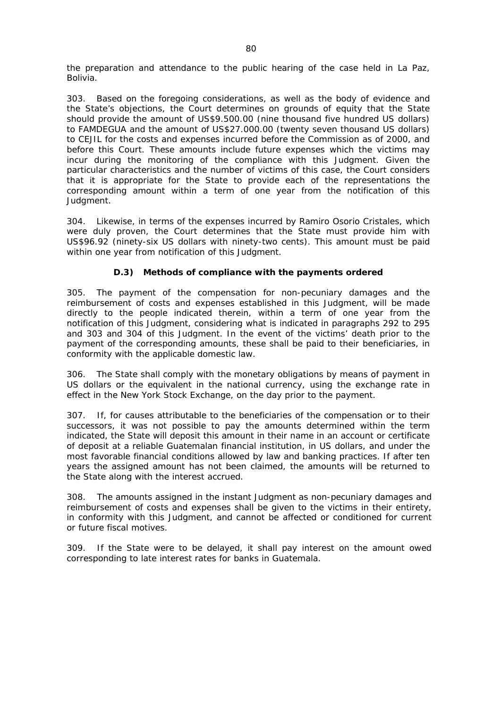the preparation and attendance to the public hearing of the case held in La Paz, Bolivia.

303. Based on the foregoing considerations, as well as the body of evidence and the State's objections, the Court determines on grounds of equity that the State should provide the amount of US\$9.500.00 (nine thousand five hundred US dollars) to FAMDEGUA and the amount of US\$27.000.00 (twenty seven thousand US dollars) to CEJIL for the costs and expenses incurred before the Commission as of 2000, and before this Court. These amounts include future expenses which the victims may incur during the monitoring of the compliance with this Judgment. Given the particular characteristics and the number of victims of this case, the Court considers that it is appropriate for the State to provide each of the representations the corresponding amount within a term of one year from the notification of this Judgment.

304. Likewise, in terms of the expenses incurred by Ramiro Osorio Cristales, which were duly proven, the Court determines that the State must provide him with US\$96.92 (ninety-six US dollars with ninety-two cents). This amount must be paid within one year from notification of this Judgment.

### *D.3) Methods of compliance with the payments ordered*

305. The payment of the compensation for non-pecuniary damages and the reimbursement of costs and expenses established in this Judgment, will be made directly to the people indicated therein, within a term of one year from the notification of this Judgment, considering what is indicated in paragraphs 292 to 295 and 303 and 304 of this Judgment. In the event of the victims' death prior to the payment of the corresponding amounts, these shall be paid to their beneficiaries, in conformity with the applicable domestic law.

306. The State shall comply with the monetary obligations by means of payment in US dollars or the equivalent in the national currency, using the exchange rate in effect in the New York Stock Exchange, on the day prior to the payment.

307. If, for causes attributable to the beneficiaries of the compensation or to their successors, it was not possible to pay the amounts determined within the term indicated, the State will deposit this amount in their name in an account or certificate of deposit at a reliable Guatemalan financial institution, in US dollars, and under the most favorable financial conditions allowed by law and banking practices. If after ten years the assigned amount has not been claimed, the amounts will be returned to the State along with the interest accrued.

308. The amounts assigned in the instant Judgment as non-pecuniary damages and reimbursement of costs and expenses shall be given to the victims in their entirety, in conformity with this Judgment, and cannot be affected or conditioned for current or future fiscal motives.

309. If the State were to be delayed, it shall pay interest on the amount owed corresponding to late interest rates for banks in Guatemala.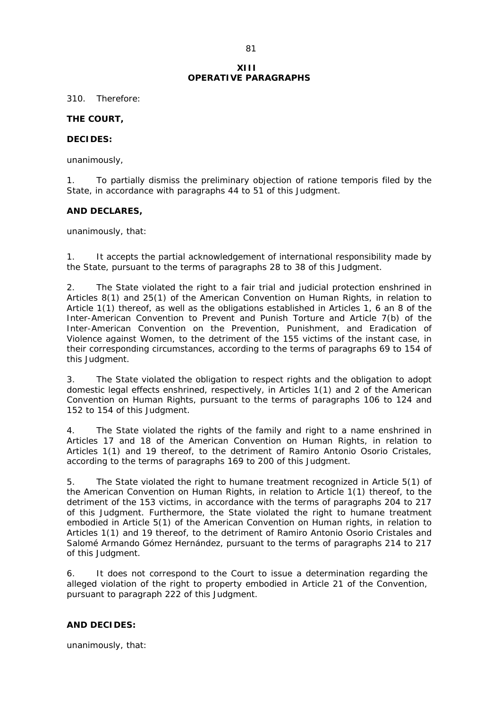### **XIII OPERATIVE PARAGRAPHS**

310. Therefore:

#### **THE COURT,**

#### **DECIDES:**

unanimously,

1. To partially dismiss the preliminary objection of *ratione temporis* filed by the State, in accordance with paragraphs 44 to 51 of this Judgment.

#### **AND DECLARES,**

unanimously, that:

1. It accepts the partial acknowledgement of international responsibility made by the State, pursuant to the terms of paragraphs 28 to 38 of this Judgment.

2. The State violated the right to a fair trial and judicial protection enshrined in Articles 8(1) and 25(1) of the American Convention on Human Rights, in relation to Article 1(1) thereof, as well as the obligations established in Articles 1, 6 an 8 of the Inter-American Convention to Prevent and Punish Torture and Article 7(b) of the Inter-American Convention on the Prevention, Punishment, and Eradication of Violence against Women, to the detriment of the 155 victims of the instant case, in their corresponding circumstances, according to the terms of paragraphs 69 to 154 of this Judgment.

3. The State violated the obligation to respect rights and the obligation to adopt domestic legal effects enshrined, respectively, in Articles 1(1) and 2 of the American Convention on Human Rights, pursuant to the terms of paragraphs 106 to 124 and 152 to 154 of this Judgment.

4. The State violated the rights of the family and right to a name enshrined in Articles 17 and 18 of the American Convention on Human Rights, in relation to Articles 1(1) and 19 thereof, to the detriment of Ramiro Antonio Osorio Cristales, according to the terms of paragraphs 169 to 200 of this Judgment.

5. The State violated the right to humane treatment recognized in Article 5(1) of the American Convention on Human Rights, in relation to Article 1(1) thereof, to the detriment of the 153 victims, in accordance with the terms of paragraphs 204 to 217 of this Judgment. Furthermore, the State violated the right to humane treatment embodied in Article 5(1) of the American Convention on Human rights, in relation to Articles 1(1) and 19 thereof, to the detriment of Ramiro Antonio Osorio Cristales and Salomé Armando Gómez Hernández, pursuant to the terms of paragraphs 214 to 217 of this Judgment*.* 

6. It does not correspond to the Court to issue a determination regarding the alleged violation of the right to property embodied in Article 21 of the Convention, pursuant to paragraph 222 of this Judgment.

### **AND DECIDES:**

unanimously, that: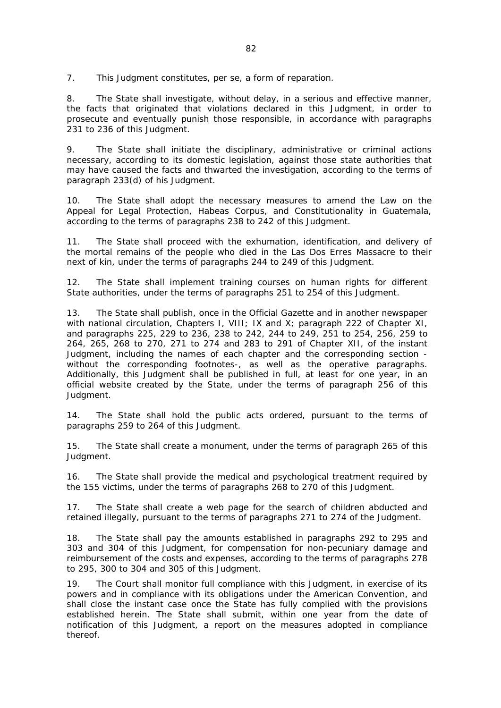7. This Judgment constitutes, *per se*, a form of reparation.

8. The State shall investigate, without delay, in a serious and effective manner, the facts that originated that violations declared in this Judgment, in order to prosecute and eventually punish those responsible, in accordance with paragraphs 231 to 236 of this Judgment.

9. The State shall initiate the disciplinary, administrative or criminal actions necessary, according to its domestic legislation, against those state authorities that may have caused the facts and thwarted the investigation, according to the terms of paragraph 233(d) of his Judgment.

10. The State shall adopt the necessary measures to amend the Law on the Appeal for Legal Protection, Habeas Corpus, and Constitutionality in Guatemala, according to the terms of paragraphs 238 to 242 of this Judgment.

11. The State shall proceed with the exhumation, identification, and delivery of the mortal remains of the people who died in the Las Dos Erres Massacre to their next of kin, under the terms of paragraphs 244 to 249 of this Judgment.

12. The State shall implement training courses on human rights for different State authorities, under the terms of paragraphs 251 to 254 of this Judgment.

13. The State shall publish, once in the Official Gazette and in another newspaper with national circulation, Chapters I, VIII; IX and X; paragraph 222 of Chapter XI, and paragraphs 225, 229 to 236, 238 to 242, 244 to 249, 251 to 254, 256, 259 to 264, 265, 268 to 270, 271 to 274 and 283 to 291 of Chapter XII, of the instant Judgment, including the names of each chapter and the corresponding section without the corresponding footnotes-, as well as the operative paragraphs. Additionally, this Judgment shall be published in full, at least for one year, in an official website created by the State, under the terms of paragraph 256 of this Judgment.

14. The State shall hold the public acts ordered, pursuant to the terms of paragraphs 259 to 264 of this Judgment.

15. The State shall create a monument, under the terms of paragraph 265 of this Judgment.

16. The State shall provide the medical and psychological treatment required by the 155 victims, under the terms of paragraphs 268 to 270 of this Judgment.

17. The State shall create a web page for the search of children abducted and retained illegally, pursuant to the terms of paragraphs 271 to 274 of the Judgment.

18. The State shall pay the amounts established in paragraphs 292 to 295 and 303 and 304 of this Judgment, for compensation for non-pecuniary damage and reimbursement of the costs and expenses, according to the terms of paragraphs 278 to 295, 300 to 304 and 305 of this Judgment.

19. The Court shall monitor full compliance with this Judgment, in exercise of its powers and in compliance with its obligations under the American Convention, and shall close the instant case once the State has fully complied with the provisions established herein. The State shall submit, within one year from the date of notification of this Judgment, a report on the measures adopted in compliance thereof.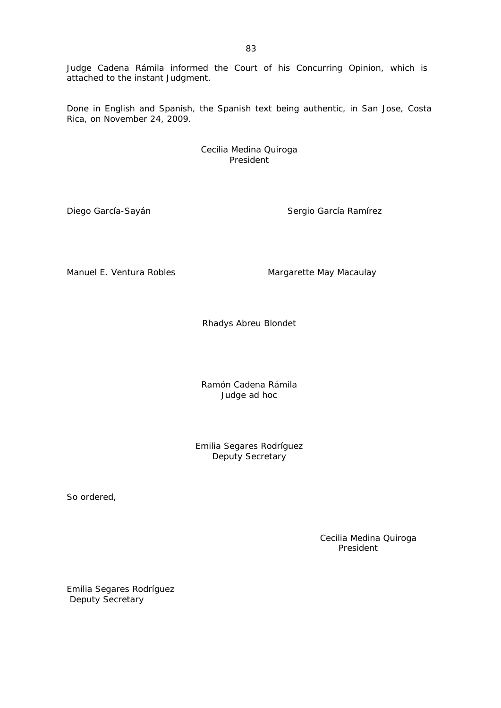Judge Cadena Rámila informed the Court of his Concurring Opinion, which is attached to the instant Judgment.

Done in English and Spanish, the Spanish text being authentic, in San Jose, Costa Rica, on November 24, 2009.

> Cecilia Medina Quiroga President

Diego García-Sayán Sergio García Ramírez

Manuel E. Ventura Robles Manuel E. Ventura Robles

Rhadys Abreu Blondet

Ramón Cadena Rámila Judge *ad hoc* 

Emilia Segares Rodríguez Deputy Secretary

So ordered,

 Cecilia Medina Quiroga President

Emilia Segares Rodríguez Deputy Secretary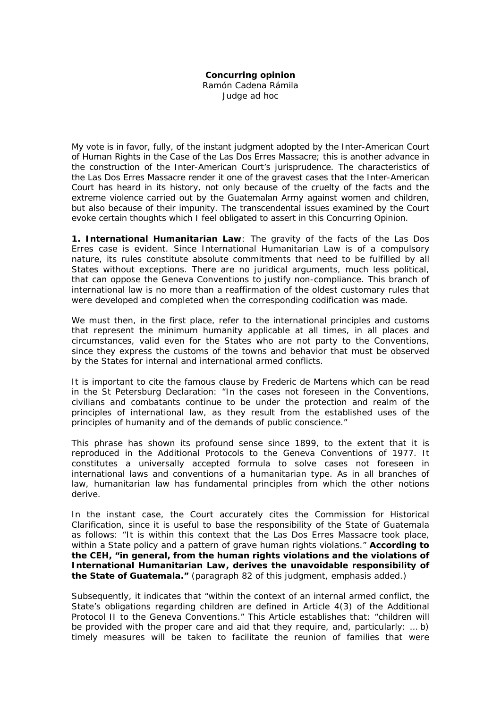## **Concurring opinion**

Ramón Cadena Rámila

Judge *ad hoc*

My vote is in favor, fully, of the instant judgment adopted by the Inter-American Court of Human Rights in the Case of the Las Dos Erres Massacre; this is another advance in the construction of the Inter-American Court's jurisprudence. The characteristics of the Las Dos Erres Massacre render it one of the gravest cases that the Inter-American Court has heard in its history, not only because of the cruelty of the facts and the extreme violence carried out by the Guatemalan Army against women and children, but also because of their impunity. The transcendental issues examined by the Court evoke certain thoughts which I feel obligated to assert in this Concurring Opinion.

**1. International Humanitarian Law**: The gravity of the facts of the Las Dos Erres case is evident. Since International Humanitarian Law is of a compulsory nature, its rules constitute absolute commitments that need to be fulfilled by all States without exceptions. There are no juridical arguments, much less political, that can oppose the Geneva Conventions to justify non-compliance. This branch of international law is no more than a reaffirmation of the oldest customary rules that were developed and completed when the corresponding codification was made.

We must then, in the first place, refer to the international principles and customs that represent the minimum humanity applicable at all times, in all places and circumstances, valid even for the States who are not party to the Conventions, since they express the customs of the towns and behavior that must be observed by the States for internal and international armed conflicts.

It is important to cite the famous clause by Frederic de Martens which can be read in the St Petersburg Declaration: "In the cases not foreseen in the Conventions, civilians and combatants continue to be under the protection and realm of the principles of international law, as they result from the established uses of the principles of humanity and of the demands of public conscience."

This phrase has shown its profound sense since 1899, to the extent that it is reproduced in the Additional Protocols to the Geneva Conventions of 1977. It constitutes a universally accepted formula to solve cases not foreseen in international laws and conventions of a humanitarian type. As in all branches of law, humanitarian law has fundamental principles from which the other notions derive.

In the instant case, the Court accurately cites the Commission for Historical Clarification, since it is useful to base the responsibility of the State of Guatemala as follows: "It is within this context that the Las Dos Erres Massacre took place, within a State policy and a pattern of grave human rights violations." **According to the CEH, "in general, from the human rights violations and the violations of International Humanitarian Law, derives the unavoidable responsibility of the State of Guatemala."** (paragraph 82 of this judgment, emphasis added.)

Subsequently, it indicates that "within the context of an internal armed conflict, the State's obligations regarding children are defined in Article 4(3) of the Additional Protocol II to the Geneva Conventions." This Article establishes that: "children will be provided with the proper care and aid that they require, and, particularly: … b) timely measures will be taken to facilitate the reunion of families that were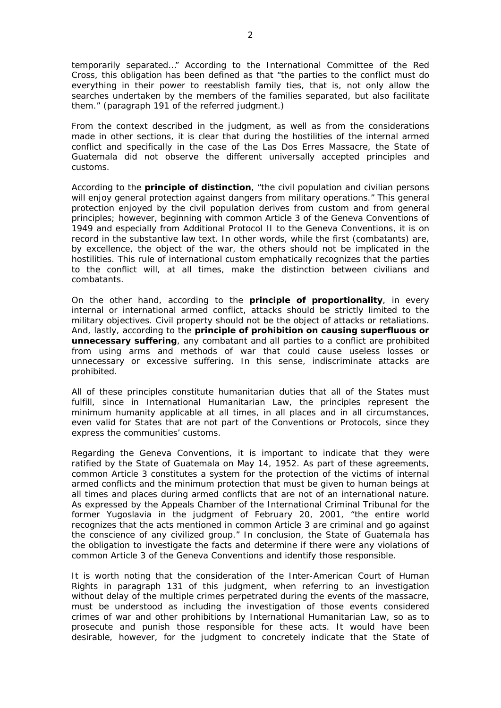temporarily separated…" According to the International Committee of the Red Cross, this obligation has been defined as that "the parties to the conflict must do everything in their power to reestablish family ties, that is, not only allow the searches undertaken by the members of the families separated, but also facilitate them." (paragraph 191 of the referred judgment.)

From the context described in the judgment, as well as from the considerations made in other sections, it is clear that during the hostilities of the internal armed conflict and specifically in the case of the Las Dos Erres Massacre, the State of Guatemala did not observe the different universally accepted principles and customs.

According to the **principle of distinction**, "the civil population and civilian persons will enjoy general protection against dangers from military operations." This general protection enjoyed by the civil population derives from custom and from general principles; however, beginning with common Article 3 of the Geneva Conventions of 1949 and especially from Additional Protocol II to the Geneva Conventions, it is on record in the substantive law text. In other words, while the first (combatants) are, by excellence, the object of the war, the others should not be implicated in the hostilities. This rule of international custom emphatically recognizes that the parties to the conflict will, at all times, make the distinction between civilians and combatants.

On the other hand, according to the **principle of proportionality**, in every internal or international armed conflict, attacks should be strictly limited to the military objectives. Civil property should not be the object of attacks or retaliations. And, lastly, according to the **principle of prohibition on causing superfluous or unnecessary suffering**, any combatant and all parties to a conflict are prohibited from using arms and methods of war that could cause useless losses or unnecessary or excessive suffering. In this sense, indiscriminate attacks are prohibited.

All of these principles constitute humanitarian duties that all of the States must fulfill, since in International Humanitarian Law, the principles represent the minimum humanity applicable at all times, in all places and in all circumstances, even valid for States that are not part of the Conventions or Protocols, since they express the communities' customs.

Regarding the Geneva Conventions, it is important to indicate that they were ratified by the State of Guatemala on May 14, 1952. As part of these agreements, common Article 3 constitutes a system for the protection of the victims of internal armed conflicts and the minimum protection that must be given to human beings at all times and places during armed conflicts that are not of an international nature. As expressed by the Appeals Chamber of the International Criminal Tribunal for the former Yugoslavia in the judgment of February 20, 2001, "the entire world recognizes that the acts mentioned in common Article 3 are criminal and go against the conscience of any civilized group." In conclusion, the State of Guatemala has the obligation to investigate the facts and determine if there were any violations of common Article 3 of the Geneva Conventions and identify those responsible.

It is worth noting that the consideration of the Inter-American Court of Human Rights in paragraph 131 of this judgment, when referring to an investigation without delay of the multiple crimes perpetrated during the events of the massacre, must be understood as including the investigation of those events considered crimes of war and other prohibitions by International Humanitarian Law, so as to prosecute and punish those responsible for these acts. It would have been desirable, however, for the judgment to concretely indicate that the State of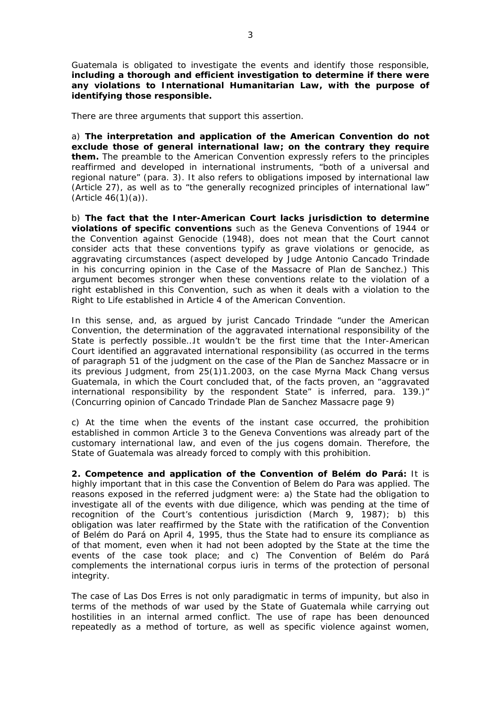Guatemala is obligated to investigate the events and identify those responsible, **including a thorough and efficient investigation to determine if there were any violations to International Humanitarian Law, with the purpose of identifying those responsible.** 

There are three arguments that support this assertion.

a) **The interpretation and application of the American Convention do not exclude those of general international law; on the contrary they require them.** The preamble to the American Convention expressly refers to the principles reaffirmed and developed in international instruments, "both of a universal and regional nature" (para. 3). It also refers to obligations imposed by international law (Article 27), as well as to "the generally recognized principles of international law"  $(A$ rticle  $46(1)(a)$ ).

b) **The fact that the Inter-American Court lacks jurisdiction to determine violations of specific conventions** such as the Geneva Conventions of 1944 or the Convention against Genocide (1948), does not mean that the Court cannot consider acts that these conventions typify as grave violations or genocide, as *aggravating circumstances* (aspect developed by Judge Antonio Cancado Trindade in his concurring opinion in the Case of the Massacre of Plan de Sanchez.) This argument becomes stronger when these conventions relate to the violation of a right established in this Convention, such as when it deals with a violation to the Right to Life established in Article 4 of the American Convention.

In this sense, and, as argued by jurist Cancado Trindade "under the American Convention, the determination of the *aggravated* international responsibility of the State is perfectly possible…It wouldn't be the first time that the Inter-American Court identified an *aggravated* international responsibility (as occurred in the terms of paragraph 51 of the judgment on the case of the *Plan de Sanchez Massacre* or in its previous Judgment, from 25(1)1.2003, on the case *Myrna Mack Chang versus Guatemala*, in which the Court concluded that, of the facts proven, an "aggravated international responsibility by the respondent State" is inferred, para. 139.)" (Concurring opinion of Cancado Trindade Plan de Sanchez Massacre page 9)

c) At the time when the events of the instant case occurred, the prohibition established in common Article 3 to the Geneva Conventions was already part of the customary international law, and even of the *jus cogens* domain. Therefore, the State of Guatemala was already forced to comply with this prohibition.

**2. Competence and application of the Convention of Belém do Pará:** It is highly important that in this case the Convention of Belem do Para was applied. The reasons exposed in the referred judgment were: a) the State had the obligation to investigate all of the events with due diligence, which was pending at the time of recognition of the Court's contentious jurisdiction (March 9, 1987); b) this obligation was later reaffirmed by the State with the ratification of the Convention of Belém do Pará on April 4, 1995, thus the State had to ensure its compliance as of that moment, even when it had not been adopted by the State at the time the events of the case took place; and c) The Convention of Belém do Pará complements the international *corpus iuris* in terms of the protection of personal intearity.

The case of Las Dos Erres is not only paradigmatic in terms of impunity, but also in terms of the methods of war used by the State of Guatemala while carrying out hostilities in an internal armed conflict. The use of rape has been denounced repeatedly as a method of torture, as well as specific violence against women,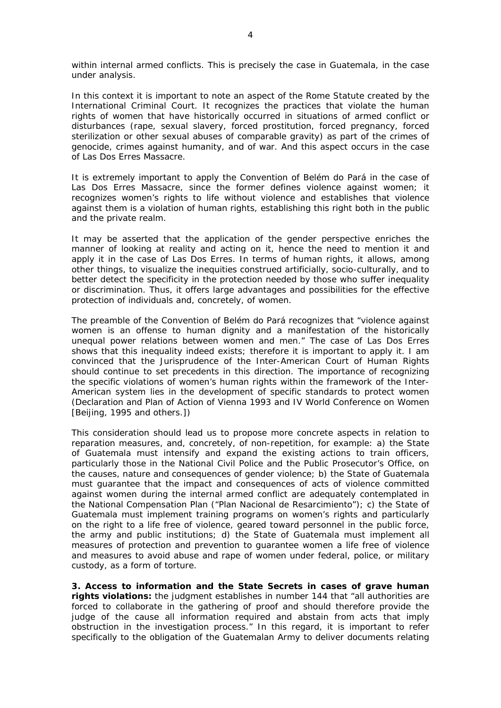within internal armed conflicts. This is precisely the case in Guatemala, in the case under analysis.

In this context it is important to note an aspect of the Rome Statute created by the International Criminal Court. It recognizes the practices that violate the human rights of women that have historically occurred in situations of armed conflict or disturbances (rape, sexual slavery, forced prostitution, forced pregnancy, forced sterilization or other sexual abuses of comparable gravity) as part of the crimes of genocide, crimes against humanity, and of war. And this aspect occurs in the case of Las Dos Erres Massacre.

It is extremely important to apply the Convention of Belém do Pará in the case of Las Dos Erres Massacre, since the former defines violence against women; it recognizes women's rights to life without violence and establishes that violence against them is a violation of human rights, establishing this right both in the public and the private realm.

It may be asserted that the application of the gender perspective enriches the manner of looking at reality and acting on it, hence the need to mention it and apply it in the case of Las Dos Erres. In terms of human rights, it allows, among other things, to visualize the inequities construed artificially, socio-culturally, and to better detect the specificity in the protection needed by those who suffer inequality or discrimination. Thus, it offers large advantages and possibilities for the effective protection of individuals and, concretely, of women.

The preamble of the Convention of Belém do Pará recognizes that "violence against women is an offense to human dignity and a manifestation of the historically unequal power relations between women and men." The case of Las Dos Erres shows that this inequality indeed exists; therefore it is important to apply it. I am convinced that the Jurisprudence of the Inter-American Court of Human Rights should continue to set precedents in this direction. The importance of recognizing the specific violations of women's human rights within the framework of the Inter-American system lies in the development of specific standards to protect women (Declaration and Plan of Action of Vienna 1993 and IV World Conference on Women [Beijing, 1995 and others.])

This consideration should lead us to propose more concrete aspects in relation to reparation measures, and, concretely, of non-repetition, for example: a) the State of Guatemala must intensify and expand the existing actions to train officers, particularly those in the National Civil Police and the Public Prosecutor's Office, on the causes, nature and consequences of gender violence; b) the State of Guatemala must guarantee that the impact and consequences of acts of violence committed against women during the internal armed conflict are adequately contemplated in the National Compensation Plan ("Plan Nacional de Resarcimiento"); c) the State of Guatemala must implement training programs on women's rights and particularly on the right to a life free of violence, geared toward personnel in the public force, the army and public institutions; d) the State of Guatemala must implement all measures of protection and prevention to guarantee women a life free of violence and measures to avoid abuse and rape of women under federal, police, or military custody, as a form of torture.

**3. Access to information and the State Secrets in cases of grave human rights violations:** the judgment establishes in number 144 that "all authorities are forced to collaborate in the gathering of proof and should therefore provide the judge of the cause all information required and abstain from acts that imply obstruction in the investigation process." In this regard, it is important to refer specifically to the obligation of the Guatemalan Army to deliver documents relating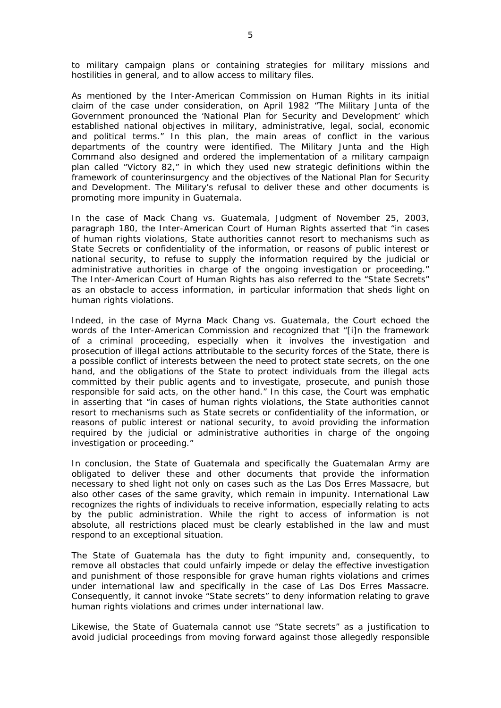to military campaign plans or containing strategies for military missions and hostilities in general, and to allow access to military files.

As mentioned by the Inter-American Commission on Human Rights in its initial claim of the case under consideration, on April 1982 "The Military Junta of the Government pronounced the 'National Plan for Security and Development' which established national objectives in military, administrative, legal, social, economic and political terms." In this plan, the main areas of conflict in the various departments of the country were identified. The Military Junta and the High Command also designed and ordered the implementation of a military campaign plan called "Victory 82," in which they used new strategic definitions within the framework of counterinsurgency and the objectives of the National Plan for Security and Development. The Military's refusal to deliver these and other documents is promoting more impunity in Guatemala.

In the case of *Mack Chang vs. Guatemala*, Judgment of November 25, 2003, paragraph 180, the Inter-American Court of Human Rights asserted that "in cases of human rights violations, State authorities cannot resort to mechanisms such as State Secrets or confidentiality of the information, or reasons of public interest or national security, to refuse to supply the information required by the judicial or administrative authorities in charge of the ongoing investigation or proceeding." The Inter-American Court of Human Rights has also referred to the "State Secrets" as an obstacle to access information, in particular information that sheds light on human rights violations.

Indeed, in the case of *Myrna Mack Chang vs. Guatemala*, the Court echoed the words of the Inter-American Commission and recognized that "[i]n the framework of a criminal proceeding, especially when it involves the investigation and prosecution of illegal actions attributable to the security forces of the State, there is a possible conflict of interests between the need to protect state secrets, on the one hand, and the obligations of the State to protect individuals from the illegal acts committed by their public agents and to investigate, prosecute, and punish those responsible for said acts, on the other hand." In this case, the Court was emphatic in asserting that "in cases of human rights violations, the State authorities cannot resort to mechanisms such as State secrets or confidentiality of the information, or reasons of public interest or national security, to avoid providing the information required by the judicial or administrative authorities in charge of the ongoing investigation or proceeding."

In conclusion, the State of Guatemala and specifically the Guatemalan Army are obligated to deliver these and other documents that provide the information necessary to shed light not only on cases such as the Las Dos Erres Massacre, but also other cases of the same gravity, which remain in impunity. International Law recognizes the rights of individuals to receive information, especially relating to acts by the public administration. While the right to access of information is not absolute, all restrictions placed must be clearly established in the law and must respond to an exceptional situation.

The State of Guatemala has the duty to fight impunity and, consequently, to remove all obstacles that could unfairly impede or delay the effective investigation and punishment of those responsible for grave human rights violations and crimes under international law and specifically in the case of Las Dos Erres Massacre. Consequently, it cannot invoke "State secrets" to deny information relating to grave human rights violations and crimes under international law.

Likewise, the State of Guatemala cannot use "State secrets" as a justification to avoid judicial proceedings from moving forward against those allegedly responsible